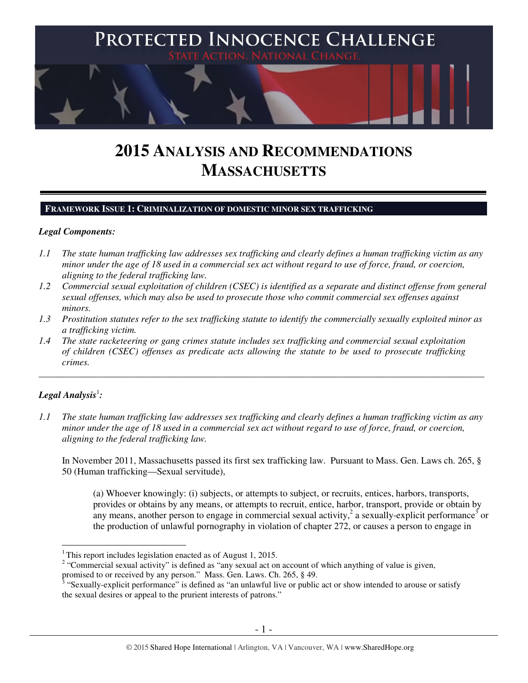

# **2015 ANALYSIS AND RECOMMENDATIONS MASSACHUSETTS**

# **FRAMEWORK ISSUE 1: CRIMINALIZATION OF DOMESTIC MINOR SEX TRAFFICKING**

# *Legal Components:*

- *1.1 The state human trafficking law addresses sex trafficking and clearly defines a human trafficking victim as any minor under the age of 18 used in a commercial sex act without regard to use of force, fraud, or coercion, aligning to the federal trafficking law.*
- *1.2 Commercial sexual exploitation of children (CSEC) is identified as a separate and distinct offense from general sexual offenses, which may also be used to prosecute those who commit commercial sex offenses against minors.*
- *1.3 Prostitution statutes refer to the sex trafficking statute to identify the commercially sexually exploited minor as a trafficking victim.*

\_\_\_\_\_\_\_\_\_\_\_\_\_\_\_\_\_\_\_\_\_\_\_\_\_\_\_\_\_\_\_\_\_\_\_\_\_\_\_\_\_\_\_\_\_\_\_\_\_\_\_\_\_\_\_\_\_\_\_\_\_\_\_\_\_\_\_\_\_\_\_\_\_\_\_\_\_\_\_\_\_\_\_\_\_\_\_\_\_\_\_\_\_\_

*1.4 The state racketeering or gang crimes statute includes sex trafficking and commercial sexual exploitation of children (CSEC) offenses as predicate acts allowing the statute to be used to prosecute trafficking crimes.* 

# $\bm{\mathit{Legal\, Analysis}^{\text{!}}:}$

 $\overline{a}$ 

*1.1 The state human trafficking law addresses sex trafficking and clearly defines a human trafficking victim as any minor under the age of 18 used in a commercial sex act without regard to use of force, fraud, or coercion, aligning to the federal trafficking law.*

In November 2011, Massachusetts passed its first sex trafficking law. Pursuant to Mass. Gen. Laws ch. 265, § 50 (Human trafficking—Sexual servitude),

(a) Whoever knowingly: (i) subjects, or attempts to subject, or recruits, entices, harbors, transports, provides or obtains by any means, or attempts to recruit, entice, harbor, transport, provide or obtain by any means, another person to engage in commercial sexual activity,  $2$  a sexually-explicit performance<sup>3</sup> or the production of unlawful pornography in violation of chapter 272, or causes a person to engage in

<sup>&</sup>lt;sup>1</sup>This report includes legislation enacted as of August 1, 2015.

<sup>&</sup>lt;sup>2</sup> "Commercial sexual activity" is defined as "any sexual act on account of which anything of value is given, promised to or received by any person." Mass. Gen. Laws. Ch. 265, § 49.

<sup>&</sup>lt;sup>3</sup> "Sexually-explicit performance" is defined as "an unlawful live or public act or show intended to arouse or satisfy the sexual desires or appeal to the prurient interests of patrons."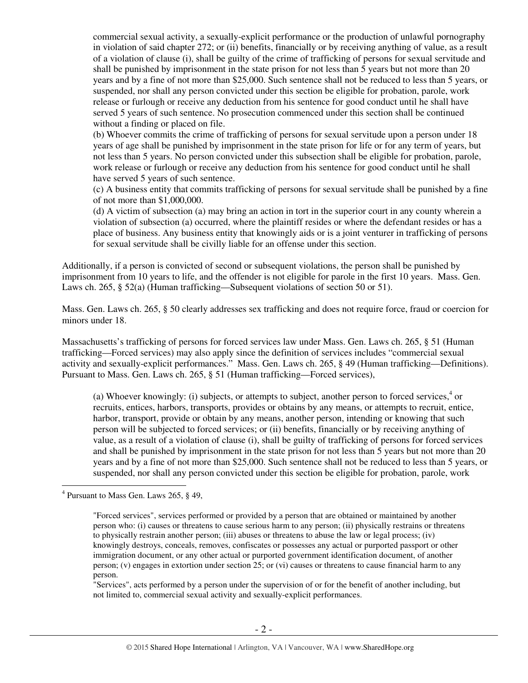commercial sexual activity, a sexually-explicit performance or the production of unlawful pornography in violation of said chapter 272; or (ii) benefits, financially or by receiving anything of value, as a result of a violation of clause (i), shall be guilty of the crime of trafficking of persons for sexual servitude and shall be punished by imprisonment in the state prison for not less than 5 years but not more than 20 years and by a fine of not more than \$25,000. Such sentence shall not be reduced to less than 5 years, or suspended, nor shall any person convicted under this section be eligible for probation, parole, work release or furlough or receive any deduction from his sentence for good conduct until he shall have served 5 years of such sentence. No prosecution commenced under this section shall be continued without a finding or placed on file.

(b) Whoever commits the crime of trafficking of persons for sexual servitude upon a person under 18 years of age shall be punished by imprisonment in the state prison for life or for any term of years, but not less than 5 years. No person convicted under this subsection shall be eligible for probation, parole, work release or furlough or receive any deduction from his sentence for good conduct until he shall have served 5 years of such sentence.

(c) A business entity that commits trafficking of persons for sexual servitude shall be punished by a fine of not more than \$1,000,000.

(d) A victim of subsection (a) may bring an action in tort in the superior court in any county wherein a violation of subsection (a) occurred, where the plaintiff resides or where the defendant resides or has a place of business. Any business entity that knowingly aids or is a joint venturer in trafficking of persons for sexual servitude shall be civilly liable for an offense under this section.

Additionally, if a person is convicted of second or subsequent violations, the person shall be punished by imprisonment from 10 years to life, and the offender is not eligible for parole in the first 10 years. Mass. Gen. Laws ch. 265, § 52(a) (Human trafficking—Subsequent violations of section 50 or 51).

Mass. Gen. Laws ch. 265, § 50 clearly addresses sex trafficking and does not require force, fraud or coercion for minors under 18.

Massachusetts's trafficking of persons for forced services law under Mass. Gen. Laws ch. 265, § 51 (Human trafficking—Forced services) may also apply since the definition of services includes "commercial sexual activity and sexually-explicit performances." Mass. Gen. Laws ch. 265, § 49 (Human trafficking—Definitions). Pursuant to Mass. Gen. Laws ch. 265, § 51 (Human trafficking—Forced services),

(a) Whoever knowingly: (i) subjects, or attempts to subject, another person to forced services, $4$  or recruits, entices, harbors, transports, provides or obtains by any means, or attempts to recruit, entice, harbor, transport, provide or obtain by any means, another person, intending or knowing that such person will be subjected to forced services; or (ii) benefits, financially or by receiving anything of value, as a result of a violation of clause (i), shall be guilty of trafficking of persons for forced services and shall be punished by imprisonment in the state prison for not less than 5 years but not more than 20 years and by a fine of not more than \$25,000. Such sentence shall not be reduced to less than 5 years, or suspended, nor shall any person convicted under this section be eligible for probation, parole, work

"Services", acts performed by a person under the supervision of or for the benefit of another including, but not limited to, commercial sexual activity and sexually-explicit performances.

 4 Pursuant to Mass Gen. Laws 265, § 49,

<sup>&</sup>quot;Forced services", services performed or provided by a person that are obtained or maintained by another person who: (i) causes or threatens to cause serious harm to any person; (ii) physically restrains or threatens to physically restrain another person; (iii) abuses or threatens to abuse the law or legal process; (iv) knowingly destroys, conceals, removes, confiscates or possesses any actual or purported passport or other immigration document, or any other actual or purported government identification document, of another person; (v) engages in extortion under section 25; or (vi) causes or threatens to cause financial harm to any person.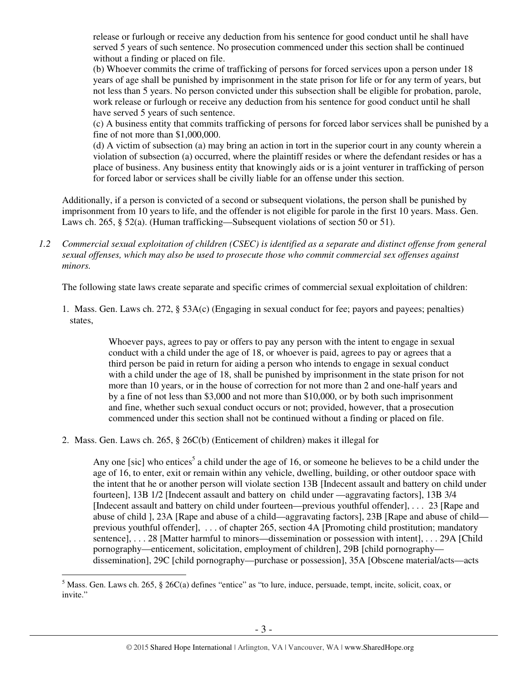release or furlough or receive any deduction from his sentence for good conduct until he shall have served 5 years of such sentence. No prosecution commenced under this section shall be continued without a finding or placed on file.

(b) Whoever commits the crime of trafficking of persons for forced services upon a person under 18 years of age shall be punished by imprisonment in the state prison for life or for any term of years, but not less than 5 years. No person convicted under this subsection shall be eligible for probation, parole, work release or furlough or receive any deduction from his sentence for good conduct until he shall have served 5 years of such sentence.

(c) A business entity that commits trafficking of persons for forced labor services shall be punished by a fine of not more than \$1,000,000.

(d) A victim of subsection (a) may bring an action in tort in the superior court in any county wherein a violation of subsection (a) occurred, where the plaintiff resides or where the defendant resides or has a place of business. Any business entity that knowingly aids or is a joint venturer in trafficking of person for forced labor or services shall be civilly liable for an offense under this section.

Additionally, if a person is convicted of a second or subsequent violations, the person shall be punished by imprisonment from 10 years to life, and the offender is not eligible for parole in the first 10 years. Mass. Gen. Laws ch. 265, § 52(a). (Human trafficking—Subsequent violations of section 50 or 51).

*1.2 Commercial sexual exploitation of children (CSEC) is identified as a separate and distinct offense from general sexual offenses, which may also be used to prosecute those who commit commercial sex offenses against minors.*

The following state laws create separate and specific crimes of commercial sexual exploitation of children:

1. Mass. Gen. Laws ch. 272, § 53A(c) (Engaging in sexual conduct for fee; payors and payees; penalties) states,

> Whoever pays, agrees to pay or offers to pay any person with the intent to engage in sexual conduct with a child under the age of 18, or whoever is paid, agrees to pay or agrees that a third person be paid in return for aiding a person who intends to engage in sexual conduct with a child under the age of 18, shall be punished by imprisonment in the state prison for not more than 10 years, or in the house of correction for not more than 2 and one-half years and by a fine of not less than \$3,000 and not more than \$10,000, or by both such imprisonment and fine, whether such sexual conduct occurs or not; provided, however, that a prosecution commenced under this section shall not be continued without a finding or placed on file.

2. Mass. Gen. Laws ch. 265, § 26C(b) (Enticement of children) makes it illegal for

Any one [sic] who entices<sup>5</sup> a child under the age of 16, or someone he believes to be a child under the age of 16, to enter, exit or remain within any vehicle, dwelling, building, or other outdoor space with the intent that he or another person will violate section 13B [Indecent assault and battery on child under fourteen], 13B 1/2 [Indecent assault and battery on child under —aggravating factors], 13B 3/4 [Indecent assault and battery on child under fourteen—previous youthful offender], . . . 23 [Rape and abuse of child ], 23A [Rape and abuse of a child—aggravating factors], 23B [Rape and abuse of child previous youthful offender], . . . of chapter 265, section 4A [Promoting child prostitution; mandatory sentence], . . . 28 [Matter harmful to minors—dissemination or possession with intent], . . . 29A [Child] pornography—enticement, solicitation, employment of children], 29B [child pornography dissemination], 29C [child pornography—purchase or possession], 35A [Obscene material/acts—acts

 $\overline{a}$  $<sup>5</sup>$  Mass. Gen. Laws ch. 265, § 26C(a) defines "entice" as "to lure, induce, persuade, tempt, incite, solicit, coax, or</sup> invite."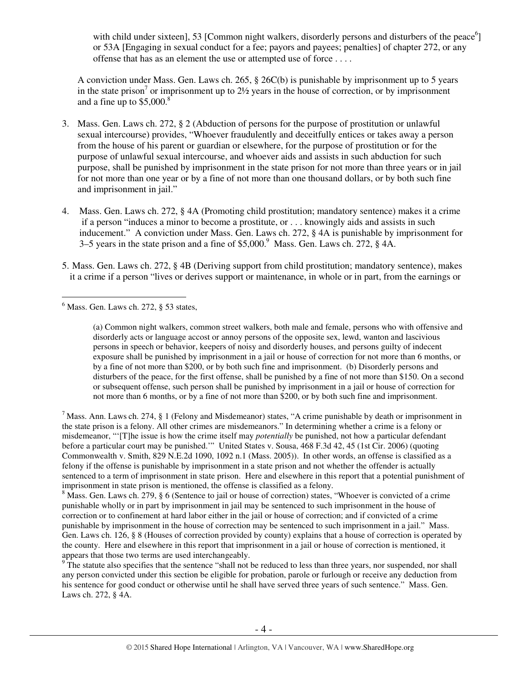with child under sixteen], 53 [Common night walkers, disorderly persons and disturbers of the peace $^{6}$ ] or 53A [Engaging in sexual conduct for a fee; payors and payees; penalties] of chapter 272, or any offense that has as an element the use or attempted use of force . . . .

A conviction under Mass. Gen. Laws ch. 265, § 26C(b) is punishable by imprisonment up to 5 years in the state prison<sup>7</sup> or imprisonment up to  $2\frac{1}{2}$  years in the house of correction, or by imprisonment and a fine up to  $$5,000$ .<sup>8</sup>

- 3. Mass. Gen. Laws ch. 272, § 2 (Abduction of persons for the purpose of prostitution or unlawful sexual intercourse) provides, "Whoever fraudulently and deceitfully entices or takes away a person from the house of his parent or guardian or elsewhere, for the purpose of prostitution or for the purpose of unlawful sexual intercourse, and whoever aids and assists in such abduction for such purpose, shall be punished by imprisonment in the state prison for not more than three years or in jail for not more than one year or by a fine of not more than one thousand dollars, or by both such fine and imprisonment in jail."
- 4. Mass. Gen. Laws ch. 272, § 4A (Promoting child prostitution; mandatory sentence) makes it a crime if a person "induces a minor to become a prostitute, or . . . knowingly aids and assists in such inducement." A conviction under Mass. Gen. Laws ch. 272, § 4A is punishable by imprisonment for 3–5 years in the state prison and a fine of \$5,000.<sup>9</sup> Mass. Gen. Laws ch. 272, § 4A.
- 5. Mass. Gen. Laws ch. 272, § 4B (Deriving support from child prostitution; mandatory sentence), makes it a crime if a person "lives or derives support or maintenance, in whole or in part, from the earnings or

(a) Common night walkers, common street walkers, both male and female, persons who with offensive and disorderly acts or language accost or annoy persons of the opposite sex, lewd, wanton and lascivious persons in speech or behavior, keepers of noisy and disorderly houses, and persons guilty of indecent exposure shall be punished by imprisonment in a jail or house of correction for not more than 6 months, or by a fine of not more than \$200, or by both such fine and imprisonment. (b) Disorderly persons and disturbers of the peace, for the first offense, shall be punished by a fine of not more than \$150. On a second or subsequent offense, such person shall be punished by imprisonment in a jail or house of correction for not more than 6 months, or by a fine of not more than \$200, or by both such fine and imprisonment.

 $<sup>7</sup>$  Mass. Ann. Laws ch. 274, § 1 (Felony and Misdemeanor) states, "A crime punishable by death or imprisonment in</sup> the state prison is a felony. All other crimes are misdemeanors." In determining whether a crime is a felony or misdemeanor, "'[T]he issue is how the crime itself may *potentially* be punished, not how a particular defendant before a particular court may be punished.'"United States v. Sousa, 468 F.3d 42, 45 (1st Cir. 2006) (quoting Commonwealth v. Smith, 829 N.E.2d 1090, 1092 n.1 (Mass. 2005)). In other words, an offense is classified as a felony if the offense is punishable by imprisonment in a state prison and not whether the offender is actually sentenced to a term of imprisonment in state prison. Here and elsewhere in this report that a potential punishment of imprisonment in state prison is mentioned, the offense is classified as a felony.

<sup>8</sup> Mass. Gen. Laws ch. 279, § 6 (Sentence to jail or house of correction) states, "Whoever is convicted of a crime punishable wholly or in part by imprisonment in jail may be sentenced to such imprisonment in the house of correction or to confinement at hard labor either in the jail or house of correction; and if convicted of a crime punishable by imprisonment in the house of correction may be sentenced to such imprisonment in a jail." Mass. Gen. Laws ch. 126, § 8 (Houses of correction provided by county) explains that a house of correction is operated by the county. Here and elsewhere in this report that imprisonment in a jail or house of correction is mentioned, it appears that those two terms are used interchangeably.

9 The statute also specifies that the sentence "shall not be reduced to less than three years, nor suspended, nor shall any person convicted under this section be eligible for probation, parole or furlough or receive any deduction from his sentence for good conduct or otherwise until he shall have served three years of such sentence." Mass. Gen. Laws ch. 272, § 4A.

 $\overline{a}$  $<sup>6</sup>$  Mass. Gen. Laws ch. 272,  $\S$  53 states,</sup>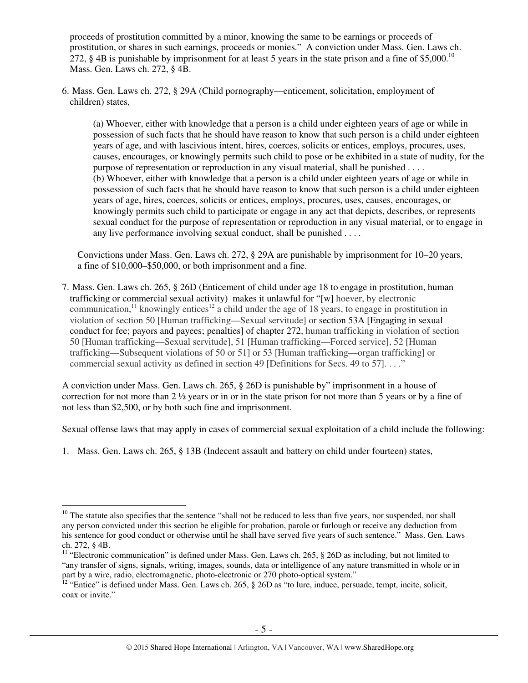proceeds of prostitution committed by a minor, knowing the same to be earnings or proceeds of prostitution, or shares in such earnings, proceeds or monies." A conviction under Mass. Gen. Laws ch. 272, § 4B is punishable by imprisonment for at least 5 years in the state prison and a fine of \$5,000.<sup>10</sup> Mass. Gen. Laws ch. 272, § 4B.

6. Mass. Gen. Laws ch. 272, § 29A (Child pornography—enticement, solicitation, employment of children) states,

(a) Whoever, either with knowledge that a person is a child under eighteen years of age or while in possession of such facts that he should have reason to know that such person is a child under eighteen years of age, and with lascivious intent, hires, coerces, solicits or entices, employs, procures, uses, causes, encourages, or knowingly permits such child to pose or be exhibited in a state of nudity, for the purpose of representation or reproduction in any visual material, shall be punished . . . . (b) Whoever, either with knowledge that a person is a child under eighteen years of age or while in possession of such facts that he should have reason to know that such person is a child under eighteen years of age, hires, coerces, solicits or entices, employs, procures, uses, causes, encourages, or knowingly permits such child to participate or engage in any act that depicts, describes, or represents sexual conduct for the purpose of representation or reproduction in any visual material, or to engage in any live performance involving sexual conduct, shall be punished . . . .

Convictions under Mass. Gen. Laws ch. 272, § 29A are punishable by imprisonment for 10–20 years, a fine of \$10,000–\$50,000, or both imprisonment and a fine.

7. Mass. Gen. Laws ch. 265, § 26D (Enticement of child under age 18 to engage in prostitution, human trafficking or commercial sexual activity) makes it unlawful for "[w] hoever, by electronic communication,<sup>11</sup> knowingly entices<sup>12</sup> a child under the age of 18 years, to engage in prostitution in violation of section 50 [Human trafficking—Sexual servitude] or section 53A [Engaging in sexual conduct for fee; payors and payees; penalties] of chapter 272, human trafficking in violation of section 50 [Human trafficking—Sexual servitude], 51 [Human trafficking—Forced service], 52 [Human trafficking—Subsequent violations of 50 or 51] or 53 [Human trafficking—organ trafficking] or commercial sexual activity as defined in section 49 [Definitions for Secs. 49 to 57]...."

A conviction under Mass. Gen. Laws ch. 265, § 26D is punishable by" imprisonment in a house of correction for not more than 2 ½ years or in or in the state prison for not more than 5 years or by a fine of not less than \$2,500, or by both such fine and imprisonment.

Sexual offense laws that may apply in cases of commercial sexual exploitation of a child include the following:

1. Mass. Gen. Laws ch. 265, § 13B (Indecent assault and battery on child under fourteen) states,

 $10$  The statute also specifies that the sentence "shall not be reduced to less than five years, nor suspended, nor shall any person convicted under this section be eligible for probation, parole or furlough or receive any deduction from his sentence for good conduct or otherwise until he shall have served five years of such sentence." Mass. Gen. Laws ch. 272, § 4B.

<sup>&</sup>lt;sup>11</sup> "Electronic communication" is defined under Mass. Gen. Laws ch. 265, § 26D as including, but not limited to "any transfer of signs, signals, writing, images, sounds, data or intelligence of any nature transmitted in whole or in part by a wire, radio, electromagnetic, photo-electronic or 270 photo-optical system."

<sup>&</sup>lt;sup>12</sup> "Entice" is defined under Mass. Gen. Laws ch. 265,  $\S$  26D as "to lure, induce, persuade, tempt, incite, solicit, coax or invite."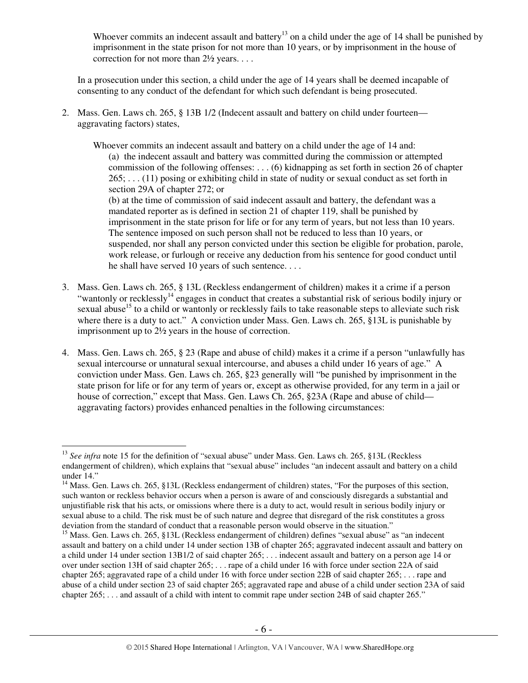Whoever commits an indecent assault and battery<sup>13</sup> on a child under the age of 14 shall be punished by imprisonment in the state prison for not more than 10 years, or by imprisonment in the house of correction for not more than 2½ years. . . .

In a prosecution under this section, a child under the age of 14 years shall be deemed incapable of consenting to any conduct of the defendant for which such defendant is being prosecuted.

2. Mass. Gen. Laws ch. 265, § 13B 1/2 (Indecent assault and battery on child under fourteen aggravating factors) states,

Whoever commits an indecent assault and battery on a child under the age of 14 and: (a) the indecent assault and battery was committed during the commission or attempted commission of the following offenses: . . . (6) kidnapping as set forth in section 26 of chapter 265; . . . (11) posing or exhibiting child in state of nudity or sexual conduct as set forth in section 29A of chapter 272; or (b) at the time of commission of said indecent assault and battery, the defendant was a

mandated reporter as is defined in section 21 of chapter 119, shall be punished by imprisonment in the state prison for life or for any term of years, but not less than 10 years. The sentence imposed on such person shall not be reduced to less than 10 years, or suspended, nor shall any person convicted under this section be eligible for probation, parole, work release, or furlough or receive any deduction from his sentence for good conduct until he shall have served 10 years of such sentence. . . .

- 3. Mass. Gen. Laws ch. 265, § 13L (Reckless endangerment of children) makes it a crime if a person "wantonly or recklessly<sup>14</sup> engages in conduct that creates a substantial risk of serious bodily injury or sexual abuse<sup>15</sup> to a child or wantonly or recklessly fails to take reasonable steps to alleviate such risk where there is a duty to act." A conviction under Mass. Gen. Laws ch. 265, §13L is punishable by imprisonment up to 2½ years in the house of correction.
- 4. Mass. Gen. Laws ch. 265, § 23 (Rape and abuse of child) makes it a crime if a person "unlawfully has sexual intercourse or unnatural sexual intercourse, and abuses a child under 16 years of age." A conviction under Mass. Gen. Laws ch. 265, §23 generally will "be punished by imprisonment in the state prison for life or for any term of years or, except as otherwise provided, for any term in a jail or house of correction," except that Mass. Gen. Laws Ch. 265, §23A (Rape and abuse of child aggravating factors) provides enhanced penalties in the following circumstances:

<sup>&</sup>lt;sup>13</sup> See infra note 15 for the definition of "sexual abuse" under Mass. Gen. Laws ch. 265, §13L (Reckless endangerment of children), which explains that "sexual abuse" includes "an indecent assault and battery on a child under 14."

<sup>&</sup>lt;sup>14</sup> Mass. Gen. Laws ch. 265, §13L (Reckless endangerment of children) states, "For the purposes of this section, such wanton or reckless behavior occurs when a person is aware of and consciously disregards a substantial and unjustifiable risk that his acts, or omissions where there is a duty to act, would result in serious bodily injury or sexual abuse to a child. The risk must be of such nature and degree that disregard of the risk constitutes a gross deviation from the standard of conduct that a reasonable person would observe in the situation."

<sup>&</sup>lt;sup>15</sup> Mass. Gen. Laws ch. 265, §13L (Reckless endangerment of children) defines "sexual abuse" as "an indecent assault and battery on a child under 14 under section 13B of chapter 265; aggravated indecent assault and battery on a child under 14 under section 13B1/2 of said chapter 265; . . . indecent assault and battery on a person age 14 or over under section 13H of said chapter 265; . . . rape of a child under 16 with force under section 22A of said chapter 265; aggravated rape of a child under 16 with force under section 22B of said chapter 265; . . . rape and abuse of a child under section 23 of said chapter 265; aggravated rape and abuse of a child under section 23A of said chapter 265; . . . and assault of a child with intent to commit rape under section 24B of said chapter 265."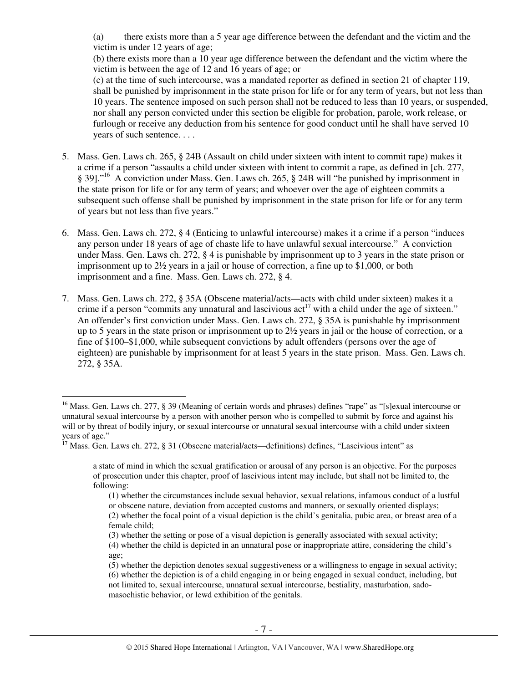(a) there exists more than a 5 year age difference between the defendant and the victim and the victim is under 12 years of age;

(b) there exists more than a 10 year age difference between the defendant and the victim where the victim is between the age of 12 and 16 years of age; or

(c) at the time of such intercourse, was a mandated reporter as defined in section 21 of chapter 119, shall be punished by imprisonment in the state prison for life or for any term of years, but not less than 10 years. The sentence imposed on such person shall not be reduced to less than 10 years, or suspended, nor shall any person convicted under this section be eligible for probation, parole, work release, or furlough or receive any deduction from his sentence for good conduct until he shall have served 10 years of such sentence. . . .

- 5. Mass. Gen. Laws ch. 265, § 24B (Assault on child under sixteen with intent to commit rape) makes it a crime if a person "assaults a child under sixteen with intent to commit a rape, as defined in [ch. 277, § 39]."<sup>16</sup> A conviction under Mass. Gen. Laws ch. 265, § 24B will "be punished by imprisonment in the state prison for life or for any term of years; and whoever over the age of eighteen commits a subsequent such offense shall be punished by imprisonment in the state prison for life or for any term of years but not less than five years."
- 6. Mass. Gen. Laws ch. 272, § 4 (Enticing to unlawful intercourse) makes it a crime if a person "induces any person under 18 years of age of chaste life to have unlawful sexual intercourse." A conviction under Mass. Gen. Laws ch. 272, § 4 is punishable by imprisonment up to 3 years in the state prison or imprisonment up to 2½ years in a jail or house of correction, a fine up to \$1,000, or both imprisonment and a fine. Mass. Gen. Laws ch. 272, § 4.
- 7. Mass. Gen. Laws ch. 272, § 35A (Obscene material/acts—acts with child under sixteen) makes it a crime if a person "commits any unnatural and lascivious  $\text{act}^{17}$  with a child under the age of sixteen." An offender's first conviction under Mass. Gen. Laws ch. 272, § 35A is punishable by imprisonment up to 5 years in the state prison or imprisonment up to 2½ years in jail or the house of correction, or a fine of \$100–\$1,000, while subsequent convictions by adult offenders (persons over the age of eighteen) are punishable by imprisonment for at least 5 years in the state prison. Mass. Gen. Laws ch. 272, § 35A.

 $\overline{a}$ <sup>16</sup> Mass. Gen. Laws ch. 277, § 39 (Meaning of certain words and phrases) defines "rape" as "[s]exual intercourse or unnatural sexual intercourse by a person with another person who is compelled to submit by force and against his will or by threat of bodily injury, or sexual intercourse or unnatural sexual intercourse with a child under sixteen years of age."

 $17$  Mass. Gen. Laws ch. 272, § 31 (Obscene material/acts—definitions) defines, "Lascivious intent" as

a state of mind in which the sexual gratification or arousal of any person is an objective. For the purposes of prosecution under this chapter, proof of lascivious intent may include, but shall not be limited to, the following:

<sup>(1)</sup> whether the circumstances include sexual behavior, sexual relations, infamous conduct of a lustful or obscene nature, deviation from accepted customs and manners, or sexually oriented displays; (2) whether the focal point of a visual depiction is the child's genitalia, pubic area, or breast area of a female child;

<sup>(3)</sup> whether the setting or pose of a visual depiction is generally associated with sexual activity; (4) whether the child is depicted in an unnatural pose or inappropriate attire, considering the child's age;

<sup>(5)</sup> whether the depiction denotes sexual suggestiveness or a willingness to engage in sexual activity; (6) whether the depiction is of a child engaging in or being engaged in sexual conduct, including, but not limited to, sexual intercourse, unnatural sexual intercourse, bestiality, masturbation, sadomasochistic behavior, or lewd exhibition of the genitals.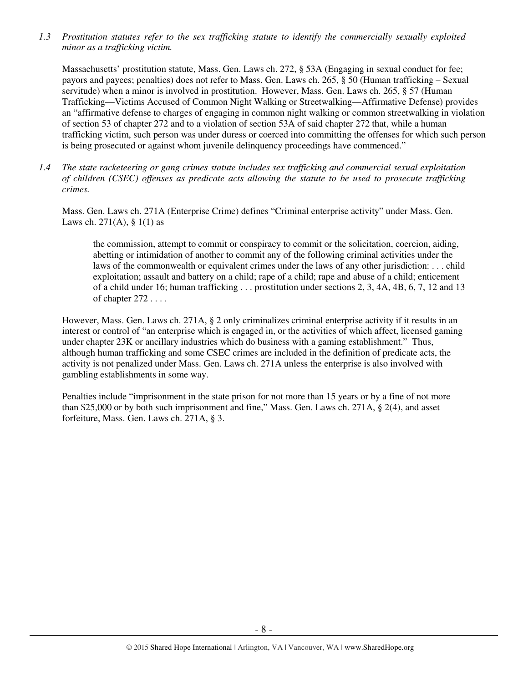*1.3 Prostitution statutes refer to the sex trafficking statute to identify the commercially sexually exploited minor as a trafficking victim.* 

Massachusetts' prostitution statute, Mass. Gen. Laws ch. 272, § 53A (Engaging in sexual conduct for fee; payors and payees; penalties) does not refer to Mass. Gen. Laws ch. 265, § 50 (Human trafficking – Sexual servitude) when a minor is involved in prostitution. However, Mass. Gen. Laws ch. 265, § 57 (Human Trafficking—Victims Accused of Common Night Walking or Streetwalking—Affirmative Defense) provides an "affirmative defense to charges of engaging in common night walking or common streetwalking in violation of section 53 of chapter 272 and to a violation of section 53A of said chapter 272 that, while a human trafficking victim, such person was under duress or coerced into committing the offenses for which such person is being prosecuted or against whom juvenile delinquency proceedings have commenced."

*1.4 The state racketeering or gang crimes statute includes sex trafficking and commercial sexual exploitation of children (CSEC) offenses as predicate acts allowing the statute to be used to prosecute trafficking crimes.* 

Mass. Gen. Laws ch. 271A (Enterprise Crime) defines "Criminal enterprise activity" under Mass. Gen. Laws ch. 271(A),  $\S$  1(1) as

the commission, attempt to commit or conspiracy to commit or the solicitation, coercion, aiding, abetting or intimidation of another to commit any of the following criminal activities under the laws of the commonwealth or equivalent crimes under the laws of any other jurisdiction: . . . child exploitation; assault and battery on a child; rape of a child; rape and abuse of a child; enticement of a child under 16; human trafficking . . . prostitution under sections 2, 3, 4A, 4B, 6, 7, 12 and 13 of chapter 272 . . . .

However, Mass. Gen. Laws ch. 271A, § 2 only criminalizes criminal enterprise activity if it results in an interest or control of "an enterprise which is engaged in, or the activities of which affect, licensed gaming under chapter 23K or ancillary industries which do business with a gaming establishment." Thus, although human trafficking and some CSEC crimes are included in the definition of predicate acts, the activity is not penalized under Mass. Gen. Laws ch. 271A unless the enterprise is also involved with gambling establishments in some way.

Penalties include "imprisonment in the state prison for not more than 15 years or by a fine of not more than \$25,000 or by both such imprisonment and fine," Mass. Gen. Laws ch. 271A, § 2(4), and asset forfeiture, Mass. Gen. Laws ch. 271A, § 3.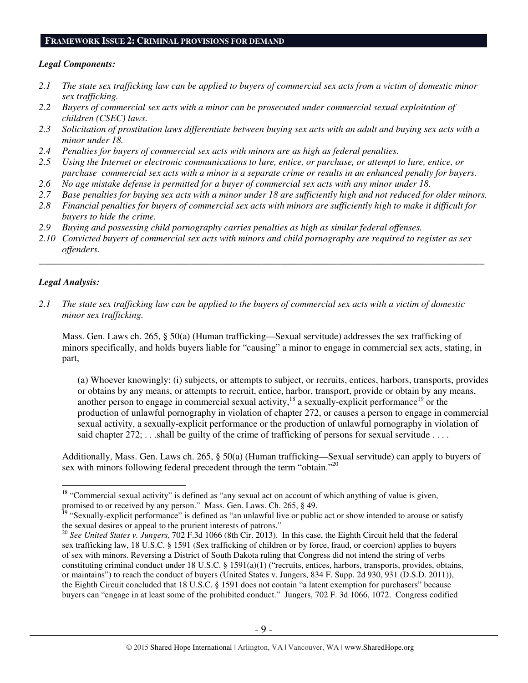#### **FRAMEWORK ISSUE 2: CRIMINAL PROVISIONS FOR DEMAND**

## *Legal Components:*

- *2.1 The state sex trafficking law can be applied to buyers of commercial sex acts from a victim of domestic minor sex trafficking.*
- *2.2 Buyers of commercial sex acts with a minor can be prosecuted under commercial sexual exploitation of children (CSEC) laws.*
- *2.3 Solicitation of prostitution laws differentiate between buying sex acts with an adult and buying sex acts with a minor under 18.*
- *2.4 Penalties for buyers of commercial sex acts with minors are as high as federal penalties.*
- *2.5 Using the Internet or electronic communications to lure, entice, or purchase, or attempt to lure, entice, or purchase commercial sex acts with a minor is a separate crime or results in an enhanced penalty for buyers.*
- *2.6 No age mistake defense is permitted for a buyer of commercial sex acts with any minor under 18.*
- *2.7 Base penalties for buying sex acts with a minor under 18 are sufficiently high and not reduced for older minors. 2.8 Financial penalties for buyers of commercial sex acts with minors are sufficiently high to make it difficult for*
- *buyers to hide the crime.*
- *2.9 Buying and possessing child pornography carries penalties as high as similar federal offenses.*
- *2.10 Convicted buyers of commercial sex acts with minors and child pornography are required to register as sex offenders.*

\_\_\_\_\_\_\_\_\_\_\_\_\_\_\_\_\_\_\_\_\_\_\_\_\_\_\_\_\_\_\_\_\_\_\_\_\_\_\_\_\_\_\_\_\_\_\_\_\_\_\_\_\_\_\_\_\_\_\_\_\_\_\_\_\_\_\_\_\_\_\_\_\_\_\_\_\_\_\_\_\_\_\_\_\_\_\_\_\_\_\_\_\_\_

# *Legal Analysis:*

 $\overline{a}$ 

*2.1 The state sex trafficking law can be applied to the buyers of commercial sex acts with a victim of domestic minor sex trafficking.*

Mass. Gen. Laws ch. 265, § 50(a) (Human trafficking—Sexual servitude) addresses the sex trafficking of minors specifically, and holds buyers liable for "causing" a minor to engage in commercial sex acts, stating, in part,

(a) Whoever knowingly: (i) subjects, or attempts to subject, or recruits, entices, harbors, transports, provides or obtains by any means, or attempts to recruit, entice, harbor, transport, provide or obtain by any means, another person to engage in commercial sexual activity,  $^{18}$  a sexually-explicit performance<sup>19</sup> or the production of unlawful pornography in violation of chapter 272, or causes a person to engage in commercial sexual activity, a sexually-explicit performance or the production of unlawful pornography in violation of said chapter  $272$ ; ...shall be guilty of the crime of trafficking of persons for sexual servitude ...

Additionally, Mass. Gen. Laws ch. 265, § 50(a) (Human trafficking—Sexual servitude) can apply to buyers of sex with minors following federal precedent through the term "obtain."<sup>20</sup>

<sup>&</sup>lt;sup>18</sup> "Commercial sexual activity" is defined as "any sexual act on account of which anything of value is given, promised to or received by any person." Mass. Gen. Laws. Ch. 265, § 49.

<sup>&</sup>lt;sup>19</sup> "Sexually-explicit performance" is defined as "an unlawful live or public act or show intended to arouse or satisfy the sexual desires or appeal to the prurient interests of patrons."

<sup>20</sup> *See United States v. Jungers*, 702 F.3d 1066 (8th Cir. 2013). In this case, the Eighth Circuit held that the federal sex trafficking law, 18 U.S.C. § 1591 (Sex trafficking of children or by force, fraud, or coercion) applies to buyers of sex with minors. Reversing a District of South Dakota ruling that Congress did not intend the string of verbs constituting criminal conduct under 18 U.S.C. § 1591(a)(1) ("recruits, entices, harbors, transports, provides, obtains, or maintains") to reach the conduct of buyers (United States v. Jungers, 834 F. Supp. 2d 930, 931 (D.S.D. 2011)), the Eighth Circuit concluded that 18 U.S.C. § 1591 does not contain "a latent exemption for purchasers" because buyers can "engage in at least some of the prohibited conduct." Jungers, 702 F. 3d 1066, 1072. Congress codified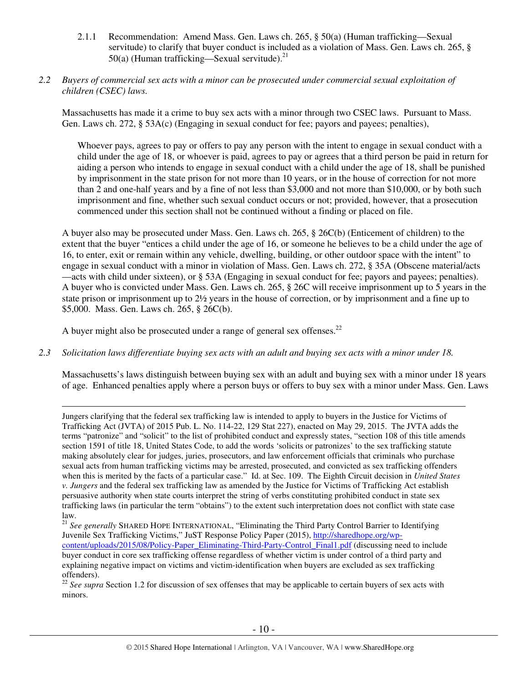- 2.1.1 Recommendation: Amend Mass. Gen. Laws ch. 265, § 50(a) (Human trafficking—Sexual servitude) to clarify that buyer conduct is included as a violation of Mass. Gen. Laws ch. 265, § 50(a) (Human trafficking—Sexual servitude).<sup>21</sup>
- *2.2 Buyers of commercial sex acts with a minor can be prosecuted under commercial sexual exploitation of children (CSEC) laws.*

Massachusetts has made it a crime to buy sex acts with a minor through two CSEC laws. Pursuant to Mass. Gen. Laws ch. 272, § 53A(c) (Engaging in sexual conduct for fee; payors and payees; penalties),

Whoever pays, agrees to pay or offers to pay any person with the intent to engage in sexual conduct with a child under the age of 18, or whoever is paid, agrees to pay or agrees that a third person be paid in return for aiding a person who intends to engage in sexual conduct with a child under the age of 18, shall be punished by imprisonment in the state prison for not more than 10 years, or in the house of correction for not more than 2 and one-half years and by a fine of not less than \$3,000 and not more than \$10,000, or by both such imprisonment and fine, whether such sexual conduct occurs or not; provided, however, that a prosecution commenced under this section shall not be continued without a finding or placed on file.

A buyer also may be prosecuted under Mass. Gen. Laws ch. 265, § 26C(b) (Enticement of children) to the extent that the buyer "entices a child under the age of 16, or someone he believes to be a child under the age of 16, to enter, exit or remain within any vehicle, dwelling, building, or other outdoor space with the intent" to engage in sexual conduct with a minor in violation of Mass. Gen. Laws ch. 272, § 35A (Obscene material/acts —acts with child under sixteen), or § 53A (Engaging in sexual conduct for fee; payors and payees; penalties). A buyer who is convicted under Mass. Gen. Laws ch. 265, § 26C will receive imprisonment up to 5 years in the state prison or imprisonment up to 2½ years in the house of correction, or by imprisonment and a fine up to \$5,000. Mass. Gen. Laws ch. 265, § 26C(b).

A buyer might also be prosecuted under a range of general sex offenses.<sup>22</sup>

*2.3 Solicitation laws differentiate buying sex acts with an adult and buying sex acts with a minor under 18.* 

Massachusetts's laws distinguish between buying sex with an adult and buying sex with a minor under 18 years of age. Enhanced penalties apply where a person buys or offers to buy sex with a minor under Mass. Gen. Laws

 $\overline{a}$ Jungers clarifying that the federal sex trafficking law is intended to apply to buyers in the Justice for Victims of Trafficking Act (JVTA) of 2015 Pub. L. No. 114-22, 129 Stat 227), enacted on May 29, 2015. The JVTA adds the terms "patronize" and "solicit" to the list of prohibited conduct and expressly states, "section 108 of this title amends section 1591 of title 18, United States Code, to add the words 'solicits or patronizes' to the sex trafficking statute making absolutely clear for judges, juries, prosecutors, and law enforcement officials that criminals who purchase sexual acts from human trafficking victims may be arrested, prosecuted, and convicted as sex trafficking offenders when this is merited by the facts of a particular case." Id. at Sec. 109. The Eighth Circuit decision in *United States v. Jungers* and the federal sex trafficking law as amended by the Justice for Victims of Trafficking Act establish persuasive authority when state courts interpret the string of verbs constituting prohibited conduct in state sex trafficking laws (in particular the term "obtains") to the extent such interpretation does not conflict with state case law.

<sup>22</sup> See supra Section 1.2 for discussion of sex offenses that may be applicable to certain buyers of sex acts with minors.

<sup>&</sup>lt;sup>21</sup> See generally SHARED HOPE INTERNATIONAL, "Eliminating the Third Party Control Barrier to Identifying Juvenile Sex Trafficking Victims," JuST Response Policy Paper (2015), http://sharedhope.org/wpcontent/uploads/2015/08/Policy-Paper\_Eliminating-Third-Party-Control\_Final1.pdf (discussing need to include buyer conduct in core sex trafficking offense regardless of whether victim is under control of a third party and explaining negative impact on victims and victim-identification when buyers are excluded as sex trafficking offenders).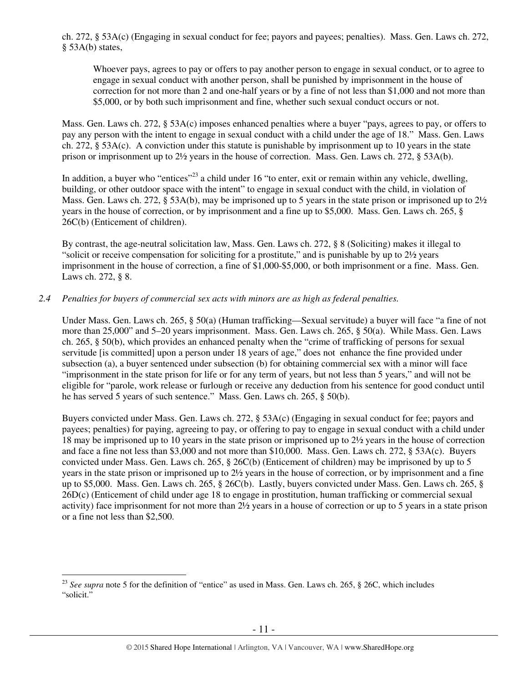ch. 272, § 53A(c) (Engaging in sexual conduct for fee; payors and payees; penalties). Mass. Gen. Laws ch. 272, § 53A(b) states,

Whoever pays, agrees to pay or offers to pay another person to engage in sexual conduct, or to agree to engage in sexual conduct with another person, shall be punished by imprisonment in the house of correction for not more than 2 and one-half years or by a fine of not less than \$1,000 and not more than \$5,000, or by both such imprisonment and fine, whether such sexual conduct occurs or not.

Mass. Gen. Laws ch. 272, § 53A(c) imposes enhanced penalties where a buyer "pays, agrees to pay, or offers to pay any person with the intent to engage in sexual conduct with a child under the age of 18." Mass. Gen. Laws ch. 272, § 53A(c). A conviction under this statute is punishable by imprisonment up to 10 years in the state prison or imprisonment up to 2½ years in the house of correction. Mass. Gen. Laws ch. 272, § 53A(b).

In addition, a buyer who "entices"<sup>23</sup> a child under 16 "to enter, exit or remain within any vehicle, dwelling, building, or other outdoor space with the intent" to engage in sexual conduct with the child, in violation of Mass. Gen. Laws ch. 272, § 53A(b), may be imprisoned up to 5 years in the state prison or imprisoned up to 2½ years in the house of correction, or by imprisonment and a fine up to \$5,000. Mass. Gen. Laws ch. 265, § 26C(b) (Enticement of children).

By contrast, the age-neutral solicitation law, Mass. Gen. Laws ch. 272, § 8 (Soliciting) makes it illegal to "solicit or receive compensation for soliciting for a prostitute," and is punishable by up to 2½ years imprisonment in the house of correction, a fine of \$1,000-\$5,000, or both imprisonment or a fine. Mass. Gen. Laws ch. 272, § 8.

# *2.4 Penalties for buyers of commercial sex acts with minors are as high as federal penalties.*

Under Mass. Gen. Laws ch. 265, § 50(a) (Human trafficking—Sexual servitude) a buyer will face "a fine of not more than 25,000" and 5–20 years imprisonment. Mass. Gen. Laws ch. 265, § 50(a). While Mass. Gen. Laws ch. 265, § 50(b), which provides an enhanced penalty when the "crime of trafficking of persons for sexual servitude [is committed] upon a person under 18 years of age," does not enhance the fine provided under subsection (a), a buyer sentenced under subsection (b) for obtaining commercial sex with a minor will face "imprisonment in the state prison for life or for any term of years, but not less than 5 years," and will not be eligible for "parole, work release or furlough or receive any deduction from his sentence for good conduct until he has served 5 years of such sentence." Mass. Gen. Laws ch. 265, § 50(b).

Buyers convicted under Mass. Gen. Laws ch. 272, § 53A(c) (Engaging in sexual conduct for fee; payors and payees; penalties) for paying, agreeing to pay, or offering to pay to engage in sexual conduct with a child under 18 may be imprisoned up to 10 years in the state prison or imprisoned up to 2½ years in the house of correction and face a fine not less than \$3,000 and not more than \$10,000. Mass. Gen. Laws ch. 272, § 53A(c). Buyers convicted under Mass. Gen. Laws ch. 265, § 26C(b) (Enticement of children) may be imprisoned by up to 5 years in the state prison or imprisoned up to 2½ years in the house of correction, or by imprisonment and a fine up to \$5,000. Mass. Gen. Laws ch. 265, § 26C(b). Lastly, buyers convicted under Mass. Gen. Laws ch. 265, § 26D(c) (Enticement of child under age 18 to engage in prostitution, human trafficking or commercial sexual activity) face imprisonment for not more than 2½ years in a house of correction or up to 5 years in a state prison or a fine not less than \$2,500.

<sup>&</sup>lt;sup>23</sup> See supra note 5 for the definition of "entice" as used in Mass. Gen. Laws ch. 265, § 26C, which includes "solicit."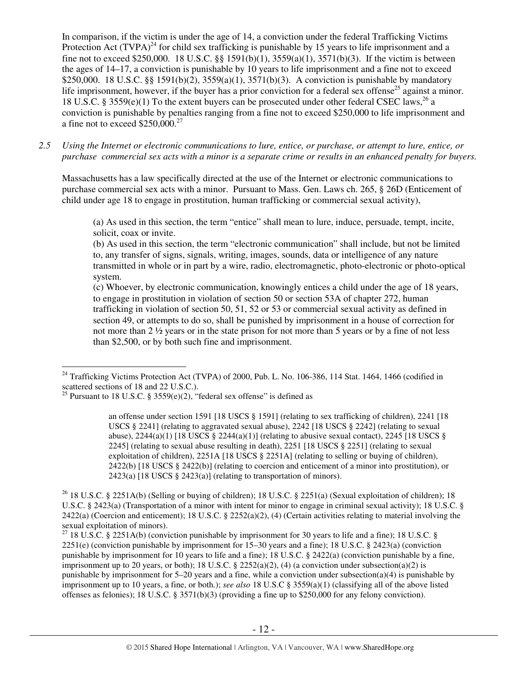In comparison, if the victim is under the age of 14, a conviction under the federal Trafficking Victims Protection Act  $(TVPA)^{24}$  for child sex trafficking is punishable by 15 years to life imprisonment and a fine not to exceed \$250,000. 18 U.S.C. §§ 1591(b)(1), 3559(a)(1), 3571(b)(3). If the victim is between the ages of 14–17, a conviction is punishable by 10 years to life imprisonment and a fine not to exceed \$250,000. 18 U.S.C. §§ 1591(b)(2), 3559(a)(1), 3571(b)(3). A conviction is punishable by mandatory life imprisonment, however, if the buyer has a prior conviction for a federal sex offense<sup>25</sup> against a minor. 18 U.S.C. § 3559(e)(1) To the extent buyers can be prosecuted under other federal CSEC laws,<sup>26</sup> a conviction is punishable by penalties ranging from a fine not to exceed \$250,000 to life imprisonment and a fine not to exceed  $$250,000.<sup>27</sup>$ 

*2.5 Using the Internet or electronic communications to lure, entice, or purchase, or attempt to lure, entice, or purchase commercial sex acts with a minor is a separate crime or results in an enhanced penalty for buyers.* 

Massachusetts has a law specifically directed at the use of the Internet or electronic communications to purchase commercial sex acts with a minor. Pursuant to Mass. Gen. Laws ch. 265, § 26D (Enticement of child under age 18 to engage in prostitution, human trafficking or commercial sexual activity),

(a) As used in this section, the term "entice" shall mean to lure, induce, persuade, tempt, incite, solicit, coax or invite.

(b) As used in this section, the term "electronic communication" shall include, but not be limited to, any transfer of signs, signals, writing, images, sounds, data or intelligence of any nature transmitted in whole or in part by a wire, radio, electromagnetic, photo-electronic or photo-optical system.

(c) Whoever, by electronic communication, knowingly entices a child under the age of 18 years, to engage in prostitution in violation of section 50 or section 53A of chapter 272, human trafficking in violation of section 50, 51, 52 or 53 or commercial sexual activity as defined in section 49, or attempts to do so, shall be punished by imprisonment in a house of correction for not more than 2 ½ years or in the state prison for not more than 5 years or by a fine of not less than \$2,500, or by both such fine and imprisonment.

 $\overline{a}$  $24$  Trafficking Victims Protection Act (TVPA) of 2000, Pub. L. No. 106-386, 114 Stat. 1464, 1466 (codified in scattered sections of 18 and 22 U.S.C.).

<sup>&</sup>lt;sup>25</sup> Pursuant to 18 U.S.C. § 3559 $(e)(2)$ , "federal sex offense" is defined as

an offense under section 1591 [18 USCS § 1591] (relating to sex trafficking of children), 2241 [18 USCS § 2241] (relating to aggravated sexual abuse), 2242 [18 USCS § 2242] (relating to sexual abuse),  $2244(a)(1)$  [18 USCS §  $2244(a)(1)$ ] (relating to abusive sexual contact),  $2245$  [18 USCS § 2245] (relating to sexual abuse resulting in death), 2251 [18 USCS § 2251] (relating to sexual exploitation of children), 2251A [18 USCS § 2251A] (relating to selling or buying of children), 2422(b) [18 USCS § 2422(b)] (relating to coercion and enticement of a minor into prostitution), or 2423(a)  $[18$  USCS § 2423(a)] (relating to transportation of minors).

<sup>&</sup>lt;sup>26</sup> 18 U.S.C. § 2251A(b) (Selling or buying of children); 18 U.S.C. § 2251(a) (Sexual exploitation of children); 18 U.S.C. § 2423(a) (Transportation of a minor with intent for minor to engage in criminal sexual activity); 18 U.S.C. §  $2422(a)$  (Coercion and enticement); 18 U.S.C. §  $2252(a)(2)$ , (4) (Certain activities relating to material involving the sexual exploitation of minors).

<sup>&</sup>lt;sup>27</sup> 18 U.S.C. § 2251A(b) (conviction punishable by imprisonment for 30 years to life and a fine); 18 U.S.C. § 2251(e) (conviction punishable by imprisonment for 15–30 years and a fine); 18 U.S.C. § 2423(a) (conviction punishable by imprisonment for 10 years to life and a fine); 18 U.S.C. § 2422(a) (conviction punishable by a fine, imprisonment up to 20 years, or both); 18 U.S.C. § 2252(a)(2), (4) (a conviction under subsection(a)(2) is punishable by imprisonment for 5–20 years and a fine, while a conviction under subsection(a)(4) is punishable by imprisonment up to 10 years, a fine, or both.); *see also* 18 U.S.C § 3559(a)(1) (classifying all of the above listed offenses as felonies); 18 U.S.C. § 3571(b)(3) (providing a fine up to \$250,000 for any felony conviction).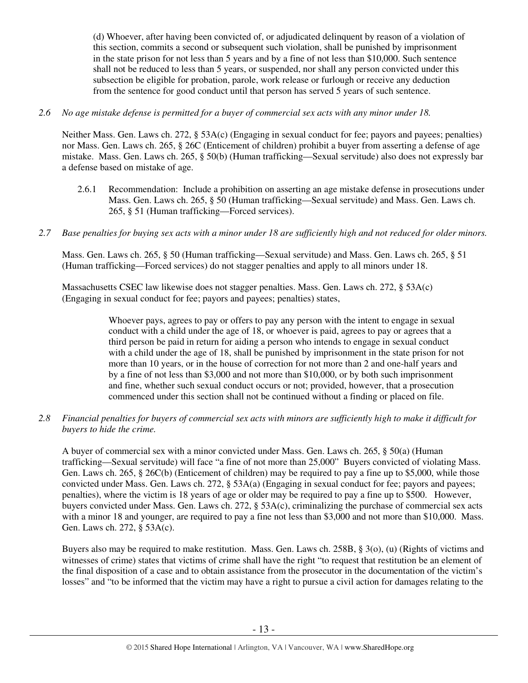(d) Whoever, after having been convicted of, or adjudicated delinquent by reason of a violation of this section, commits a second or subsequent such violation, shall be punished by imprisonment in the state prison for not less than 5 years and by a fine of not less than \$10,000. Such sentence shall not be reduced to less than 5 years, or suspended, nor shall any person convicted under this subsection be eligible for probation, parole, work release or furlough or receive any deduction from the sentence for good conduct until that person has served 5 years of such sentence.

# *2.6 No age mistake defense is permitted for a buyer of commercial sex acts with any minor under 18.*

Neither Mass. Gen. Laws ch. 272, § 53A(c) (Engaging in sexual conduct for fee; payors and payees; penalties) nor Mass. Gen. Laws ch. 265, § 26C (Enticement of children) prohibit a buyer from asserting a defense of age mistake. Mass. Gen. Laws ch. 265, § 50(b) (Human trafficking—Sexual servitude) also does not expressly bar a defense based on mistake of age.

- 2.6.1 Recommendation: Include a prohibition on asserting an age mistake defense in prosecutions under Mass. Gen. Laws ch. 265, § 50 (Human trafficking—Sexual servitude) and Mass. Gen. Laws ch. 265, § 51 (Human trafficking—Forced services).
- *2.7 Base penalties for buying sex acts with a minor under 18 are sufficiently high and not reduced for older minors.*

Mass. Gen. Laws ch. 265, § 50 (Human trafficking—Sexual servitude) and Mass. Gen. Laws ch. 265, § 51 (Human trafficking—Forced services) do not stagger penalties and apply to all minors under 18.

Massachusetts CSEC law likewise does not stagger penalties. Mass. Gen. Laws ch. 272, § 53A(c) (Engaging in sexual conduct for fee; payors and payees; penalties) states,

> Whoever pays, agrees to pay or offers to pay any person with the intent to engage in sexual conduct with a child under the age of 18, or whoever is paid, agrees to pay or agrees that a third person be paid in return for aiding a person who intends to engage in sexual conduct with a child under the age of 18, shall be punished by imprisonment in the state prison for not more than 10 years, or in the house of correction for not more than 2 and one-half years and by a fine of not less than \$3,000 and not more than \$10,000, or by both such imprisonment and fine, whether such sexual conduct occurs or not; provided, however, that a prosecution commenced under this section shall not be continued without a finding or placed on file.

*2.8 Financial penalties for buyers of commercial sex acts with minors are sufficiently high to make it difficult for buyers to hide the crime.* 

A buyer of commercial sex with a minor convicted under Mass. Gen. Laws ch. 265, § 50(a) (Human trafficking—Sexual servitude) will face "a fine of not more than 25,000" Buyers convicted of violating Mass. Gen. Laws ch. 265, § 26C(b) (Enticement of children) may be required to pay a fine up to \$5,000, while those convicted under Mass. Gen. Laws ch. 272, § 53A(a) (Engaging in sexual conduct for fee; payors and payees; penalties), where the victim is 18 years of age or older may be required to pay a fine up to \$500. However, buyers convicted under Mass. Gen. Laws ch. 272, § 53A(c), criminalizing the purchase of commercial sex acts with a minor 18 and younger, are required to pay a fine not less than \$3,000 and not more than \$10,000. Mass. Gen. Laws ch. 272, § 53A(c).

Buyers also may be required to make restitution. Mass. Gen. Laws ch. 258B, § 3(o), (u) (Rights of victims and witnesses of crime) states that victims of crime shall have the right "to request that restitution be an element of the final disposition of a case and to obtain assistance from the prosecutor in the documentation of the victim's losses" and "to be informed that the victim may have a right to pursue a civil action for damages relating to the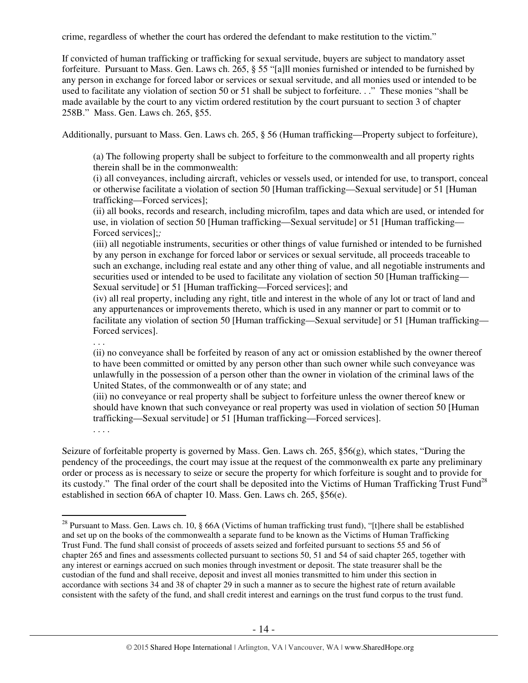crime, regardless of whether the court has ordered the defendant to make restitution to the victim."

If convicted of human trafficking or trafficking for sexual servitude, buyers are subject to mandatory asset forfeiture. Pursuant to Mass. Gen. Laws ch. 265, § 55 "[a]ll monies furnished or intended to be furnished by any person in exchange for forced labor or services or sexual servitude, and all monies used or intended to be used to facilitate any violation of section 50 or 51 shall be subject to forfeiture. . ." These monies "shall be made available by the court to any victim ordered restitution by the court pursuant to section 3 of chapter 258B." Mass. Gen. Laws ch. 265, §55.

Additionally, pursuant to Mass. Gen. Laws ch. 265, § 56 (Human trafficking—Property subject to forfeiture),

(a) The following property shall be subject to forfeiture to the commonwealth and all property rights therein shall be in the commonwealth:

(i) all conveyances, including aircraft, vehicles or vessels used, or intended for use, to transport, conceal or otherwise facilitate a violation of section 50 [Human trafficking—Sexual servitude] or 51 [Human trafficking—Forced services];

(ii) all books, records and research, including microfilm, tapes and data which are used, or intended for use, in violation of section 50 [Human trafficking—Sexual servitude] or 51 [Human trafficking— Forced services];*;* 

(iii) all negotiable instruments, securities or other things of value furnished or intended to be furnished by any person in exchange for forced labor or services or sexual servitude, all proceeds traceable to such an exchange, including real estate and any other thing of value, and all negotiable instruments and securities used or intended to be used to facilitate any violation of section 50 [Human trafficking— Sexual servitude] or 51 [Human trafficking—Forced services]; and

(iv) all real property, including any right, title and interest in the whole of any lot or tract of land and any appurtenances or improvements thereto, which is used in any manner or part to commit or to facilitate any violation of section 50 [Human trafficking—Sexual servitude] or 51 [Human trafficking— Forced services].

. . .

(ii) no conveyance shall be forfeited by reason of any act or omission established by the owner thereof to have been committed or omitted by any person other than such owner while such conveyance was unlawfully in the possession of a person other than the owner in violation of the criminal laws of the United States, of the commonwealth or of any state; and

(iii) no conveyance or real property shall be subject to forfeiture unless the owner thereof knew or should have known that such conveyance or real property was used in violation of section 50 [Human trafficking—Sexual servitude] or 51 [Human trafficking—Forced services].

. . . .

 $\overline{a}$ 

Seizure of forfeitable property is governed by Mass. Gen. Laws ch. 265, §56(g), which states, "During the pendency of the proceedings, the court may issue at the request of the commonwealth ex parte any preliminary order or process as is necessary to seize or secure the property for which forfeiture is sought and to provide for its custody." The final order of the court shall be deposited into the Victims of Human Trafficking Trust Fund<sup>28</sup> established in section 66A of chapter 10. Mass. Gen. Laws ch. 265, §56(e).

<sup>&</sup>lt;sup>28</sup> Pursuant to Mass. Gen. Laws ch. 10, § 66A (Victims of human trafficking trust fund), "[t]here shall be established and set up on the books of the commonwealth a separate fund to be known as the Victims of Human Trafficking Trust Fund. The fund shall consist of proceeds of assets seized and forfeited pursuant to sections 55 and 56 of chapter 265 and fines and assessments collected pursuant to sections 50, 51 and 54 of said chapter 265, together with any interest or earnings accrued on such monies through investment or deposit. The state treasurer shall be the custodian of the fund and shall receive, deposit and invest all monies transmitted to him under this section in accordance with sections 34 and 38 of chapter 29 in such a manner as to secure the highest rate of return available consistent with the safety of the fund, and shall credit interest and earnings on the trust fund corpus to the trust fund.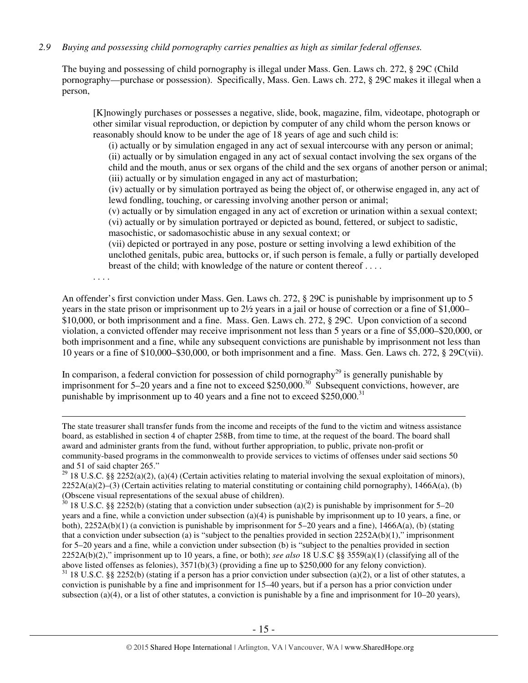# *2.9 Buying and possessing child pornography carries penalties as high as similar federal offenses.*

The buying and possessing of child pornography is illegal under Mass. Gen. Laws ch. 272, § 29C (Child pornography—purchase or possession). Specifically, Mass. Gen. Laws ch. 272, § 29C makes it illegal when a person,

[K]nowingly purchases or possesses a negative, slide, book, magazine, film, videotape, photograph or other similar visual reproduction, or depiction by computer of any child whom the person knows or reasonably should know to be under the age of 18 years of age and such child is:

(i) actually or by simulation engaged in any act of sexual intercourse with any person or animal; (ii) actually or by simulation engaged in any act of sexual contact involving the sex organs of the child and the mouth, anus or sex organs of the child and the sex organs of another person or animal; (iii) actually or by simulation engaged in any act of masturbation;

(iv) actually or by simulation portrayed as being the object of, or otherwise engaged in, any act of lewd fondling, touching, or caressing involving another person or animal;

(v) actually or by simulation engaged in any act of excretion or urination within a sexual context; (vi) actually or by simulation portrayed or depicted as bound, fettered, or subject to sadistic,

masochistic, or sadomasochistic abuse in any sexual context; or

(vii) depicted or portrayed in any pose, posture or setting involving a lewd exhibition of the unclothed genitals, pubic area, buttocks or, if such person is female, a fully or partially developed breast of the child; with knowledge of the nature or content thereof . . . .

. . . .

An offender's first conviction under Mass. Gen. Laws ch. 272, § 29C is punishable by imprisonment up to 5 years in the state prison or imprisonment up to 2½ years in a jail or house of correction or a fine of \$1,000– \$10,000, or both imprisonment and a fine. Mass. Gen. Laws ch. 272, § 29C. Upon conviction of a second violation, a convicted offender may receive imprisonment not less than 5 years or a fine of \$5,000–\$20,000, or both imprisonment and a fine, while any subsequent convictions are punishable by imprisonment not less than 10 years or a fine of \$10,000–\$30,000, or both imprisonment and a fine. Mass. Gen. Laws ch. 272, § 29C(vii).

In comparison, a federal conviction for possession of child pornography<sup>29</sup> is generally punishable by imprisonment for 5–20 years and a fine not to exceed \$250,000.<sup>30</sup> Subsequent convictions, however, are punishable by imprisonment up to 40 years and a fine not to exceed \$250,000.<sup>31</sup>

 $\overline{a}$ The state treasurer shall transfer funds from the income and receipts of the fund to the victim and witness assistance board, as established in section 4 of chapter 258B, from time to time, at the request of the board. The board shall award and administer grants from the fund, without further appropriation, to public, private non-profit or community-based programs in the commonwealth to provide services to victims of offenses under said sections 50 and 51 of said chapter 265."

 $31$  18 U.S.C. §§ 2252(b) (stating if a person has a prior conviction under subsection (a)(2), or a list of other statutes, a conviction is punishable by a fine and imprisonment for 15–40 years, but if a person has a prior conviction under subsection (a)(4), or a list of other statutes, a conviction is punishable by a fine and imprisonment for  $10-20$  years),

<sup>&</sup>lt;sup>29</sup> 18 U.S.C. §§ 2252(a)(2), (a)(4) (Certain activities relating to material involving the sexual exploitation of minors),  $2252A(a)(2)$ –(3) (Certain activities relating to material constituting or containing child pornography), 1466A(a), (b) (Obscene visual representations of the sexual abuse of children).

 $30$  18 U.S.C. §§ 2252(b) (stating that a conviction under subsection (a)(2) is punishable by imprisonment for 5–20 years and a fine, while a conviction under subsection (a)(4) is punishable by imprisonment up to 10 years, a fine, or both), 2252A(b)(1) (a conviction is punishable by imprisonment for 5–20 years and a fine), 1466A(a), (b) (stating that a conviction under subsection (a) is "subject to the penalties provided in section  $2252A(b)(1)$ ," imprisonment for 5–20 years and a fine, while a conviction under subsection (b) is "subject to the penalties provided in section 2252A(b)(2)," imprisonment up to 10 years, a fine, or both); *see also* 18 U.S.C §§ 3559(a)(1) (classifying all of the above listed offenses as felonies), 3571(b)(3) (providing a fine up to \$250,000 for any felony conviction).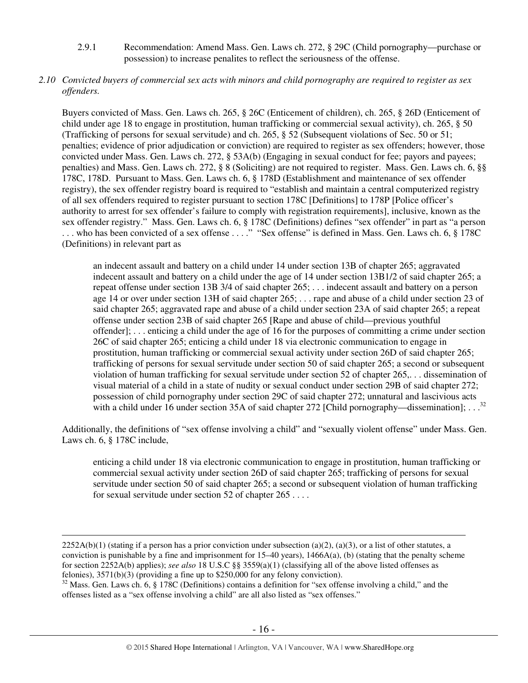2.9.1 Recommendation: Amend Mass. Gen. Laws ch. 272, § 29C (Child pornography—purchase or possession) to increase penalites to reflect the seriousness of the offense.

# *2.10 Convicted buyers of commercial sex acts with minors and child pornography are required to register as sex offenders.*

Buyers convicted of Mass. Gen. Laws ch. 265, § 26C (Enticement of children), ch. 265, § 26D (Enticement of child under age 18 to engage in prostitution, human trafficking or commercial sexual activity), ch. 265, § 50 (Trafficking of persons for sexual servitude) and ch. 265, § 52 (Subsequent violations of Sec. 50 or 51; penalties; evidence of prior adjudication or conviction) are required to register as sex offenders; however, those convicted under Mass. Gen. Laws ch. 272, § 53A(b) (Engaging in sexual conduct for fee; payors and payees; penalties) and Mass. Gen. Laws ch. 272, § 8 (Soliciting) are not required to register. Mass. Gen. Laws ch. 6, §§ 178C, 178D. Pursuant to Mass. Gen. Laws ch. 6, § 178D (Establishment and maintenance of sex offender registry), the sex offender registry board is required to "establish and maintain a central computerized registry of all sex offenders required to register pursuant to section 178C [Definitions] to 178P [Police officer's authority to arrest for sex offender's failure to comply with registration requirements], inclusive, known as the sex offender registry." Mass. Gen. Laws ch. 6, § 178C (Definitions) defines "sex offender" in part as "a person ... who has been convicted of a sex offense ...." "Sex offense" is defined in Mass. Gen. Laws ch. 6, § 178C (Definitions) in relevant part as

an indecent assault and battery on a child under 14 under section 13B of chapter 265; aggravated indecent assault and battery on a child under the age of 14 under section 13B1/2 of said chapter 265; a repeat offense under section 13B 3/4 of said chapter 265; . . . indecent assault and battery on a person age 14 or over under section 13H of said chapter 265; . . . rape and abuse of a child under section 23 of said chapter 265; aggravated rape and abuse of a child under section 23A of said chapter 265; a repeat offense under section 23B of said chapter 265 [Rape and abuse of child—previous youthful offender]; . . . enticing a child under the age of 16 for the purposes of committing a crime under section 26C of said chapter 265; enticing a child under 18 via electronic communication to engage in prostitution, human trafficking or commercial sexual activity under section 26D of said chapter 265; trafficking of persons for sexual servitude under section 50 of said chapter 265; a second or subsequent violation of human trafficking for sexual servitude under section 52 of chapter 265,. . . dissemination of visual material of a child in a state of nudity or sexual conduct under section 29B of said chapter 272; possession of child pornography under section 29C of said chapter 272; unnatural and lascivious acts with a child under 16 under section 35A of said chapter 272 [Child pornography—dissemination]; ...

Additionally, the definitions of "sex offense involving a child" and "sexually violent offense" under Mass. Gen. Laws ch. 6, § 178C include,

enticing a child under 18 via electronic communication to engage in prostitution, human trafficking or commercial sexual activity under section 26D of said chapter 265; trafficking of persons for sexual servitude under section 50 of said chapter 265; a second or subsequent violation of human trafficking for sexual servitude under section 52 of chapter 265 . . . .

 $2252A(b)(1)$  (stating if a person has a prior conviction under subsection (a)(2), (a)(3), or a list of other statutes, a conviction is punishable by a fine and imprisonment for  $15-40$  years),  $1466A(a)$ , (b) (stating that the penalty scheme for section 2252A(b) applies); *see also* 18 U.S.C §§ 3559(a)(1) (classifying all of the above listed offenses as felonies), 3571(b)(3) (providing a fine up to \$250,000 for any felony conviction).

<sup>&</sup>lt;sup>32</sup> Mass. Gen. Laws ch. 6, § 178C (Definitions) contains a definition for "sex offense involving a child," and the offenses listed as a "sex offense involving a child" are all also listed as "sex offenses."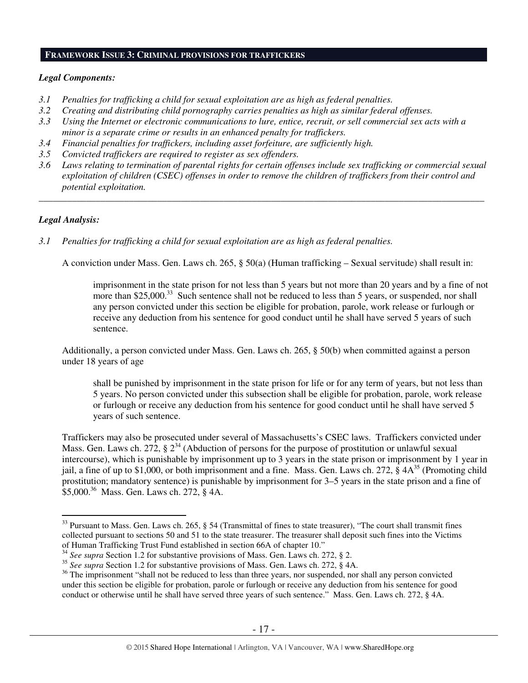## **FRAMEWORK ISSUE 3: CRIMINAL PROVISIONS FOR TRAFFICKERS**

#### *Legal Components:*

- *3.1 Penalties for trafficking a child for sexual exploitation are as high as federal penalties.*
- *3.2 Creating and distributing child pornography carries penalties as high as similar federal offenses.*
- *3.3 Using the Internet or electronic communications to lure, entice, recruit, or sell commercial sex acts with a minor is a separate crime or results in an enhanced penalty for traffickers.*
- *3.4 Financial penalties for traffickers, including asset forfeiture, are sufficiently high.*
- *3.5 Convicted traffickers are required to register as sex offenders.*
- *3.6 Laws relating to termination of parental rights for certain offenses include sex trafficking or commercial sexual exploitation of children (CSEC) offenses in order to remove the children of traffickers from their control and potential exploitation.*

*\_\_\_\_\_\_\_\_\_\_\_\_\_\_\_\_\_\_\_\_\_\_\_\_\_\_\_\_\_\_\_\_\_\_\_\_\_\_\_\_\_\_\_\_\_\_\_\_\_\_\_\_\_\_\_\_\_\_\_\_\_\_\_\_\_\_\_\_\_\_\_\_\_\_\_\_\_\_\_\_\_\_\_\_\_\_\_\_\_\_\_\_\_\_* 

## *Legal Analysis:*

 $\overline{a}$ 

*3.1 Penalties for trafficking a child for sexual exploitation are as high as federal penalties.* 

A conviction under Mass. Gen. Laws ch. 265, § 50(a) (Human trafficking – Sexual servitude) shall result in:

imprisonment in the state prison for not less than 5 years but not more than 20 years and by a fine of not more than \$25,000<sup>33</sup> Such sentence shall not be reduced to less than 5 years, or suspended, nor shall any person convicted under this section be eligible for probation, parole, work release or furlough or receive any deduction from his sentence for good conduct until he shall have served 5 years of such sentence.

Additionally, a person convicted under Mass. Gen. Laws ch. 265, § 50(b) when committed against a person under 18 years of age

shall be punished by imprisonment in the state prison for life or for any term of years, but not less than 5 years. No person convicted under this subsection shall be eligible for probation, parole, work release or furlough or receive any deduction from his sentence for good conduct until he shall have served 5 years of such sentence.

Traffickers may also be prosecuted under several of Massachusetts's CSEC laws. Traffickers convicted under Mass. Gen. Laws ch. 272,  $\S 2^{34}$  (Abduction of persons for the purpose of prostitution or unlawful sexual intercourse), which is punishable by imprisonment up to 3 years in the state prison or imprisonment by 1 year in jail, a fine of up to \$1,000, or both imprisonment and a fine. Mass. Gen. Laws ch. 272,  $\S$  4 $A^{35}$  (Promoting child prostitution; mandatory sentence) is punishable by imprisonment for 3–5 years in the state prison and a fine of \$5,000.<sup>36</sup> Mass. Gen. Laws ch. 272, § 4A.

 $33$  Pursuant to Mass. Gen. Laws ch. 265, § 54 (Transmittal of fines to state treasurer), "The court shall transmit fines collected pursuant to sections 50 and 51 to the state treasurer. The treasurer shall deposit such fines into the Victims of Human Trafficking Trust Fund established in section 66A of chapter 10."

<sup>34</sup> *See supra* Section 1.2 for substantive provisions of Mass. Gen. Laws ch. 272, § 2.

<sup>35</sup> *See supra* Section 1.2 for substantive provisions of Mass. Gen. Laws ch. 272, § 4A.

<sup>&</sup>lt;sup>36</sup> The imprisonment "shall not be reduced to less than three years, nor suspended, nor shall any person convicted under this section be eligible for probation, parole or furlough or receive any deduction from his sentence for good conduct or otherwise until he shall have served three years of such sentence." Mass. Gen. Laws ch. 272, § 4A.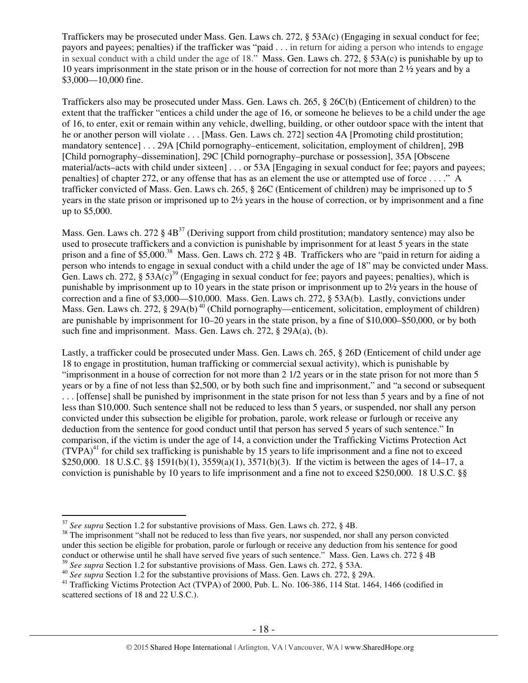Traffickers may be prosecuted under Mass. Gen. Laws ch. 272, § 53A(c) (Engaging in sexual conduct for fee; payors and payees; penalties) if the trafficker was "paid . . . in return for aiding a person who intends to engage in sexual conduct with a child under the age of 18." Mass. Gen. Laws ch. 272, § 53A(c) is punishable by up to 10 years imprisonment in the state prison or in the house of correction for not more than 2 ½ years and by a \$3,000—10,000 fine.

Traffickers also may be prosecuted under Mass. Gen. Laws ch. 265, § 26C(b) (Enticement of children) to the extent that the trafficker "entices a child under the age of 16, or someone he believes to be a child under the age of 16, to enter, exit or remain within any vehicle, dwelling, building, or other outdoor space with the intent that he or another person will violate . . . [Mass. Gen. Laws ch. 272] section 4A [Promoting child prostitution; mandatory sentence] . . . 29A [Child pornography–enticement, solicitation, employment of children], 29B [Child pornography–dissemination], 29C [Child pornography–purchase or possession], 35A [Obscene material/acts–acts with child under sixteen] . . . or 53A [Engaging in sexual conduct for fee; payors and payees; penalties] of chapter 272, or any offense that has as an element the use or attempted use of force . . . ." A trafficker convicted of Mass. Gen. Laws ch. 265, § 26C (Enticement of children) may be imprisoned up to 5 years in the state prison or imprisoned up to 2½ years in the house of correction, or by imprisonment and a fine up to \$5,000.

Mass. Gen. Laws ch. 272  $\S 4B^{37}$  (Deriving support from child prostitution; mandatory sentence) may also be used to prosecute traffickers and a conviction is punishable by imprisonment for at least 5 years in the state prison and a fine of \$5,000.<sup>38</sup> Mass. Gen. Laws ch. 272 § 4B. Traffickers who are "paid in return for aiding a person who intends to engage in sexual conduct with a child under the age of 18" may be convicted under Mass. Gen. Laws ch. 272,  $\S 53A(c)^{39}$  (Engaging in sexual conduct for fee; payors and payees; penalties), which is punishable by imprisonment up to 10 years in the state prison or imprisonment up to 2½ years in the house of correction and a fine of \$3,000—\$10,000. Mass. Gen. Laws ch. 272, § 53A(b). Lastly, convictions under Mass. Gen. Laws ch. 272,  $\S$  29A(b)<sup>40</sup> (Child pornography—enticement, solicitation, employment of children) are punishable by imprisonment for 10–20 years in the state prison, by a fine of \$10,000–\$50,000, or by both such fine and imprisonment. Mass. Gen. Laws ch. 272, § 29A(a), (b).

Lastly, a trafficker could be prosecuted under Mass. Gen. Laws ch. 265, § 26D (Enticement of child under age 18 to engage in prostitution, human trafficking or commercial sexual activity), which is punishable by "imprisonment in a house of correction for not more than 2 1/2 years or in the state prison for not more than 5 years or by a fine of not less than \$2,500, or by both such fine and imprisonment," and "a second or subsequent . . . [offense] shall be punished by imprisonment in the state prison for not less than 5 years and by a fine of not less than \$10,000. Such sentence shall not be reduced to less than 5 years, or suspended, nor shall any person convicted under this subsection be eligible for probation, parole, work release or furlough or receive any deduction from the sentence for good conduct until that person has served 5 years of such sentence." In comparison, if the victim is under the age of 14, a conviction under the Trafficking Victims Protection Act  $(TVPA)<sup>41</sup>$  for child sex trafficking is punishable by 15 years to life imprisonment and a fine not to exceed \$250,000. 18 U.S.C. §§ 1591(b)(1), 3559(a)(1), 3571(b)(3). If the victim is between the ages of 14–17, a conviction is punishable by 10 years to life imprisonment and a fine not to exceed \$250,000. 18 U.S.C. §§

<sup>37</sup> *See supra* Section 1.2 for substantive provisions of Mass. Gen. Laws ch. 272, § 4B.

<sup>&</sup>lt;sup>38</sup> The imprisonment "shall not be reduced to less than five years, nor suspended, nor shall any person convicted under this section be eligible for probation, parole or furlough or receive any deduction from his sentence for good conduct or otherwise until he shall have served five years of such sentence." Mass. Gen. Laws ch. 272 § 4B <sup>39</sup> *See supra* Section 1.2 for substantive provisions of Mass. Gen. Laws ch. 272, § 53A.

<sup>40</sup> *See supra* Section 1.2 for the substantive provisions of Mass. Gen. Laws ch. 272, § 29A.

<sup>&</sup>lt;sup>41</sup> Trafficking Victims Protection Act (TVPA) of 2000, Pub. L. No. 106-386, 114 Stat. 1464, 1466 (codified in scattered sections of 18 and 22 U.S.C.).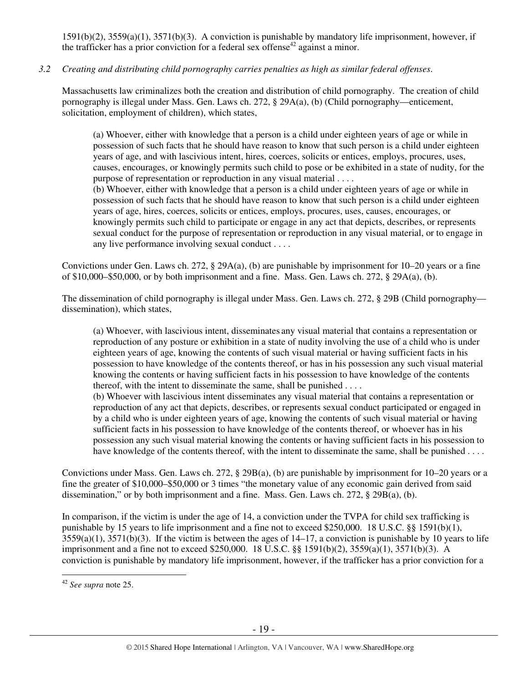1591(b)(2), 3559(a)(1), 3571(b)(3). A conviction is punishable by mandatory life imprisonment, however, if the trafficker has a prior conviction for a federal sex offense<sup>42</sup> against a minor.

# *3.2 Creating and distributing child pornography carries penalties as high as similar federal offenses*.

Massachusetts law criminalizes both the creation and distribution of child pornography. The creation of child pornography is illegal under Mass. Gen. Laws ch. 272, § 29A(a), (b) (Child pornography—enticement, solicitation, employment of children), which states,

(a) Whoever, either with knowledge that a person is a child under eighteen years of age or while in possession of such facts that he should have reason to know that such person is a child under eighteen years of age, and with lascivious intent, hires, coerces, solicits or entices, employs, procures, uses, causes, encourages, or knowingly permits such child to pose or be exhibited in a state of nudity, for the purpose of representation or reproduction in any visual material . . . .

(b) Whoever, either with knowledge that a person is a child under eighteen years of age or while in possession of such facts that he should have reason to know that such person is a child under eighteen years of age, hires, coerces, solicits or entices, employs, procures, uses, causes, encourages, or knowingly permits such child to participate or engage in any act that depicts, describes, or represents sexual conduct for the purpose of representation or reproduction in any visual material, or to engage in any live performance involving sexual conduct . . . .

Convictions under Gen. Laws ch. 272, § 29A(a), (b) are punishable by imprisonment for 10–20 years or a fine of \$10,000–\$50,000, or by both imprisonment and a fine. Mass. Gen. Laws ch. 272, § 29A(a), (b).

The dissemination of child pornography is illegal under Mass. Gen. Laws ch. 272, § 29B (Child pornography dissemination), which states,

(a) Whoever, with lascivious intent, disseminates any visual material that contains a representation or reproduction of any posture or exhibition in a state of nudity involving the use of a child who is under eighteen years of age, knowing the contents of such visual material or having sufficient facts in his possession to have knowledge of the contents thereof, or has in his possession any such visual material knowing the contents or having sufficient facts in his possession to have knowledge of the contents thereof, with the intent to disseminate the same, shall be punished . . . .

(b) Whoever with lascivious intent disseminates any visual material that contains a representation or reproduction of any act that depicts, describes, or represents sexual conduct participated or engaged in by a child who is under eighteen years of age, knowing the contents of such visual material or having sufficient facts in his possession to have knowledge of the contents thereof, or whoever has in his possession any such visual material knowing the contents or having sufficient facts in his possession to have knowledge of the contents thereof, with the intent to disseminate the same, shall be punished . . . .

Convictions under Mass. Gen. Laws ch. 272, § 29B(a), (b) are punishable by imprisonment for 10–20 years or a fine the greater of \$10,000–\$50,000 or 3 times "the monetary value of any economic gain derived from said dissemination," or by both imprisonment and a fine. Mass. Gen. Laws ch. 272, § 29B(a), (b).

In comparison, if the victim is under the age of 14, a conviction under the TVPA for child sex trafficking is punishable by 15 years to life imprisonment and a fine not to exceed \$250,000. 18 U.S.C. §§ 1591(b)(1),  $3559(a)(1)$ ,  $3571(b)(3)$ . If the victim is between the ages of  $14-17$ , a conviction is punishable by 10 years to life imprisonment and a fine not to exceed \$250,000. 18 U.S.C. §§ 1591(b)(2), 3559(a)(1), 3571(b)(3). A conviction is punishable by mandatory life imprisonment, however, if the trafficker has a prior conviction for a

<sup>42</sup> *See supra* note 25.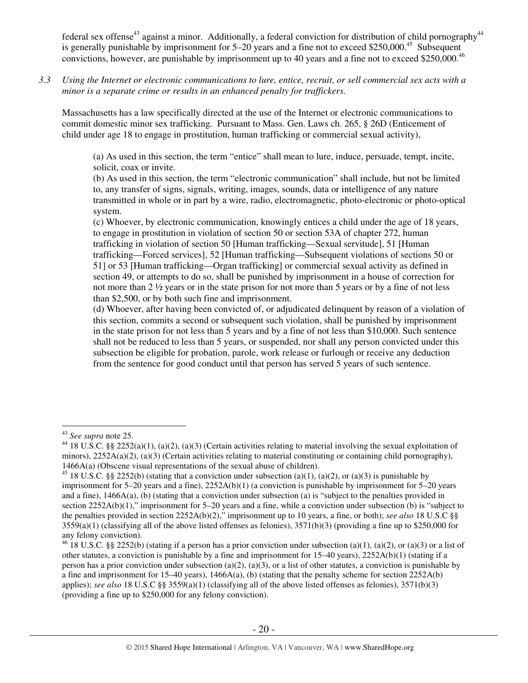federal sex offense<sup>43</sup> against a minor. Additionally, a federal conviction for distribution of child pornography<sup>44</sup> is generally punishable by imprisonment for  $5-20$  years and a fine not to exceed \$250,000.<sup>45</sup> Subsequent convictions, however, are punishable by imprisonment up to 40 years and a fine not to exceed \$250,000.<sup>46</sup>

*3.3 Using the Internet or electronic communications to lure, entice, recruit, or sell commercial sex acts with a minor is a separate crime or results in an enhanced penalty for traffickers.* 

Massachusetts has a law specifically directed at the use of the Internet or electronic communications to commit domestic minor sex trafficking. Pursuant to Mass. Gen. Laws ch. 265, § 26D (Enticement of child under age 18 to engage in prostitution, human trafficking or commercial sexual activity),

(a) As used in this section, the term "entice" shall mean to lure, induce, persuade, tempt, incite, solicit, coax or invite.

(b) As used in this section, the term "electronic communication" shall include, but not be limited to, any transfer of signs, signals, writing, images, sounds, data or intelligence of any nature transmitted in whole or in part by a wire, radio, electromagnetic, photo-electronic or photo-optical system.

(c) Whoever, by electronic communication, knowingly entices a child under the age of 18 years, to engage in prostitution in violation of section 50 or section 53A of chapter 272, human trafficking in violation of section 50 [Human trafficking—Sexual servitude], 51 [Human trafficking—Forced services], 52 [Human trafficking—Subsequent violations of sections 50 or 51] or 53 [Human trafficking—Organ trafficking] or commercial sexual activity as defined in section 49, or attempts to do so, shall be punished by imprisonment in a house of correction for not more than 2 ½ years or in the state prison for not more than 5 years or by a fine of not less than \$2,500, or by both such fine and imprisonment.

(d) Whoever, after having been convicted of, or adjudicated delinquent by reason of a violation of this section, commits a second or subsequent such violation, shall be punished by imprisonment in the state prison for not less than 5 years and by a fine of not less than \$10,000. Such sentence shall not be reduced to less than 5 years, or suspended, nor shall any person convicted under this subsection be eligible for probation, parole, work release or furlough or receive any deduction from the sentence for good conduct until that person has served 5 years of such sentence.

<sup>43</sup> *See supra* note 25.

<sup>&</sup>lt;sup>44</sup> 18 U.S.C. §§ 2252(a)(1), (a)(2), (a)(3) (Certain activities relating to material involving the sexual exploitation of minors),  $2252A(a)(2)$ , (a)(3) (Certain activities relating to material constituting or containing child pornography), 1466A(a) (Obscene visual representations of the sexual abuse of children).

<sup>&</sup>lt;sup>45</sup> 18 U.S.C. §§ 2252(b) (stating that a conviction under subsection (a)(1), (a)(2), or (a)(3) is punishable by imprisonment for 5–20 years and a fine), 2252A(b)(1) (a conviction is punishable by imprisonment for 5–20 years and a fine), 1466A(a), (b) (stating that a conviction under subsection (a) is "subject to the penalties provided in section 2252A(b)(1)," imprisonment for 5–20 years and a fine, while a conviction under subsection (b) is "subject to the penalties provided in section 2252A(b)(2)," imprisonment up to 10 years, a fine, or both); *see also* 18 U.S.C §§  $3559(a)(1)$  (classifying all of the above listed offenses as felonies),  $3571(b)(3)$  (providing a fine up to \$250,000 for any felony conviction).

<sup>&</sup>lt;sup>46</sup> 18 U.S.C. §§ 2252(b) (stating if a person has a prior conviction under subsection (a)(1), (a)(2), or (a)(3) or a list of other statutes, a conviction is punishable by a fine and imprisonment for 15–40 years), 2252A(b)(1) (stating if a person has a prior conviction under subsection (a)(2), (a)(3), or a list of other statutes, a conviction is punishable by a fine and imprisonment for 15–40 years), 1466A(a), (b) (stating that the penalty scheme for section 2252A(b) applies); *see also* 18 U.S.C §§ 3559(a)(1) (classifying all of the above listed offenses as felonies), 3571(b)(3) (providing a fine up to \$250,000 for any felony conviction).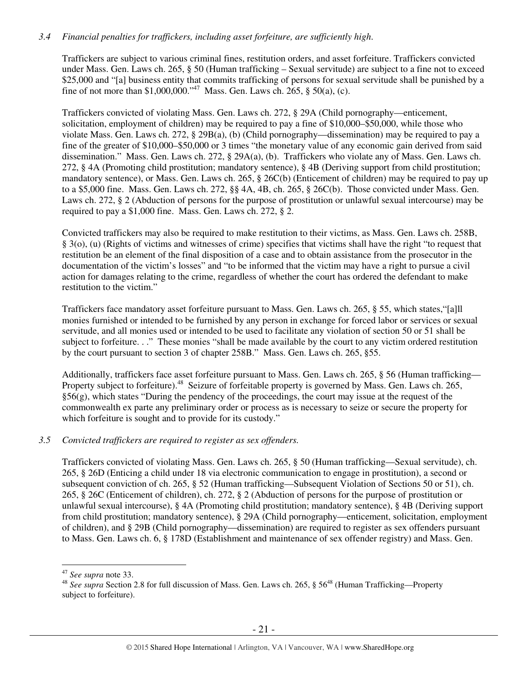# *3.4 Financial penalties for traffickers, including asset forfeiture, are sufficiently high*.

Traffickers are subject to various criminal fines, restitution orders, and asset forfeiture. Traffickers convicted under Mass. Gen. Laws ch. 265, § 50 (Human trafficking – Sexual servitude) are subject to a fine not to exceed \$25,000 and "[a] business entity that commits trafficking of persons for sexual servitude shall be punished by a fine of not more than \$1,000,000."<sup>47</sup> Mass. Gen. Laws ch. 265, § 50(a), (c).

Traffickers convicted of violating Mass. Gen. Laws ch. 272, § 29A (Child pornography—enticement, solicitation, employment of children) may be required to pay a fine of \$10,000–\$50,000, while those who violate Mass. Gen. Laws ch. 272, § 29B(a), (b) (Child pornography—dissemination) may be required to pay a fine of the greater of \$10,000–\$50,000 or 3 times "the monetary value of any economic gain derived from said dissemination." Mass. Gen. Laws ch. 272, § 29A(a), (b). Traffickers who violate any of Mass. Gen. Laws ch. 272, § 4A (Promoting child prostitution; mandatory sentence), § 4B (Deriving support from child prostitution; mandatory sentence), or Mass. Gen. Laws ch. 265, § 26C(b) (Enticement of children) may be required to pay up to a \$5,000 fine. Mass. Gen. Laws ch. 272, §§ 4A, 4B, ch. 265, § 26C(b). Those convicted under Mass. Gen. Laws ch. 272, § 2 (Abduction of persons for the purpose of prostitution or unlawful sexual intercourse) may be required to pay a \$1,000 fine. Mass. Gen. Laws ch. 272, § 2.

Convicted traffickers may also be required to make restitution to their victims, as Mass. Gen. Laws ch. 258B, § 3(o), (u) (Rights of victims and witnesses of crime) specifies that victims shall have the right "to request that restitution be an element of the final disposition of a case and to obtain assistance from the prosecutor in the documentation of the victim's losses" and "to be informed that the victim may have a right to pursue a civil action for damages relating to the crime, regardless of whether the court has ordered the defendant to make restitution to the victim."

Traffickers face mandatory asset forfeiture pursuant to Mass. Gen. Laws ch. 265, § 55, which states,"[a]ll monies furnished or intended to be furnished by any person in exchange for forced labor or services or sexual servitude, and all monies used or intended to be used to facilitate any violation of section 50 or 51 shall be subject to forfeiture. . ." These monies "shall be made available by the court to any victim ordered restitution by the court pursuant to section 3 of chapter 258B." Mass. Gen. Laws ch. 265, §55.

Additionally, traffickers face asset forfeiture pursuant to Mass. Gen. Laws ch. 265, § 56 (Human trafficking— Property subject to forfeiture).<sup>48</sup> Seizure of forfeitable property is governed by Mass. Gen. Laws ch. 265,  $§56(g)$ , which states "During the pendency of the proceedings, the court may issue at the request of the commonwealth ex parte any preliminary order or process as is necessary to seize or secure the property for which forfeiture is sought and to provide for its custody."

## *3.5 Convicted traffickers are required to register as sex offenders.*

Traffickers convicted of violating Mass. Gen. Laws ch. 265, § 50 (Human trafficking—Sexual servitude), ch. 265, § 26D (Enticing a child under 18 via electronic communication to engage in prostitution), a second or subsequent conviction of ch. 265, § 52 (Human trafficking—Subsequent Violation of Sections 50 or 51), ch. 265, § 26C (Enticement of children), ch. 272, § 2 (Abduction of persons for the purpose of prostitution or unlawful sexual intercourse), § 4A (Promoting child prostitution; mandatory sentence), § 4B (Deriving support from child prostitution; mandatory sentence), § 29A (Child pornography—enticement, solicitation, employment of children), and § 29B (Child pornography—dissemination) are required to register as sex offenders pursuant to Mass. Gen. Laws ch. 6, § 178D (Establishment and maintenance of sex offender registry) and Mass. Gen.

<sup>47</sup> *See supra* note 33.

<sup>&</sup>lt;sup>48</sup> See supra Section 2.8 for full discussion of Mass. Gen. Laws ch. 265, § 56<sup>48</sup> (Human Trafficking—Property subject to forfeiture).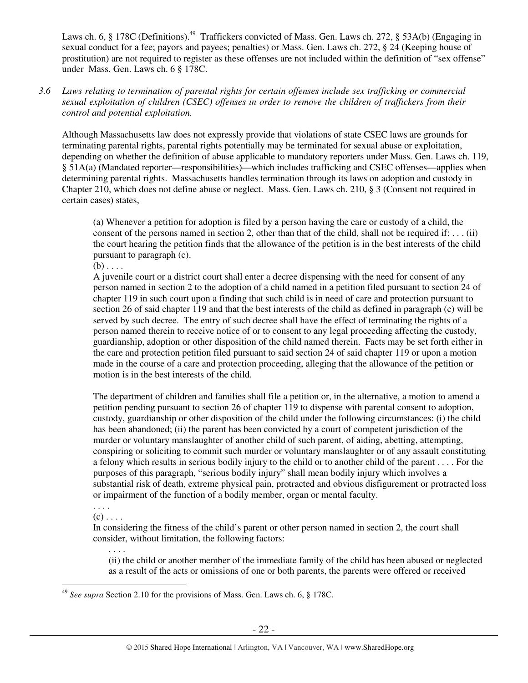Laws ch. 6, § 178C (Definitions).<sup>49</sup> Traffickers convicted of Mass. Gen. Laws ch. 272, § 53A(b) (Engaging in sexual conduct for a fee; payors and payees; penalties) or Mass. Gen. Laws ch. 272, § 24 (Keeping house of prostitution) are not required to register as these offenses are not included within the definition of "sex offense" under Mass. Gen. Laws ch. 6 § 178C.

## *3.6 Laws relating to termination of parental rights for certain offenses include sex trafficking or commercial sexual exploitation of children (CSEC) offenses in order to remove the children of traffickers from their control and potential exploitation.*

Although Massachusetts law does not expressly provide that violations of state CSEC laws are grounds for terminating parental rights, parental rights potentially may be terminated for sexual abuse or exploitation, depending on whether the definition of abuse applicable to mandatory reporters under Mass. Gen. Laws ch. 119, § 51A(a) (Mandated reporter—responsibilities)—which includes trafficking and CSEC offenses—applies when determining parental rights. Massachusetts handles termination through its laws on adoption and custody in Chapter 210, which does not define abuse or neglect. Mass. Gen. Laws ch. 210, § 3 (Consent not required in certain cases) states,

(a) Whenever a petition for adoption is filed by a person having the care or custody of a child, the consent of the persons named in section 2, other than that of the child, shall not be required if: . . . (ii) the court hearing the petition finds that the allowance of the petition is in the best interests of the child pursuant to paragraph (c).

 $(b) \ldots$ 

A juvenile court or a district court shall enter a decree dispensing with the need for consent of any person named in section 2 to the adoption of a child named in a petition filed pursuant to section 24 of chapter 119 in such court upon a finding that such child is in need of care and protection pursuant to section 26 of said chapter 119 and that the best interests of the child as defined in paragraph (c) will be served by such decree. The entry of such decree shall have the effect of terminating the rights of a person named therein to receive notice of or to consent to any legal proceeding affecting the custody, guardianship, adoption or other disposition of the child named therein. Facts may be set forth either in the care and protection petition filed pursuant to said section 24 of said chapter 119 or upon a motion made in the course of a care and protection proceeding, alleging that the allowance of the petition or motion is in the best interests of the child.

The department of children and families shall file a petition or, in the alternative, a motion to amend a petition pending pursuant to section 26 of chapter 119 to dispense with parental consent to adoption, custody, guardianship or other disposition of the child under the following circumstances: (i) the child has been abandoned; (ii) the parent has been convicted by a court of competent jurisdiction of the murder or voluntary manslaughter of another child of such parent, of aiding, abetting, attempting, conspiring or soliciting to commit such murder or voluntary manslaughter or of any assault constituting a felony which results in serious bodily injury to the child or to another child of the parent . . . . For the purposes of this paragraph, "serious bodily injury" shall mean bodily injury which involves a substantial risk of death, extreme physical pain, protracted and obvious disfigurement or protracted loss or impairment of the function of a bodily member, organ or mental faculty.

. . . .  $(c)$ ...

. . . .

In considering the fitness of the child's parent or other person named in section 2, the court shall consider, without limitation, the following factors:

(ii) the child or another member of the immediate family of the child has been abused or neglected as a result of the acts or omissions of one or both parents, the parents were offered or received

 $\overline{a}$ <sup>49</sup> *See supra* Section 2.10 for the provisions of Mass. Gen. Laws ch. 6, § 178C.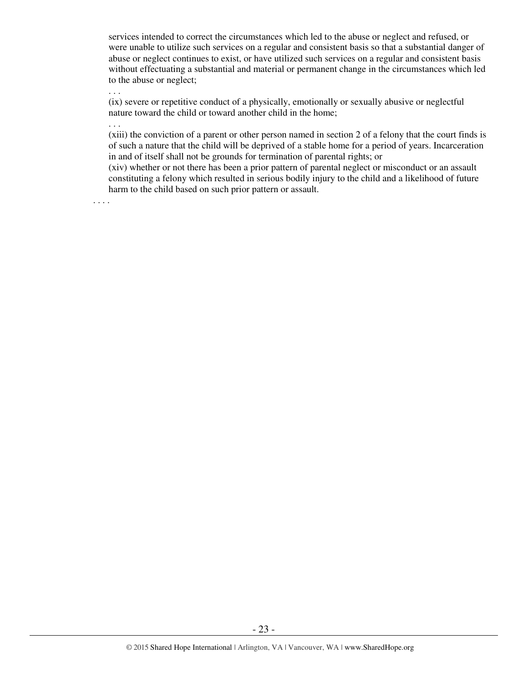services intended to correct the circumstances which led to the abuse or neglect and refused, or were unable to utilize such services on a regular and consistent basis so that a substantial danger of abuse or neglect continues to exist, or have utilized such services on a regular and consistent basis without effectuating a substantial and material or permanent change in the circumstances which led to the abuse or neglect;

(ix) severe or repetitive conduct of a physically, emotionally or sexually abusive or neglectful nature toward the child or toward another child in the home;

. . .

. . .

(xiii) the conviction of a parent or other person named in section 2 of a felony that the court finds is of such a nature that the child will be deprived of a stable home for a period of years. Incarceration in and of itself shall not be grounds for termination of parental rights; or

(xiv) whether or not there has been a prior pattern of parental neglect or misconduct or an assault constituting a felony which resulted in serious bodily injury to the child and a likelihood of future harm to the child based on such prior pattern or assault.

. . . .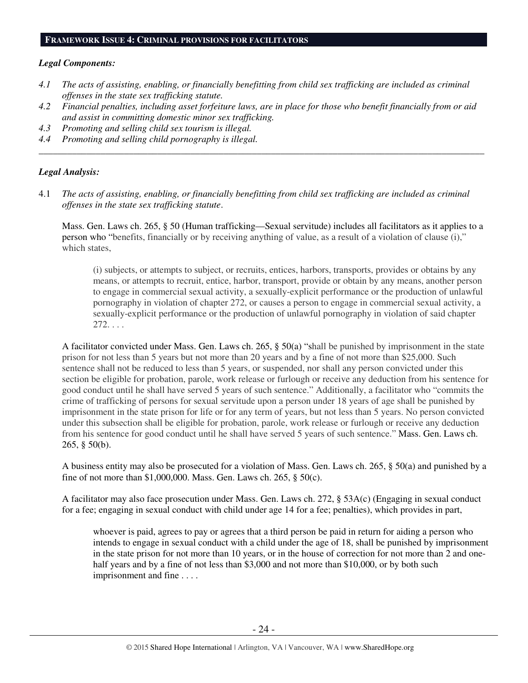#### **FRAMEWORK ISSUE 4: CRIMINAL PROVISIONS FOR FACILITATORS**

#### *Legal Components:*

- *4.1 The acts of assisting, enabling, or financially benefitting from child sex trafficking are included as criminal offenses in the state sex trafficking statute.*
- *4.2 Financial penalties, including asset forfeiture laws, are in place for those who benefit financially from or aid and assist in committing domestic minor sex trafficking.*

*\_\_\_\_\_\_\_\_\_\_\_\_\_\_\_\_\_\_\_\_\_\_\_\_\_\_\_\_\_\_\_\_\_\_\_\_\_\_\_\_\_\_\_\_\_\_\_\_\_\_\_\_\_\_\_\_\_\_\_\_\_\_\_\_\_\_\_\_\_\_\_\_\_\_\_\_\_\_\_\_\_\_\_\_\_\_\_\_\_\_\_\_\_\_* 

- *4.3 Promoting and selling child sex tourism is illegal.*
- *4.4 Promoting and selling child pornography is illegal.*

## *Legal Analysis:*

4.1 *The acts of assisting, enabling, or financially benefitting from child sex trafficking are included as criminal offenses in the state sex trafficking statute*.

Mass. Gen. Laws ch. 265, § 50 (Human trafficking—Sexual servitude) includes all facilitators as it applies to a person who "benefits, financially or by receiving anything of value, as a result of a violation of clause (i)," which states,

(i) subjects, or attempts to subject, or recruits, entices, harbors, transports, provides or obtains by any means, or attempts to recruit, entice, harbor, transport, provide or obtain by any means, another person to engage in commercial sexual activity, a sexually-explicit performance or the production of unlawful pornography in violation of chapter 272, or causes a person to engage in commercial sexual activity, a sexually-explicit performance or the production of unlawful pornography in violation of said chapter 272. . . .

A facilitator convicted under Mass. Gen. Laws ch. 265, § 50(a) "shall be punished by imprisonment in the state prison for not less than 5 years but not more than 20 years and by a fine of not more than \$25,000. Such sentence shall not be reduced to less than 5 years, or suspended, nor shall any person convicted under this section be eligible for probation, parole, work release or furlough or receive any deduction from his sentence for good conduct until he shall have served 5 years of such sentence." Additionally, a facilitator who "commits the crime of trafficking of persons for sexual servitude upon a person under 18 years of age shall be punished by imprisonment in the state prison for life or for any term of years, but not less than 5 years. No person convicted under this subsection shall be eligible for probation, parole, work release or furlough or receive any deduction from his sentence for good conduct until he shall have served 5 years of such sentence." Mass. Gen. Laws ch. 265, § 50(b).

A business entity may also be prosecuted for a violation of Mass. Gen. Laws ch. 265, § 50(a) and punished by a fine of not more than \$1,000,000. Mass. Gen. Laws ch. 265, § 50(c).

A facilitator may also face prosecution under Mass. Gen. Laws ch. 272, § 53A(c) (Engaging in sexual conduct for a fee; engaging in sexual conduct with child under age 14 for a fee; penalties), which provides in part,

whoever is paid, agrees to pay or agrees that a third person be paid in return for aiding a person who intends to engage in sexual conduct with a child under the age of 18, shall be punished by imprisonment in the state prison for not more than 10 years, or in the house of correction for not more than 2 and onehalf years and by a fine of not less than \$3,000 and not more than \$10,000, or by both such imprisonment and fine . . . .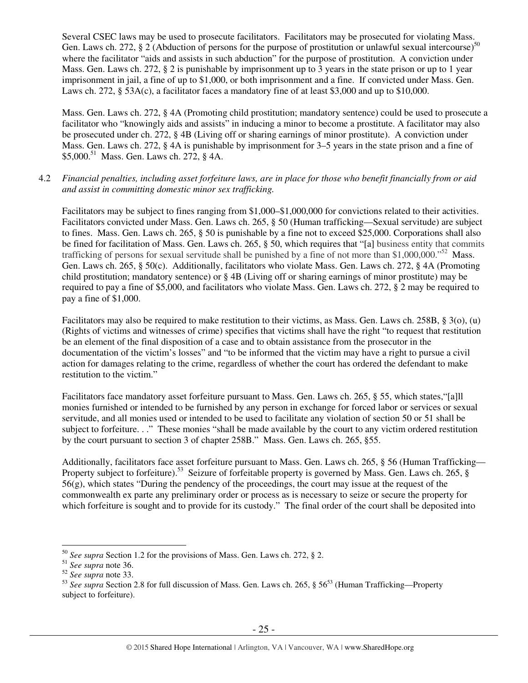Several CSEC laws may be used to prosecute facilitators. Facilitators may be prosecuted for violating Mass. Gen. Laws ch. 272, § 2 (Abduction of persons for the purpose of prostitution or unlawful sexual intercourse)<sup>50</sup> where the facilitator "aids and assists in such abduction" for the purpose of prostitution. A conviction under Mass. Gen. Laws ch. 272, § 2 is punishable by imprisonment up to 3 years in the state prison or up to 1 year imprisonment in jail, a fine of up to \$1,000, or both imprisonment and a fine. If convicted under Mass. Gen. Laws ch. 272, § 53A(c), a facilitator faces a mandatory fine of at least \$3,000 and up to \$10,000.

Mass. Gen. Laws ch. 272, § 4A (Promoting child prostitution; mandatory sentence) could be used to prosecute a facilitator who "knowingly aids and assists" in inducing a minor to become a prostitute. A facilitator may also be prosecuted under ch. 272, § 4B (Living off or sharing earnings of minor prostitute). A conviction under Mass. Gen. Laws ch. 272, § 4A is punishable by imprisonment for 3–5 years in the state prison and a fine of \$5,000.<sup>51</sup> Mass. Gen. Laws ch. 272, § 4A.

4.2 *Financial penalties, including asset forfeiture laws, are in place for those who benefit financially from or aid and assist in committing domestic minor sex trafficking.* 

Facilitators may be subject to fines ranging from \$1,000–\$1,000,000 for convictions related to their activities. Facilitators convicted under Mass. Gen. Laws ch. 265, § 50 (Human trafficking—Sexual servitude) are subject to fines. Mass. Gen. Laws ch. 265, § 50 is punishable by a fine not to exceed \$25,000. Corporations shall also be fined for facilitation of Mass. Gen. Laws ch. 265, § 50, which requires that "[a] business entity that commits trafficking of persons for sexual servitude shall be punished by a fine of not more than \$1,000,000."<sup>52</sup> Mass. Gen. Laws ch. 265, § 50(c). Additionally, facilitators who violate Mass. Gen. Laws ch. 272, § 4A (Promoting child prostitution; mandatory sentence) or § 4B (Living off or sharing earnings of minor prostitute) may be required to pay a fine of \$5,000, and facilitators who violate Mass. Gen. Laws ch. 272, § 2 may be required to pay a fine of \$1,000.

Facilitators may also be required to make restitution to their victims, as Mass. Gen. Laws ch. 258B, § 3(o), (u) (Rights of victims and witnesses of crime) specifies that victims shall have the right "to request that restitution be an element of the final disposition of a case and to obtain assistance from the prosecutor in the documentation of the victim's losses" and "to be informed that the victim may have a right to pursue a civil action for damages relating to the crime, regardless of whether the court has ordered the defendant to make restitution to the victim."

Facilitators face mandatory asset forfeiture pursuant to Mass. Gen. Laws ch. 265, § 55, which states,"[a]ll monies furnished or intended to be furnished by any person in exchange for forced labor or services or sexual servitude, and all monies used or intended to be used to facilitate any violation of section 50 or 51 shall be subject to forfeiture. . ." These monies "shall be made available by the court to any victim ordered restitution by the court pursuant to section 3 of chapter 258B." Mass. Gen. Laws ch. 265, §55.

Additionally, facilitators face asset forfeiture pursuant to Mass. Gen. Laws ch. 265, § 56 (Human Trafficking— Property subject to forfeiture).<sup>53</sup> Seizure of forfeitable property is governed by Mass. Gen. Laws ch. 265, §  $56(g)$ , which states "During the pendency of the proceedings, the court may issue at the request of the commonwealth ex parte any preliminary order or process as is necessary to seize or secure the property for which forfeiture is sought and to provide for its custody." The final order of the court shall be deposited into

<sup>50</sup> *See supra* Section 1.2 for the provisions of Mass. Gen. Laws ch. 272, § 2.

<sup>51</sup> *See supra* note 36.

<sup>52</sup> *See supra* note 33.

<sup>&</sup>lt;sup>53</sup> See supra Section 2.8 for full discussion of Mass. Gen. Laws ch. 265, § 56<sup>53</sup> (Human Trafficking—Property subject to forfeiture).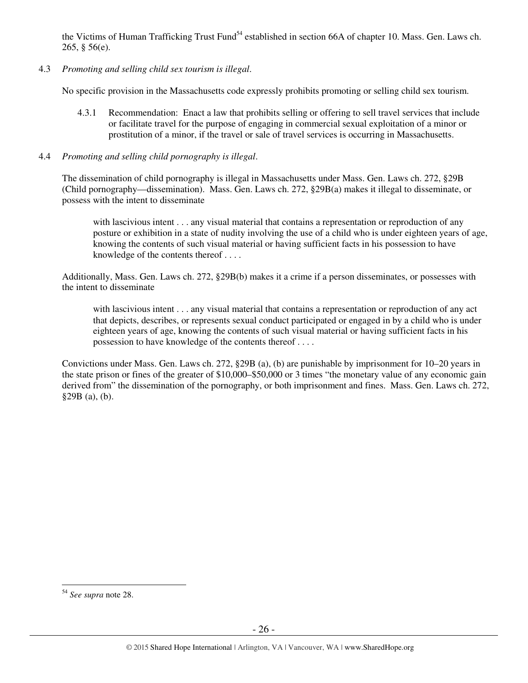the Victims of Human Trafficking Trust Fund<sup>54</sup> established in section 66A of chapter 10. Mass. Gen. Laws ch. 265, § 56(e).

4.3 *Promoting and selling child sex tourism is illegal*.

No specific provision in the Massachusetts code expressly prohibits promoting or selling child sex tourism.

- 4.3.1 Recommendation: Enact a law that prohibits selling or offering to sell travel services that include or facilitate travel for the purpose of engaging in commercial sexual exploitation of a minor or prostitution of a minor, if the travel or sale of travel services is occurring in Massachusetts.
- 4.4 *Promoting and selling child pornography is illegal*.

The dissemination of child pornography is illegal in Massachusetts under Mass. Gen. Laws ch. 272, §29B (Child pornography—dissemination). Mass. Gen. Laws ch. 272, §29B(a) makes it illegal to disseminate, or possess with the intent to disseminate

with lascivious intent . . . any visual material that contains a representation or reproduction of any posture or exhibition in a state of nudity involving the use of a child who is under eighteen years of age, knowing the contents of such visual material or having sufficient facts in his possession to have knowledge of the contents thereof . . . .

Additionally, Mass. Gen. Laws ch. 272, §29B(b) makes it a crime if a person disseminates, or possesses with the intent to disseminate

with lascivious intent . . . any visual material that contains a representation or reproduction of any act that depicts, describes, or represents sexual conduct participated or engaged in by a child who is under eighteen years of age, knowing the contents of such visual material or having sufficient facts in his possession to have knowledge of the contents thereof . . . .

Convictions under Mass. Gen. Laws ch. 272, §29B (a), (b) are punishable by imprisonment for 10–20 years in the state prison or fines of the greater of \$10,000–\$50,000 or 3 times "the monetary value of any economic gain derived from" the dissemination of the pornography, or both imprisonment and fines. Mass. Gen. Laws ch. 272, §29B (a), (b).

 $\overline{a}$ <sup>54</sup> *See supra* note 28.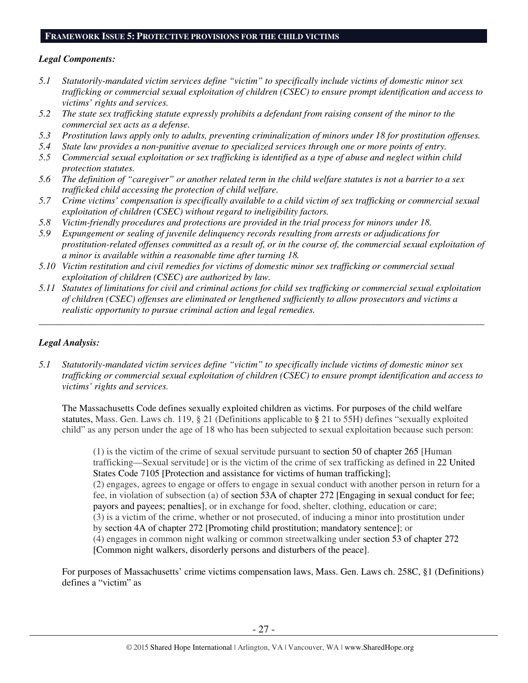## **FRAMEWORK ISSUE 5: PROTECTIVE PROVISIONS FOR THE CHILD VICTIMS**

## *Legal Components:*

- *5.1 Statutorily-mandated victim services define "victim" to specifically include victims of domestic minor sex trafficking or commercial sexual exploitation of children (CSEC) to ensure prompt identification and access to victims' rights and services.*
- *5.2 The state sex trafficking statute expressly prohibits a defendant from raising consent of the minor to the commercial sex acts as a defense.*
- *5.3 Prostitution laws apply only to adults, preventing criminalization of minors under 18 for prostitution offenses.*
- *5.4 State law provides a non-punitive avenue to specialized services through one or more points of entry.*
- *5.5 Commercial sexual exploitation or sex trafficking is identified as a type of abuse and neglect within child protection statutes.*
- *5.6 The definition of "caregiver" or another related term in the child welfare statutes is not a barrier to a sex trafficked child accessing the protection of child welfare.*
- *5.7 Crime victims' compensation is specifically available to a child victim of sex trafficking or commercial sexual exploitation of children (CSEC) without regard to ineligibility factors.*
- *5.8 Victim-friendly procedures and protections are provided in the trial process for minors under 18.*
- *5.9 Expungement or sealing of juvenile delinquency records resulting from arrests or adjudications for prostitution-related offenses committed as a result of, or in the course of, the commercial sexual exploitation of a minor is available within a reasonable time after turning 18.*
- *5.10 Victim restitution and civil remedies for victims of domestic minor sex trafficking or commercial sexual exploitation of children (CSEC) are authorized by law.*
- *5.11 Statutes of limitations for civil and criminal actions for child sex trafficking or commercial sexual exploitation of children (CSEC) offenses are eliminated or lengthened sufficiently to allow prosecutors and victims a realistic opportunity to pursue criminal action and legal remedies.*

*\_\_\_\_\_\_\_\_\_\_\_\_\_\_\_\_\_\_\_\_\_\_\_\_\_\_\_\_\_\_\_\_\_\_\_\_\_\_\_\_\_\_\_\_\_\_\_\_\_\_\_\_\_\_\_\_\_\_\_\_\_\_\_\_\_\_\_\_\_\_\_\_\_\_\_\_\_\_\_\_\_\_\_\_\_\_\_\_\_\_\_\_\_\_* 

## *Legal Analysis:*

*5.1 Statutorily-mandated victim services define "victim" to specifically include victims of domestic minor sex trafficking or commercial sexual exploitation of children (CSEC) to ensure prompt identification and access to victims' rights and services.* 

The Massachusetts Code defines sexually exploited children as victims. For purposes of the child welfare statutes, Mass. Gen. Laws ch. 119, § 21 (Definitions applicable to **§** 21 to 55H) defines "sexually exploited child" as any person under the age of 18 who has been subjected to sexual exploitation because such person:

(1) is the victim of the crime of sexual servitude pursuant to section 50 of chapter 265 [Human trafficking—Sexual servitude] or is the victim of the crime of sex trafficking as defined in 22 United States Code 7105 [Protection and assistance for victims of human trafficking]; (2) engages, agrees to engage or offers to engage in sexual conduct with another person in return for a fee, in violation of subsection (a) of section 53A of chapter 272 [Engaging in sexual conduct for fee; payors and payees; penalties], or in exchange for food, shelter, clothing, education or care; (3) is a victim of the crime, whether or not prosecuted, of inducing a minor into prostitution under by section 4A of chapter 272 [Promoting child prostitution; mandatory sentence]; or (4) engages in common night walking or common streetwalking under section 53 of chapter 272 [Common night walkers, disorderly persons and disturbers of the peace].

For purposes of Massachusetts' crime victims compensation laws, Mass. Gen. Laws ch. 258C, §1 (Definitions) defines a "victim" as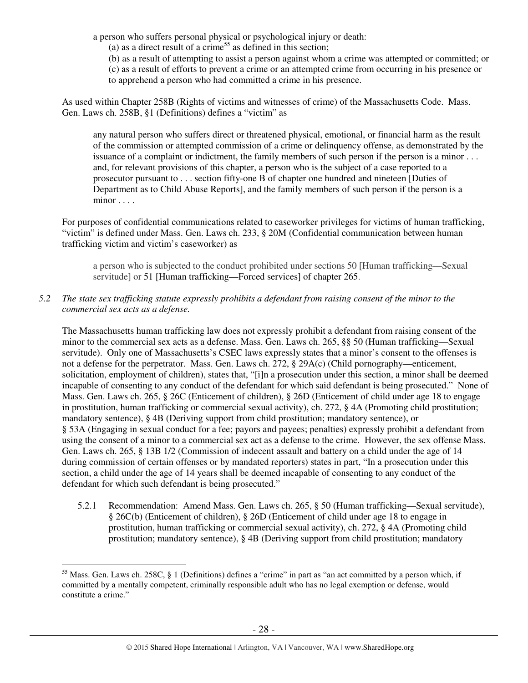a person who suffers personal physical or psychological injury or death:

(a) as a direct result of a crime<sup>55</sup> as defined in this section;

(b) as a result of attempting to assist a person against whom a crime was attempted or committed; or (c) as a result of efforts to prevent a crime or an attempted crime from occurring in his presence or to apprehend a person who had committed a crime in his presence.

As used within Chapter 258B (Rights of victims and witnesses of crime) of the Massachusetts Code. Mass. Gen. Laws ch. 258B, §1 (Definitions) defines a "victim" as

any natural person who suffers direct or threatened physical, emotional, or financial harm as the result of the commission or attempted commission of a crime or delinquency offense, as demonstrated by the issuance of a complaint or indictment, the family members of such person if the person is a minor . . . and, for relevant provisions of this chapter, a person who is the subject of a case reported to a prosecutor pursuant to . . . section fifty-one B of chapter one hundred and nineteen [Duties of Department as to Child Abuse Reports], and the family members of such person if the person is a minor . . . .

For purposes of confidential communications related to caseworker privileges for victims of human trafficking, "victim" is defined under Mass. Gen. Laws ch. 233, § 20M (Confidential communication between human trafficking victim and victim's caseworker) as

a person who is subjected to the conduct prohibited under sections 50 [Human trafficking—Sexual servitude] or 51 [Human trafficking—Forced services] of chapter 265.

*5.2 The state sex trafficking statute expressly prohibits a defendant from raising consent of the minor to the commercial sex acts as a defense.* 

The Massachusetts human trafficking law does not expressly prohibit a defendant from raising consent of the minor to the commercial sex acts as a defense. Mass. Gen. Laws ch. 265, §§ 50 (Human trafficking—Sexual servitude). Only one of Massachusetts's CSEC laws expressly states that a minor's consent to the offenses is not a defense for the perpetrator. Mass. Gen. Laws ch. 272, § 29A(c) (Child pornography—enticement, solicitation, employment of children), states that, "[i]n a prosecution under this section, a minor shall be deemed incapable of consenting to any conduct of the defendant for which said defendant is being prosecuted." None of Mass. Gen. Laws ch. 265, § 26C (Enticement of children), § 26D (Enticement of child under age 18 to engage in prostitution, human trafficking or commercial sexual activity), ch. 272, § 4A (Promoting child prostitution; mandatory sentence), § 4B (Deriving support from child prostitution; mandatory sentence), or § 53A (Engaging in sexual conduct for a fee; payors and payees; penalties) expressly prohibit a defendant from using the consent of a minor to a commercial sex act as a defense to the crime. However, the sex offense Mass. Gen. Laws ch. 265, § 13B 1/2 (Commission of indecent assault and battery on a child under the age of 14 during commission of certain offenses or by mandated reporters) states in part, "In a prosecution under this section, a child under the age of 14 years shall be deemed incapable of consenting to any conduct of the defendant for which such defendant is being prosecuted."

5.2.1 Recommendation: Amend Mass. Gen. Laws ch. 265, § 50 (Human trafficking—Sexual servitude), § 26C(b) (Enticement of children), § 26D (Enticement of child under age 18 to engage in prostitution, human trafficking or commercial sexual activity), ch. 272, § 4A (Promoting child prostitution; mandatory sentence), § 4B (Deriving support from child prostitution; mandatory

 $\overline{a}$  $<sup>55</sup>$  Mass. Gen. Laws ch. 258C, § 1 (Definitions) defines a "crime" in part as "an act committed by a person which, if</sup> committed by a mentally competent, criminally responsible adult who has no legal exemption or defense, would constitute a crime."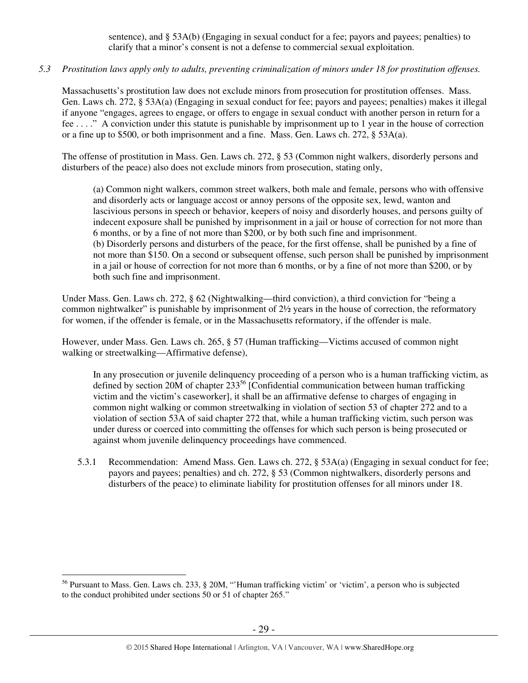sentence), and § 53A(b) (Engaging in sexual conduct for a fee; payors and payees; penalties) to clarify that a minor's consent is not a defense to commercial sexual exploitation.

# *5.3 Prostitution laws apply only to adults, preventing criminalization of minors under 18 for prostitution offenses.*

Massachusetts's prostitution law does not exclude minors from prosecution for prostitution offenses. Mass. Gen. Laws ch. 272, § 53A(a) (Engaging in sexual conduct for fee; payors and payees; penalties) makes it illegal if anyone "engages, agrees to engage, or offers to engage in sexual conduct with another person in return for a fee . . . ." A conviction under this statute is punishable by imprisonment up to 1 year in the house of correction or a fine up to \$500, or both imprisonment and a fine. Mass. Gen. Laws ch. 272, § 53A(a).

The offense of prostitution in Mass. Gen. Laws ch. 272, § 53 (Common night walkers, disorderly persons and disturbers of the peace) also does not exclude minors from prosecution, stating only,

(a) Common night walkers, common street walkers, both male and female, persons who with offensive and disorderly acts or language accost or annoy persons of the opposite sex, lewd, wanton and lascivious persons in speech or behavior, keepers of noisy and disorderly houses, and persons guilty of indecent exposure shall be punished by imprisonment in a jail or house of correction for not more than 6 months, or by a fine of not more than \$200, or by both such fine and imprisonment. (b) Disorderly persons and disturbers of the peace, for the first offense, shall be punished by a fine of not more than \$150. On a second or subsequent offense, such person shall be punished by imprisonment in a jail or house of correction for not more than 6 months, or by a fine of not more than \$200, or by both such fine and imprisonment.

Under Mass. Gen. Laws ch. 272, § 62 (Nightwalking—third conviction), a third conviction for "being a common nightwalker" is punishable by imprisonment of 2½ years in the house of correction, the reformatory for women, if the offender is female, or in the Massachusetts reformatory, if the offender is male.

However, under Mass. Gen. Laws ch. 265, § 57 (Human trafficking—Victims accused of common night walking or streetwalking—Affirmative defense),

In any prosecution or juvenile delinquency proceeding of a person who is a human trafficking victim, as defined by section 20M of chapter  $233^{56}$  [Confidential communication between human trafficking victim and the victim's caseworker], it shall be an affirmative defense to charges of engaging in common night walking or common streetwalking in violation of section 53 of chapter 272 and to a violation of section 53A of said chapter 272 that, while a human trafficking victim, such person was under duress or coerced into committing the offenses for which such person is being prosecuted or against whom juvenile delinquency proceedings have commenced.

5.3.1 Recommendation: Amend Mass. Gen. Laws ch. 272, § 53A(a) (Engaging in sexual conduct for fee; payors and payees; penalties) and ch. 272, § 53 (Common nightwalkers, disorderly persons and disturbers of the peace) to eliminate liability for prostitution offenses for all minors under 18.

<sup>&</sup>lt;sup>56</sup> Pursuant to Mass. Gen. Laws ch. 233, § 20M, "Human trafficking victim' or 'victim', a person who is subjected to the conduct prohibited under sections 50 or 51 of chapter 265."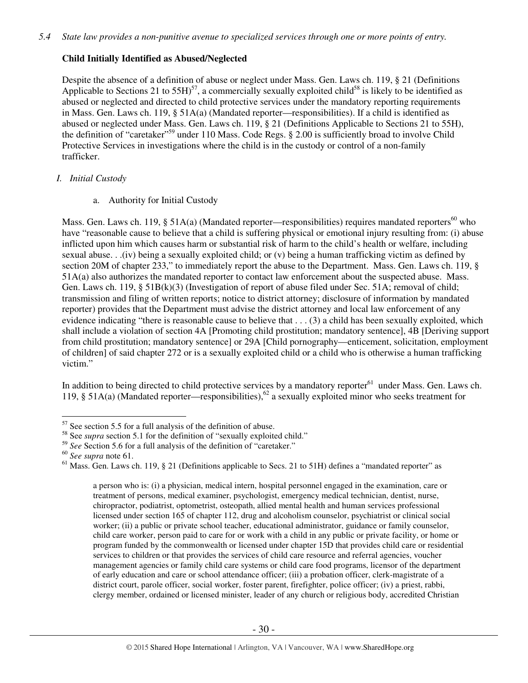# **Child Initially Identified as Abused/Neglected**

Despite the absence of a definition of abuse or neglect under Mass. Gen. Laws ch. 119, § 21 (Definitions Applicable to Sections 21 to  $55H$ <sup>57</sup>, a commercially sexually exploited child<sup>58</sup> is likely to be identified as abused or neglected and directed to child protective services under the mandatory reporting requirements in Mass. Gen. Laws ch. 119, § 51A(a) (Mandated reporter—responsibilities). If a child is identified as abused or neglected under Mass. Gen. Laws ch. 119, § 21 (Definitions Applicable to Sections 21 to 55H), the definition of "caretaker"<sup>59</sup> under 110 Mass. Code Regs. § 2.00 is sufficiently broad to involve Child Protective Services in investigations where the child is in the custody or control of a non-family trafficker.

# *I. Initial Custody*

a. Authority for Initial Custody

Mass. Gen. Laws ch. 119,  $\S$  51A(a) (Mandated reporter—responsibilities) requires mandated reporters<sup>60</sup> who have "reasonable cause to believe that a child is suffering physical or emotional injury resulting from: (i) abuse inflicted upon him which causes harm or substantial risk of harm to the child's health or welfare, including sexual abuse. . .(iv) being a sexually exploited child; or (v) being a human trafficking victim as defined by section 20M of chapter 233," to immediately report the abuse to the Department. Mass. Gen. Laws ch. 119, § 51A(a) also authorizes the mandated reporter to contact law enforcement about the suspected abuse. Mass. Gen. Laws ch. 119, § 51B(k)(3) (Investigation of report of abuse filed under Sec. 51A; removal of child; transmission and filing of written reports; notice to district attorney; disclosure of information by mandated reporter) provides that the Department must advise the district attorney and local law enforcement of any evidence indicating "there is reasonable cause to believe that . . . (3) a child has been sexually exploited, which shall include a violation of section 4A [Promoting child prostitution; mandatory sentence], 4B [Deriving support from child prostitution; mandatory sentence] or 29A [Child pornography—enticement, solicitation, employment of children] of said chapter 272 or is a sexually exploited child or a child who is otherwise a human trafficking victim."

In addition to being directed to child protective services by a mandatory reporter<sup>61</sup> under Mass. Gen. Laws ch. 119, § 51A(a) (Mandated reporter—responsibilities),<sup>62</sup> a sexually exploited minor who seeks treatment for

 $\overline{a}$ 

a person who is: (i) a physician, medical intern, hospital personnel engaged in the examination, care or treatment of persons, medical examiner, psychologist, emergency medical technician, dentist, nurse, chiropractor, podiatrist, optometrist, osteopath, allied mental health and human services professional licensed under section 165 of chapter 112, drug and alcoholism counselor, psychiatrist or clinical social worker; (ii) a public or private school teacher, educational administrator, guidance or family counselor, child care worker, person paid to care for or work with a child in any public or private facility, or home or program funded by the commonwealth or licensed under chapter 15D that provides child care or residential services to children or that provides the services of child care resource and referral agencies, voucher management agencies or family child care systems or child care food programs, licensor of the department of early education and care or school attendance officer; (iii) a probation officer, clerk-magistrate of a district court, parole officer, social worker, foster parent, firefighter, police officer; (iv) a priest, rabbi, clergy member, ordained or licensed minister, leader of any church or religious body, accredited Christian

 $57$  See section 5.5 for a full analysis of the definition of abuse.

<sup>&</sup>lt;sup>58</sup> See *supra* section 5.1 for the definition of "sexually exploited child."

<sup>59</sup> *See* Section 5.6 for a full analysis of the definition of "caretaker."

<sup>60</sup> *See supra* note 61.

 $<sup>61</sup>$  Mass. Gen. Laws ch. 119, § 21 (Definitions applicable to Secs. 21 to 51H) defines a "mandated reporter" as</sup>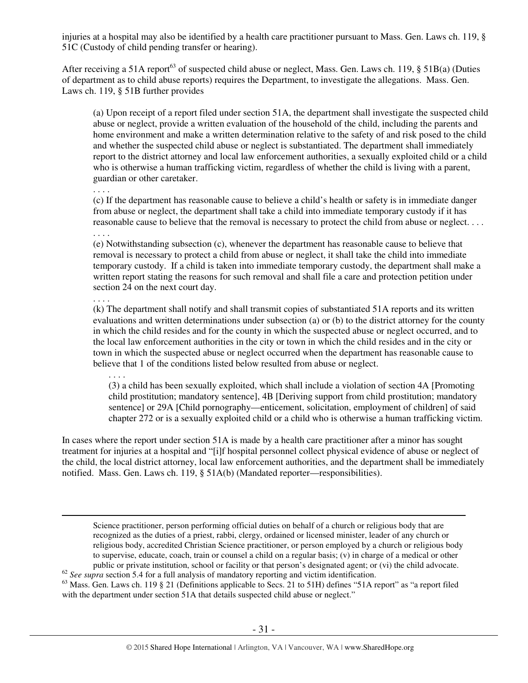injuries at a hospital may also be identified by a health care practitioner pursuant to Mass. Gen. Laws ch. 119, § 51C (Custody of child pending transfer or hearing).

After receiving a 51A report<sup>63</sup> of suspected child abuse or neglect, Mass. Gen. Laws ch. 119,  $\S$  51B(a) (Duties of department as to child abuse reports) requires the Department, to investigate the allegations. Mass. Gen. Laws ch. 119, § 51B further provides

(a) Upon receipt of a report filed under section 51A, the department shall investigate the suspected child abuse or neglect, provide a written evaluation of the household of the child, including the parents and home environment and make a written determination relative to the safety of and risk posed to the child and whether the suspected child abuse or neglect is substantiated. The department shall immediately report to the district attorney and local law enforcement authorities, a sexually exploited child or a child who is otherwise a human trafficking victim, regardless of whether the child is living with a parent, guardian or other caretaker.

(c) If the department has reasonable cause to believe a child's health or safety is in immediate danger from abuse or neglect, the department shall take a child into immediate temporary custody if it has reasonable cause to believe that the removal is necessary to protect the child from abuse or neglect. . . . . . . .

(e) Notwithstanding subsection (c), whenever the department has reasonable cause to believe that removal is necessary to protect a child from abuse or neglect, it shall take the child into immediate temporary custody. If a child is taken into immediate temporary custody, the department shall make a written report stating the reasons for such removal and shall file a care and protection petition under section 24 on the next court day.

#### . . . .

 $\overline{a}$ 

. . . .

(k) The department shall notify and shall transmit copies of substantiated 51A reports and its written evaluations and written determinations under subsection (a) or (b) to the district attorney for the county in which the child resides and for the county in which the suspected abuse or neglect occurred, and to the local law enforcement authorities in the city or town in which the child resides and in the city or town in which the suspected abuse or neglect occurred when the department has reasonable cause to believe that 1 of the conditions listed below resulted from abuse or neglect.

. . . .

(3) a child has been sexually exploited, which shall include a violation of section 4A [Promoting child prostitution; mandatory sentence], 4B [Deriving support from child prostitution; mandatory sentence] or 29A [Child pornography—enticement, solicitation, employment of children] of said chapter 272 or is a sexually exploited child or a child who is otherwise a human trafficking victim.

In cases where the report under section 51A is made by a health care practitioner after a minor has sought treatment for injuries at a hospital and "[i]f hospital personnel collect physical evidence of abuse or neglect of the child, the local district attorney, local law enforcement authorities, and the department shall be immediately notified. Mass. Gen. Laws ch. 119, § 51A(b) (Mandated reporter—responsibilities).

Science practitioner, person performing official duties on behalf of a church or religious body that are recognized as the duties of a priest, rabbi, clergy, ordained or licensed minister, leader of any church or religious body, accredited Christian Science practitioner, or person employed by a church or religious body to supervise, educate, coach, train or counsel a child on a regular basis; (v) in charge of a medical or other public or private institution, school or facility or that person's designated agent; or (vi) the child advocate. <sup>62</sup> See supra section 5.4 for a full analysis of mandatory reporting and victim identification.

<sup>63</sup> Mass. Gen. Laws ch. 119 § 21 (Definitions applicable to Secs. 21 to 51H) defines "51A report" as "a report filed with the department under section 51A that details suspected child abuse or neglect."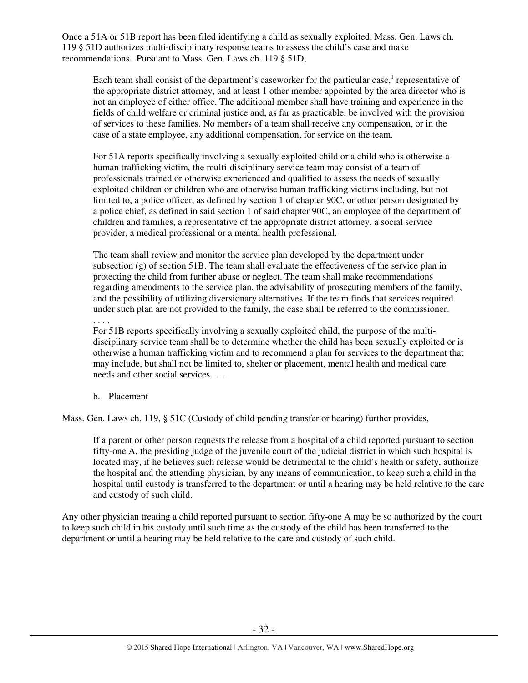Once a 51A or 51B report has been filed identifying a child as sexually exploited, Mass. Gen. Laws ch. 119 § 51D authorizes multi-disciplinary response teams to assess the child's case and make recommendations. Pursuant to Mass. Gen. Laws ch. 119 § 51D,

Each team shall consist of the department's caseworker for the particular case, $<sup>1</sup>$  representative of</sup> the appropriate district attorney, and at least 1 other member appointed by the area director who is not an employee of either office. The additional member shall have training and experience in the fields of child welfare or criminal justice and, as far as practicable, be involved with the provision of services to these families. No members of a team shall receive any compensation, or in the case of a state employee, any additional compensation, for service on the team.

For 51A reports specifically involving a sexually exploited child or a child who is otherwise a human trafficking victim, the multi-disciplinary service team may consist of a team of professionals trained or otherwise experienced and qualified to assess the needs of sexually exploited children or children who are otherwise human trafficking victims including, but not limited to, a police officer, as defined by section 1 of chapter 90C, or other person designated by a police chief, as defined in said section 1 of said chapter 90C, an employee of the department of children and families, a representative of the appropriate district attorney, a social service provider, a medical professional or a mental health professional.

The team shall review and monitor the service plan developed by the department under subsection (g) of section 51B. The team shall evaluate the effectiveness of the service plan in protecting the child from further abuse or neglect. The team shall make recommendations regarding amendments to the service plan, the advisability of prosecuting members of the family, and the possibility of utilizing diversionary alternatives. If the team finds that services required under such plan are not provided to the family, the case shall be referred to the commissioner.

. . . .

For 51B reports specifically involving a sexually exploited child, the purpose of the multidisciplinary service team shall be to determine whether the child has been sexually exploited or is otherwise a human trafficking victim and to recommend a plan for services to the department that may include, but shall not be limited to, shelter or placement, mental health and medical care needs and other social services. . . .

b. Placement

Mass. Gen. Laws ch. 119, § 51C (Custody of child pending transfer or hearing) further provides,

If a parent or other person requests the release from a hospital of a child reported pursuant to section fifty-one A, the presiding judge of the juvenile court of the judicial district in which such hospital is located may, if he believes such release would be detrimental to the child's health or safety, authorize the hospital and the attending physician, by any means of communication, to keep such a child in the hospital until custody is transferred to the department or until a hearing may be held relative to the care and custody of such child.

Any other physician treating a child reported pursuant to section fifty-one A may be so authorized by the court to keep such child in his custody until such time as the custody of the child has been transferred to the department or until a hearing may be held relative to the care and custody of such child.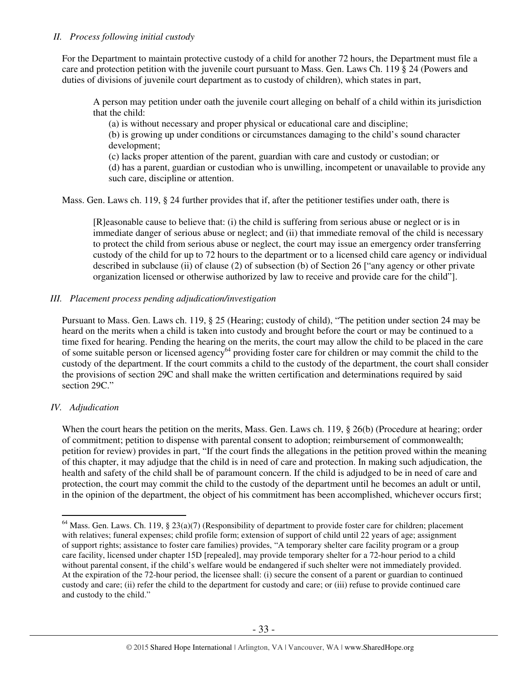# *II. Process following initial custody*

For the Department to maintain protective custody of a child for another 72 hours, the Department must file a care and protection petition with the juvenile court pursuant to Mass. Gen. Laws Ch. 119 § 24 (Powers and duties of divisions of juvenile court department as to custody of children), which states in part,

A person may petition under oath the juvenile court alleging on behalf of a child within its jurisdiction that the child:

(a) is without necessary and proper physical or educational care and discipline;

(b) is growing up under conditions or circumstances damaging to the child's sound character development;

(c) lacks proper attention of the parent, guardian with care and custody or custodian; or (d) has a parent, guardian or custodian who is unwilling, incompetent or unavailable to provide any such care, discipline or attention.

Mass. Gen. Laws ch. 119, § 24 further provides that if, after the petitioner testifies under oath, there is

[R]easonable cause to believe that: (i) the child is suffering from serious abuse or neglect or is in immediate danger of serious abuse or neglect; and (ii) that immediate removal of the child is necessary to protect the child from serious abuse or neglect, the court may issue an emergency order transferring custody of the child for up to 72 hours to the department or to a licensed child care agency or individual described in subclause (ii) of clause (2) of subsection (b) of Section 26 ["any agency or other private organization licensed or otherwise authorized by law to receive and provide care for the child"].

# *III. Placement process pending adjudication/investigation*

Pursuant to Mass. Gen. Laws ch. 119, § 25 (Hearing; custody of child), "The petition under section 24 may be heard on the merits when a child is taken into custody and brought before the court or may be continued to a time fixed for hearing. Pending the hearing on the merits, the court may allow the child to be placed in the care of some suitable person or licensed agency<sup>64</sup> providing foster care for children or may commit the child to the custody of the department. If the court commits a child to the custody of the department, the court shall consider the provisions of section 29C and shall make the written certification and determinations required by said section 29C."

# *IV. Adjudication*

 $\overline{a}$ 

When the court hears the petition on the merits, Mass. Gen. Laws ch. 119, § 26(b) (Procedure at hearing; order of commitment; petition to dispense with parental consent to adoption; reimbursement of commonwealth; petition for review) provides in part, "If the court finds the allegations in the petition proved within the meaning of this chapter, it may adjudge that the child is in need of care and protection. In making such adjudication, the health and safety of the child shall be of paramount concern. If the child is adjudged to be in need of care and protection, the court may commit the child to the custody of the department until he becomes an adult or until, in the opinion of the department, the object of his commitment has been accomplished, whichever occurs first;

 $64$  Mass. Gen. Laws. Ch. 119, § 23(a)(7) (Responsibility of department to provide foster care for children; placement with relatives; funeral expenses; child profile form; extension of support of child until 22 years of age; assignment of support rights; assistance to foster care families) provides, "A temporary shelter care facility program or a group care facility, licensed under chapter 15D [repealed], may provide temporary shelter for a 72-hour period to a child without parental consent, if the child's welfare would be endangered if such shelter were not immediately provided. At the expiration of the 72-hour period, the licensee shall: (i) secure the consent of a parent or guardian to continued custody and care; (ii) refer the child to the department for custody and care; or (iii) refuse to provide continued care and custody to the child."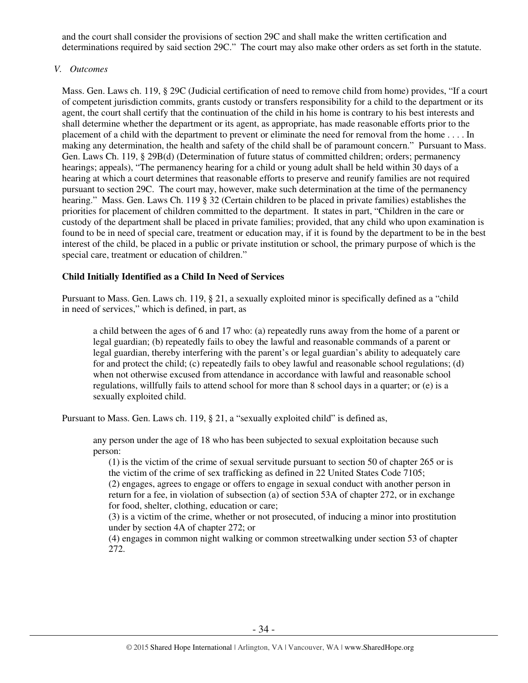and the court shall consider the provisions of section 29C and shall make the written certification and determinations required by said section 29C." The court may also make other orders as set forth in the statute.

# *V. Outcomes*

Mass. Gen. Laws ch. 119, § 29C (Judicial certification of need to remove child from home) provides, "If a court of competent jurisdiction commits, grants custody or transfers responsibility for a child to the department or its agent, the court shall certify that the continuation of the child in his home is contrary to his best interests and shall determine whether the department or its agent, as appropriate, has made reasonable efforts prior to the placement of a child with the department to prevent or eliminate the need for removal from the home . . . . In making any determination, the health and safety of the child shall be of paramount concern." Pursuant to Mass. Gen. Laws Ch. 119, § 29B(d) (Determination of future status of committed children; orders; permanency hearings; appeals), "The permanency hearing for a child or young adult shall be held within 30 days of a hearing at which a court determines that reasonable efforts to preserve and reunify families are not required pursuant to section 29C. The court may, however, make such determination at the time of the permanency hearing." Mass. Gen. Laws Ch. 119 § 32 (Certain children to be placed in private families) establishes the priorities for placement of children committed to the department. It states in part, "Children in the care or custody of the department shall be placed in private families; provided, that any child who upon examination is found to be in need of special care, treatment or education may, if it is found by the department to be in the best interest of the child, be placed in a public or private institution or school, the primary purpose of which is the special care, treatment or education of children."

# **Child Initially Identified as a Child In Need of Services**

Pursuant to Mass. Gen. Laws ch. 119, § 21, a sexually exploited minor is specifically defined as a "child in need of services," which is defined, in part, as

a child between the ages of 6 and 17 who: (a) repeatedly runs away from the home of a parent or legal guardian; (b) repeatedly fails to obey the lawful and reasonable commands of a parent or legal guardian, thereby interfering with the parent's or legal guardian's ability to adequately care for and protect the child; (c) repeatedly fails to obey lawful and reasonable school regulations; (d) when not otherwise excused from attendance in accordance with lawful and reasonable school regulations, willfully fails to attend school for more than 8 school days in a quarter; or (e) is a sexually exploited child.

Pursuant to Mass. Gen. Laws ch. 119, § 21, a "sexually exploited child" is defined as,

any person under the age of 18 who has been subjected to sexual exploitation because such person:

(1) is the victim of the crime of sexual servitude pursuant to section 50 of chapter 265 or is the victim of the crime of sex trafficking as defined in 22 United States Code 7105;

(2) engages, agrees to engage or offers to engage in sexual conduct with another person in return for a fee, in violation of subsection (a) of section 53A of chapter 272, or in exchange for food, shelter, clothing, education or care;

(3) is a victim of the crime, whether or not prosecuted, of inducing a minor into prostitution under by section 4A of chapter 272; or

(4) engages in common night walking or common streetwalking under section 53 of chapter 272.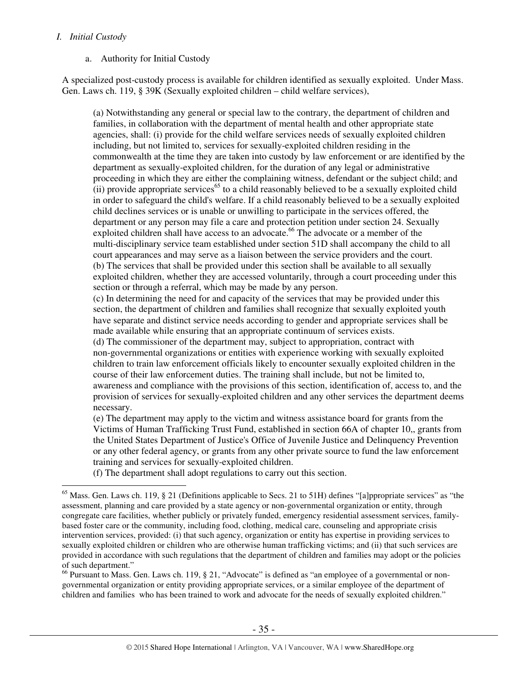# *I. Initial Custody*

 $\overline{a}$ 

## a. Authority for Initial Custody

A specialized post-custody process is available for children identified as sexually exploited. Under Mass. Gen. Laws ch. 119, § 39K (Sexually exploited children – child welfare services),

(a) Notwithstanding any general or special law to the contrary, the department of children and families, in collaboration with the department of mental health and other appropriate state agencies, shall: (i) provide for the child welfare services needs of sexually exploited children including, but not limited to, services for sexually-exploited children residing in the commonwealth at the time they are taken into custody by law enforcement or are identified by the department as sexually-exploited children, for the duration of any legal or administrative proceeding in which they are either the complaining witness, defendant or the subject child; and  $(iii)$  provide appropriate services<sup>65</sup> to a child reasonably believed to be a sexually exploited child in order to safeguard the child's welfare. If a child reasonably believed to be a sexually exploited child declines services or is unable or unwilling to participate in the services offered, the department or any person may file a care and protection petition under section 24. Sexually exploited children shall have access to an advocate. <sup>66</sup> The advocate or a member of the multi-disciplinary service team established under section 51D shall accompany the child to all court appearances and may serve as a liaison between the service providers and the court. (b) The services that shall be provided under this section shall be available to all sexually exploited children, whether they are accessed voluntarily, through a court proceeding under this section or through a referral, which may be made by any person.

(c) In determining the need for and capacity of the services that may be provided under this section, the department of children and families shall recognize that sexually exploited youth have separate and distinct service needs according to gender and appropriate services shall be made available while ensuring that an appropriate continuum of services exists.

(d) The commissioner of the department may, subject to appropriation, contract with non-governmental organizations or entities with experience working with sexually exploited children to train law enforcement officials likely to encounter sexually exploited children in the course of their law enforcement duties. The training shall include, but not be limited to, awareness and compliance with the provisions of this section, identification of, access to, and the provision of services for sexually-exploited children and any other services the department deems necessary.

(e) The department may apply to the victim and witness assistance board for grants from the Victims of Human Trafficking Trust Fund, established in section 66A of chapter 10,, grants from the United States Department of Justice's Office of Juvenile Justice and Delinquency Prevention or any other federal agency, or grants from any other private source to fund the law enforcement training and services for sexually-exploited children.

(f) The department shall adopt regulations to carry out this section.

<sup>66</sup> Pursuant to Mass. Gen. Laws ch. 119, § 21, "Advocate" is defined as "an employee of a governmental or nongovernmental organization or entity providing appropriate services, or a similar employee of the department of children and families who has been trained to work and advocate for the needs of sexually exploited children."

 $65$  Mass. Gen. Laws ch. 119, § 21 (Definitions applicable to Secs. 21 to 51H) defines "[a]ppropriate services" as "the assessment, planning and care provided by a state agency or non-governmental organization or entity, through congregate care facilities, whether publicly or privately funded, emergency residential assessment services, familybased foster care or the community, including food, clothing, medical care, counseling and appropriate crisis intervention services, provided: (i) that such agency, organization or entity has expertise in providing services to sexually exploited children or children who are otherwise human trafficking victims; and (ii) that such services are provided in accordance with such regulations that the department of children and families may adopt or the policies of such department."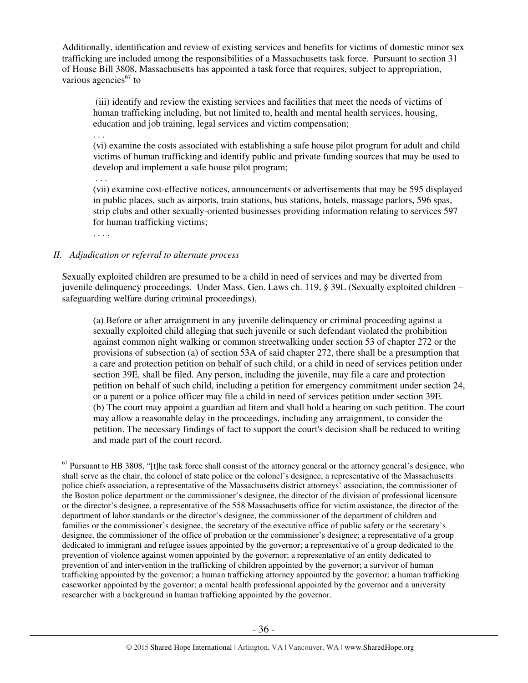Additionally, identification and review of existing services and benefits for victims of domestic minor sex trafficking are included among the responsibilities of a Massachusetts task force. Pursuant to section 31 of House Bill 3808, Massachusetts has appointed a task force that requires, subject to appropriation, various agencies $^{67}$  to

 (iii) identify and review the existing services and facilities that meet the needs of victims of human trafficking including, but not limited to, health and mental health services, housing, education and job training, legal services and victim compensation;

. . .

(vi) examine the costs associated with establishing a safe house pilot program for adult and child victims of human trafficking and identify public and private funding sources that may be used to develop and implement a safe house pilot program;

. . .

(vii) examine cost-effective notices, announcements or advertisements that may be 595 displayed in public places, such as airports, train stations, bus stations, hotels, massage parlors, 596 spas, strip clubs and other sexually-oriented businesses providing information relating to services 597 for human trafficking victims;

. . . .

 $\overline{a}$ 

# *II. Adjudication or referral to alternate process*

Sexually exploited children are presumed to be a child in need of services and may be diverted from juvenile delinquency proceedings. Under Mass. Gen. Laws ch. 119, § 39L (Sexually exploited children – safeguarding welfare during criminal proceedings),

(a) Before or after arraignment in any juvenile delinquency or criminal proceeding against a sexually exploited child alleging that such juvenile or such defendant violated the prohibition against common night walking or common streetwalking under section 53 of chapter 272 or the provisions of subsection (a) of section 53A of said chapter 272, there shall be a presumption that a care and protection petition on behalf of such child, or a child in need of services petition under section 39E, shall be filed. Any person, including the juvenile, may file a care and protection petition on behalf of such child, including a petition for emergency commitment under section 24, or a parent or a police officer may file a child in need of services petition under section 39E. (b) The court may appoint a guardian ad litem and shall hold a hearing on such petition. The court may allow a reasonable delay in the proceedings, including any arraignment, to consider the petition. The necessary findings of fact to support the court's decision shall be reduced to writing and made part of the court record.

 $67$  Pursuant to HB 3808, "[t]he task force shall consist of the attorney general or the attorney general's designee, who shall serve as the chair, the colonel of state police or the colonel's designee, a representative of the Massachusetts police chiefs association, a representative of the Massachusetts district attorneys' association, the commissioner of the Boston police department or the commissioner's designee, the director of the division of professional licensure or the director's designee, a representative of the 558 Massachusetts office for victim assistance, the director of the department of labor standards or the director's designee, the commissioner of the department of children and families or the commissioner's designee, the secretary of the executive office of public safety or the secretary's designee, the commissioner of the office of probation or the commissioner's designee; a representative of a group dedicated to immigrant and refugee issues appointed by the governor; a representative of a group dedicated to the prevention of violence against women appointed by the governor; a representative of an entity dedicated to prevention of and intervention in the trafficking of children appointed by the governor; a survivor of human trafficking appointed by the governor; a human trafficking attorney appointed by the governor; a human trafficking caseworker appointed by the governor; a mental health professional appointed by the governor and a university researcher with a background in human trafficking appointed by the governor.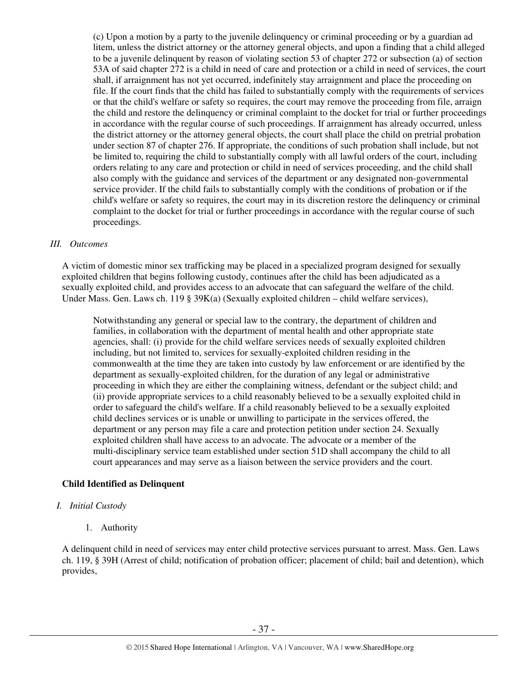(c) Upon a motion by a party to the juvenile delinquency or criminal proceeding or by a guardian ad litem, unless the district attorney or the attorney general objects, and upon a finding that a child alleged to be a juvenile delinquent by reason of violating section 53 of chapter 272 or subsection (a) of section 53A of said chapter 272 is a child in need of care and protection or a child in need of services, the court shall, if arraignment has not yet occurred, indefinitely stay arraignment and place the proceeding on file. If the court finds that the child has failed to substantially comply with the requirements of services or that the child's welfare or safety so requires, the court may remove the proceeding from file, arraign the child and restore the delinquency or criminal complaint to the docket for trial or further proceedings in accordance with the regular course of such proceedings. If arraignment has already occurred, unless the district attorney or the attorney general objects, the court shall place the child on pretrial probation under section 87 of chapter 276. If appropriate, the conditions of such probation shall include, but not be limited to, requiring the child to substantially comply with all lawful orders of the court, including orders relating to any care and protection or child in need of services proceeding, and the child shall also comply with the guidance and services of the department or any designated non-governmental service provider. If the child fails to substantially comply with the conditions of probation or if the child's welfare or safety so requires, the court may in its discretion restore the delinquency or criminal complaint to the docket for trial or further proceedings in accordance with the regular course of such proceedings.

## *III. Outcomes*

A victim of domestic minor sex trafficking may be placed in a specialized program designed for sexually exploited children that begins following custody, continues after the child has been adjudicated as a sexually exploited child, and provides access to an advocate that can safeguard the welfare of the child. Under Mass. Gen. Laws ch. 119 § 39K(a) (Sexually exploited children – child welfare services),

Notwithstanding any general or special law to the contrary, the department of children and families, in collaboration with the department of mental health and other appropriate state agencies, shall: (i) provide for the child welfare services needs of sexually exploited children including, but not limited to, services for sexually-exploited children residing in the commonwealth at the time they are taken into custody by law enforcement or are identified by the department as sexually-exploited children, for the duration of any legal or administrative proceeding in which they are either the complaining witness, defendant or the subject child; and (ii) provide appropriate services to a child reasonably believed to be a sexually exploited child in order to safeguard the child's welfare. If a child reasonably believed to be a sexually exploited child declines services or is unable or unwilling to participate in the services offered, the department or any person may file a care and protection petition under section 24. Sexually exploited children shall have access to an advocate. The advocate or a member of the multi-disciplinary service team established under section 51D shall accompany the child to all court appearances and may serve as a liaison between the service providers and the court.

## **Child Identified as Delinquent**

## *I. Initial Custody*

1. Authority

A delinquent child in need of services may enter child protective services pursuant to arrest. Mass. Gen. Laws ch. 119, § 39H (Arrest of child; notification of probation officer; placement of child; bail and detention), which provides,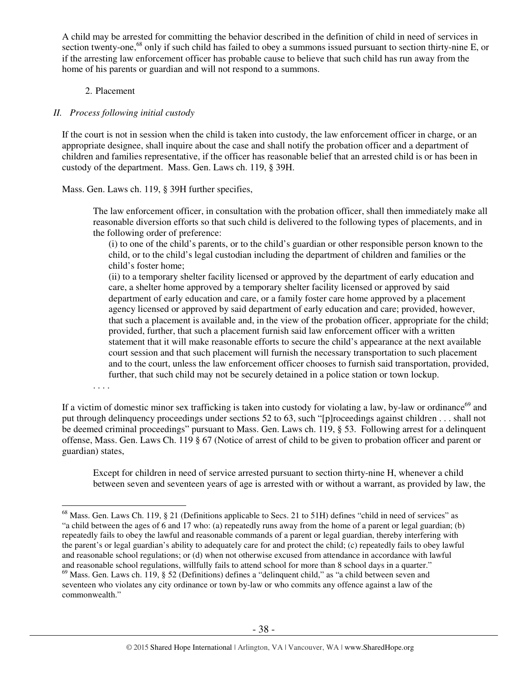A child may be arrested for committing the behavior described in the definition of child in need of services in section twenty-one,<sup>68</sup> only if such child has failed to obey a summons issued pursuant to section thirty-nine E, or if the arresting law enforcement officer has probable cause to believe that such child has run away from the home of his parents or guardian and will not respond to a summons.

# 2. Placement

## *II. Process following initial custody*

If the court is not in session when the child is taken into custody, the law enforcement officer in charge, or an appropriate designee, shall inquire about the case and shall notify the probation officer and a department of children and families representative, if the officer has reasonable belief that an arrested child is or has been in custody of the department. Mass. Gen. Laws ch. 119, § 39H.

Mass. Gen. Laws ch. 119, § 39H further specifies,

The law enforcement officer, in consultation with the probation officer, shall then immediately make all reasonable diversion efforts so that such child is delivered to the following types of placements, and in the following order of preference:

(i) to one of the child's parents, or to the child's guardian or other responsible person known to the child, or to the child's legal custodian including the department of children and families or the child's foster home;

(ii) to a temporary shelter facility licensed or approved by the department of early education and care, a shelter home approved by a temporary shelter facility licensed or approved by said department of early education and care, or a family foster care home approved by a placement agency licensed or approved by said department of early education and care; provided, however, that such a placement is available and, in the view of the probation officer, appropriate for the child; provided, further, that such a placement furnish said law enforcement officer with a written statement that it will make reasonable efforts to secure the child's appearance at the next available court session and that such placement will furnish the necessary transportation to such placement and to the court, unless the law enforcement officer chooses to furnish said transportation, provided, further, that such child may not be securely detained in a police station or town lockup.

. . . .

If a victim of domestic minor sex trafficking is taken into custody for violating a law, by-law or ordinance<sup>69</sup> and put through delinquency proceedings under sections 52 to 63, such "[p]roceedings against children . . . shall not be deemed criminal proceedings" pursuant to Mass. Gen. Laws ch. 119, § 53. Following arrest for a delinquent offense, Mass. Gen. Laws Ch. 119 § 67 (Notice of arrest of child to be given to probation officer and parent or guardian) states,

Except for children in need of service arrested pursuant to section thirty-nine H, whenever a child between seven and seventeen years of age is arrested with or without a warrant, as provided by law, the

 $\overline{a}$  $68$  Mass. Gen. Laws Ch. 119, § 21 (Definitions applicable to Secs. 21 to 51H) defines "child in need of services" as "a child between the ages of 6 and 17 who: (a) repeatedly runs away from the home of a parent or legal guardian; (b) repeatedly fails to obey the lawful and reasonable commands of a parent or legal guardian, thereby interfering with the parent's or legal guardian's ability to adequately care for and protect the child; (c) repeatedly fails to obey lawful and reasonable school regulations; or (d) when not otherwise excused from attendance in accordance with lawful and reasonable school regulations, willfully fails to attend school for more than 8 school days in a quarter."

<sup>69</sup> Mass. Gen. Laws ch. 119, § 52 (Definitions) defines a "delinquent child," as "a child between seven and seventeen who violates any city ordinance or town by-law or who commits any offence against a law of the commonwealth."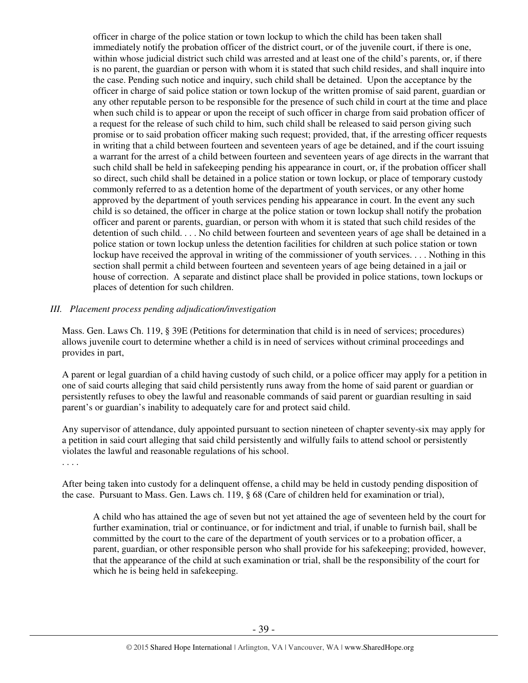officer in charge of the police station or town lockup to which the child has been taken shall immediately notify the probation officer of the district court, or of the juvenile court, if there is one, within whose judicial district such child was arrested and at least one of the child's parents, or, if there is no parent, the guardian or person with whom it is stated that such child resides, and shall inquire into the case. Pending such notice and inquiry, such child shall be detained. Upon the acceptance by the officer in charge of said police station or town lockup of the written promise of said parent, guardian or any other reputable person to be responsible for the presence of such child in court at the time and place when such child is to appear or upon the receipt of such officer in charge from said probation officer of a request for the release of such child to him, such child shall be released to said person giving such promise or to said probation officer making such request; provided, that, if the arresting officer requests in writing that a child between fourteen and seventeen years of age be detained, and if the court issuing a warrant for the arrest of a child between fourteen and seventeen years of age directs in the warrant that such child shall be held in safekeeping pending his appearance in court, or, if the probation officer shall so direct, such child shall be detained in a police station or town lockup, or place of temporary custody commonly referred to as a detention home of the department of youth services, or any other home approved by the department of youth services pending his appearance in court. In the event any such child is so detained, the officer in charge at the police station or town lockup shall notify the probation officer and parent or parents, guardian, or person with whom it is stated that such child resides of the detention of such child. . . . No child between fourteen and seventeen years of age shall be detained in a police station or town lockup unless the detention facilities for children at such police station or town lockup have received the approval in writing of the commissioner of youth services. . . . Nothing in this section shall permit a child between fourteen and seventeen years of age being detained in a jail or house of correction. A separate and distinct place shall be provided in police stations, town lockups or places of detention for such children.

## *III. Placement process pending adjudication/investigation*

Mass. Gen. Laws Ch. 119, § 39E (Petitions for determination that child is in need of services; procedures) allows juvenile court to determine whether a child is in need of services without criminal proceedings and provides in part,

A parent or legal guardian of a child having custody of such child, or a police officer may apply for a petition in one of said courts alleging that said child persistently runs away from the home of said parent or guardian or persistently refuses to obey the lawful and reasonable commands of said parent or guardian resulting in said parent's or guardian's inability to adequately care for and protect said child.

Any supervisor of attendance, duly appointed pursuant to section nineteen of chapter seventy-six may apply for a petition in said court alleging that said child persistently and wilfully fails to attend school or persistently violates the lawful and reasonable regulations of his school.

. . . .

After being taken into custody for a delinquent offense, a child may be held in custody pending disposition of the case. Pursuant to Mass. Gen. Laws ch. 119, § 68 (Care of children held for examination or trial),

A child who has attained the age of seven but not yet attained the age of seventeen held by the court for further examination, trial or continuance, or for indictment and trial, if unable to furnish bail, shall be committed by the court to the care of the department of youth services or to a probation officer, a parent, guardian, or other responsible person who shall provide for his safekeeping; provided, however, that the appearance of the child at such examination or trial, shall be the responsibility of the court for which he is being held in safekeeping.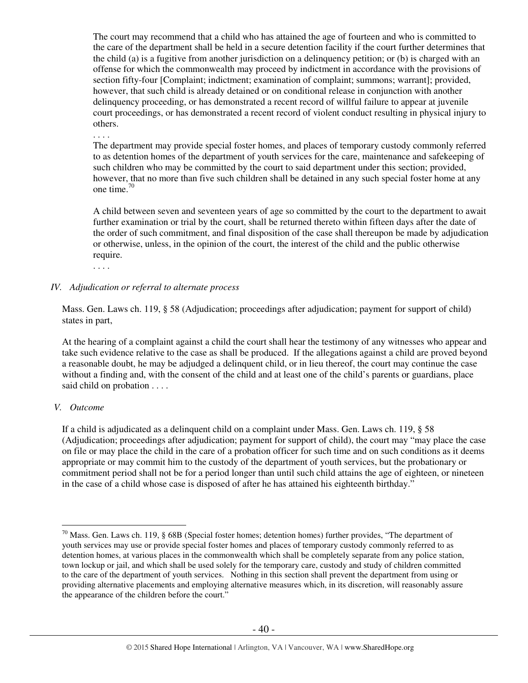The court may recommend that a child who has attained the age of fourteen and who is committed to the care of the department shall be held in a secure detention facility if the court further determines that the child (a) is a fugitive from another jurisdiction on a delinquency petition; or (b) is charged with an offense for which the commonwealth may proceed by indictment in accordance with the provisions of section fifty-four [Complaint; indictment; examination of complaint; summons; warrant]; provided, however, that such child is already detained or on conditional release in conjunction with another delinquency proceeding, or has demonstrated a recent record of willful failure to appear at juvenile court proceedings, or has demonstrated a recent record of violent conduct resulting in physical injury to others.

. . . .

The department may provide special foster homes, and places of temporary custody commonly referred to as detention homes of the department of youth services for the care, maintenance and safekeeping of such children who may be committed by the court to said department under this section; provided, however, that no more than five such children shall be detained in any such special foster home at any one time. $70$ 

A child between seven and seventeen years of age so committed by the court to the department to await further examination or trial by the court, shall be returned thereto within fifteen days after the date of the order of such commitment, and final disposition of the case shall thereupon be made by adjudication or otherwise, unless, in the opinion of the court, the interest of the child and the public otherwise require.

. . . .

## *IV. Adjudication or referral to alternate process*

Mass. Gen. Laws ch. 119, § 58 (Adjudication; proceedings after adjudication; payment for support of child) states in part,

At the hearing of a complaint against a child the court shall hear the testimony of any witnesses who appear and take such evidence relative to the case as shall be produced. If the allegations against a child are proved beyond a reasonable doubt, he may be adjudged a delinquent child, or in lieu thereof, the court may continue the case without a finding and, with the consent of the child and at least one of the child's parents or guardians, place said child on probation . . . .

## *V. Outcome*

 $\overline{a}$ 

If a child is adjudicated as a delinquent child on a complaint under Mass. Gen. Laws ch. 119, § 58 (Adjudication; proceedings after adjudication; payment for support of child), the court may "may place the case on file or may place the child in the care of a probation officer for such time and on such conditions as it deems appropriate or may commit him to the custody of the department of youth services, but the probationary or commitment period shall not be for a period longer than until such child attains the age of eighteen, or nineteen in the case of a child whose case is disposed of after he has attained his eighteenth birthday."

 $70$  Mass. Gen. Laws ch. 119, § 68B (Special foster homes; detention homes) further provides, "The department of youth services may use or provide special foster homes and places of temporary custody commonly referred to as detention homes, at various places in the commonwealth which shall be completely separate from any police station, town lockup or jail, and which shall be used solely for the temporary care, custody and study of children committed to the care of the department of youth services. Nothing in this section shall prevent the department from using or providing alternative placements and employing alternative measures which, in its discretion, will reasonably assure the appearance of the children before the court."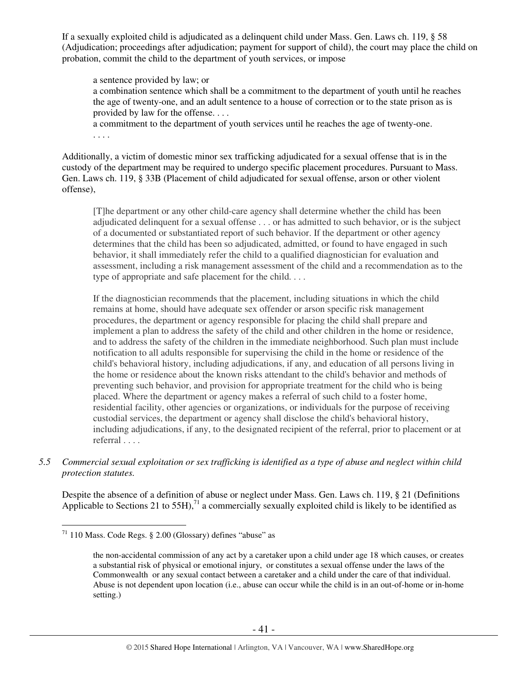If a sexually exploited child is adjudicated as a delinquent child under Mass. Gen. Laws ch. 119, § 58 (Adjudication; proceedings after adjudication; payment for support of child), the court may place the child on probation, commit the child to the department of youth services, or impose

a sentence provided by law; or a combination sentence which shall be a commitment to the department of youth until he reaches the age of twenty-one, and an adult sentence to a house of correction or to the state prison as is provided by law for the offense. . . .

a commitment to the department of youth services until he reaches the age of twenty-one. . . . .

Additionally, a victim of domestic minor sex trafficking adjudicated for a sexual offense that is in the custody of the department may be required to undergo specific placement procedures. Pursuant to Mass. Gen. Laws ch. 119, § 33B (Placement of child adjudicated for sexual offense, arson or other violent offense),

[T]he department or any other child-care agency shall determine whether the child has been adjudicated delinquent for a sexual offense . . . or has admitted to such behavior, or is the subject of a documented or substantiated report of such behavior. If the department or other agency determines that the child has been so adjudicated, admitted, or found to have engaged in such behavior, it shall immediately refer the child to a qualified diagnostician for evaluation and assessment, including a risk management assessment of the child and a recommendation as to the type of appropriate and safe placement for the child. . . .

If the diagnostician recommends that the placement, including situations in which the child remains at home, should have adequate sex offender or arson specific risk management procedures, the department or agency responsible for placing the child shall prepare and implement a plan to address the safety of the child and other children in the home or residence, and to address the safety of the children in the immediate neighborhood. Such plan must include notification to all adults responsible for supervising the child in the home or residence of the child's behavioral history, including adjudications, if any, and education of all persons living in the home or residence about the known risks attendant to the child's behavior and methods of preventing such behavior, and provision for appropriate treatment for the child who is being placed. Where the department or agency makes a referral of such child to a foster home, residential facility, other agencies or organizations, or individuals for the purpose of receiving custodial services, the department or agency shall disclose the child's behavioral history, including adjudications, if any, to the designated recipient of the referral, prior to placement or at referral . . . .

*5.5 Commercial sexual exploitation or sex trafficking is identified as a type of abuse and neglect within child protection statutes.* 

Despite the absence of a definition of abuse or neglect under Mass. Gen. Laws ch. 119, § 21 (Definitions Applicable to Sections 21 to 55H),<sup>71</sup> a commercially sexually exploited child is likely to be identified as

 $\overline{a}$  $71$  110 Mass. Code Regs. § 2.00 (Glossary) defines "abuse" as

the non-accidental commission of any act by a caretaker upon a child under age 18 which causes, or creates a substantial risk of physical or emotional injury, or constitutes a sexual offense under the laws of the Commonwealth or any sexual contact between a caretaker and a child under the care of that individual. Abuse is not dependent upon location (i.e., abuse can occur while the child is in an out-of-home or in-home setting.)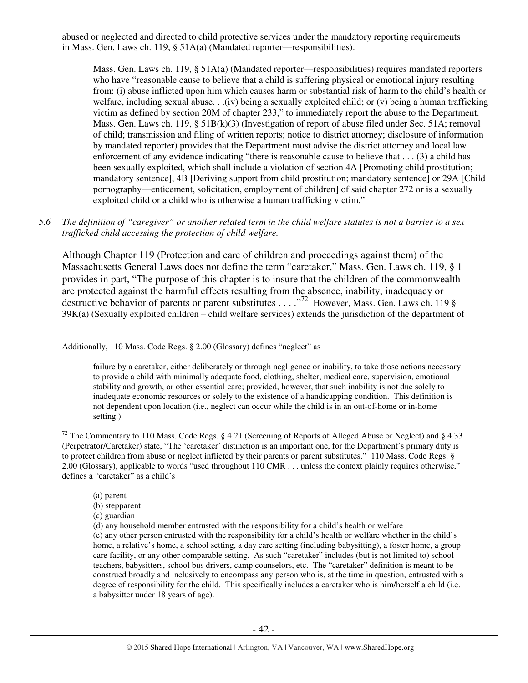abused or neglected and directed to child protective services under the mandatory reporting requirements in Mass. Gen. Laws ch. 119, § 51A(a) (Mandated reporter—responsibilities).

Mass. Gen. Laws ch. 119, § 51A(a) (Mandated reporter—responsibilities) requires mandated reporters who have "reasonable cause to believe that a child is suffering physical or emotional injury resulting from: (i) abuse inflicted upon him which causes harm or substantial risk of harm to the child's health or welfare, including sexual abuse. . .(iv) being a sexually exploited child; or (v) being a human trafficking victim as defined by section 20M of chapter 233," to immediately report the abuse to the Department. Mass. Gen. Laws ch. 119, § 51B(k)(3) (Investigation of report of abuse filed under Sec. 51A; removal of child; transmission and filing of written reports; notice to district attorney; disclosure of information by mandated reporter) provides that the Department must advise the district attorney and local law enforcement of any evidence indicating "there is reasonable cause to believe that . . . (3) a child has been sexually exploited, which shall include a violation of section 4A [Promoting child prostitution; mandatory sentence], 4B [Deriving support from child prostitution; mandatory sentence] or 29A [Child pornography—enticement, solicitation, employment of children] of said chapter 272 or is a sexually exploited child or a child who is otherwise a human trafficking victim."

## *5.6 The definition of "caregiver" or another related term in the child welfare statutes is not a barrier to a sex trafficked child accessing the protection of child welfare.*

Although Chapter 119 (Protection and care of children and proceedings against them) of the Massachusetts General Laws does not define the term "caretaker," Mass. Gen. Laws ch. 119, § 1 provides in part, "The purpose of this chapter is to insure that the children of the commonwealth are protected against the harmful effects resulting from the absence, inability, inadequacy or destructive behavior of parents or parent substitutes . . . . "<sup>72</sup> However, Mass. Gen. Laws ch. 119 § 39K(a) (Sexually exploited children – child welfare services) extends the jurisdiction of the department of

Additionally, 110 Mass. Code Regs. § 2.00 (Glossary) defines "neglect" as

failure by a caretaker, either deliberately or through negligence or inability, to take those actions necessary to provide a child with minimally adequate food, clothing, shelter, medical care, supervision, emotional stability and growth, or other essential care; provided, however, that such inability is not due solely to inadequate economic resources or solely to the existence of a handicapping condition. This definition is not dependent upon location (i.e., neglect can occur while the child is in an out-of-home or in-home setting.)

<sup>72</sup> The Commentary to 110 Mass. Code Regs. § 4.21 (Screening of Reports of Alleged Abuse or Neglect) and § 4.33 (Perpetrator/Caretaker) state, "The 'caretaker' distinction is an important one, for the Department's primary duty is to protect children from abuse or neglect inflicted by their parents or parent substitutes." 110 Mass. Code Regs. § 2.00 (Glossary), applicable to words "used throughout 110 CMR . . . unless the context plainly requires otherwise," defines a "caretaker" as a child's

(a) parent

 $\overline{a}$ 

- (b) stepparent
- (c) guardian

(d) any household member entrusted with the responsibility for a child's health or welfare (e) any other person entrusted with the responsibility for a child's health or welfare whether in the child's home, a relative's home, a school setting, a day care setting (including babysitting), a foster home, a group care facility, or any other comparable setting. As such "caretaker" includes (but is not limited to) school teachers, babysitters, school bus drivers, camp counselors, etc. The "caretaker" definition is meant to be construed broadly and inclusively to encompass any person who is, at the time in question, entrusted with a degree of responsibility for the child. This specifically includes a caretaker who is him/herself a child (i.e. a babysitter under 18 years of age).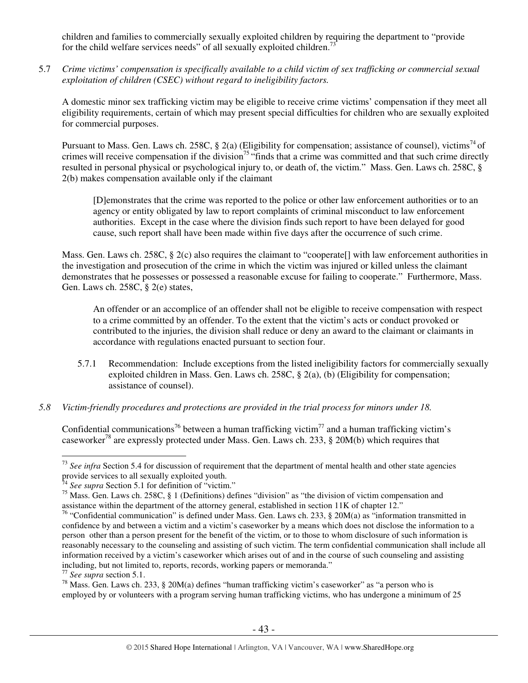children and families to commercially sexually exploited children by requiring the department to "provide for the child welfare services needs" of all sexually exploited children.<sup>7</sup>

5.7 *Crime victims' compensation is specifically available to a child victim of sex trafficking or commercial sexual exploitation of children (CSEC) without regard to ineligibility factors.* 

A domestic minor sex trafficking victim may be eligible to receive crime victims' compensation if they meet all eligibility requirements, certain of which may present special difficulties for children who are sexually exploited for commercial purposes.

Pursuant to Mass. Gen. Laws ch. 258C, § 2(a) (Eligibility for compensation; assistance of counsel), victims<sup>74</sup> of crimes will receive compensation if the division<sup>75</sup> "finds that a crime was committed and that such crime directly resulted in personal physical or psychological injury to, or death of, the victim." Mass. Gen. Laws ch. 258C, § 2(b) makes compensation available only if the claimant

[D]emonstrates that the crime was reported to the police or other law enforcement authorities or to an agency or entity obligated by law to report complaints of criminal misconduct to law enforcement authorities. Except in the case where the division finds such report to have been delayed for good cause, such report shall have been made within five days after the occurrence of such crime.

Mass. Gen. Laws ch. 258C, § 2(c) also requires the claimant to "cooperate[] with law enforcement authorities in the investigation and prosecution of the crime in which the victim was injured or killed unless the claimant demonstrates that he possesses or possessed a reasonable excuse for failing to cooperate." Furthermore, Mass. Gen. Laws ch. 258C, § 2(e) states,

An offender or an accomplice of an offender shall not be eligible to receive compensation with respect to a crime committed by an offender. To the extent that the victim's acts or conduct provoked or contributed to the injuries, the division shall reduce or deny an award to the claimant or claimants in accordance with regulations enacted pursuant to section four.

- 5.7.1 Recommendation: Include exceptions from the listed ineligibility factors for commercially sexually exploited children in Mass. Gen. Laws ch. 258C, § 2(a), (b) (Eligibility for compensation; assistance of counsel).
- *5.8 Victim-friendly procedures and protections are provided in the trial process for minors under 18.*

Confidential communications<sup>76</sup> between a human trafficking victim<sup>77</sup> and a human trafficking victim's caseworker<sup>78</sup> are expressly protected under Mass. Gen. Laws ch. 233, § 20M(b) which requires that

<sup>&</sup>lt;sup>73</sup> See infra Section 5.4 for discussion of requirement that the department of mental health and other state agencies provide services to all sexually exploited youth.

<sup>&</sup>lt;sup>74</sup> See supra Section 5.1 for definition of "victim."

<sup>75</sup> Mass. Gen. Laws ch. 258C, § 1 (Definitions) defines "division" as "the division of victim compensation and assistance within the department of the attorney general, established in section 11K of chapter 12."

<sup>&</sup>lt;sup>76</sup> "Confidential communication" is defined under Mass. Gen. Laws ch. 233, § 20M(a) as "information transmitted in confidence by and between a victim and a victim's caseworker by a means which does not disclose the information to a person other than a person present for the benefit of the victim, or to those to whom disclosure of such information is reasonably necessary to the counseling and assisting of such victim. The term confidential communication shall include all information received by a victim's caseworker which arises out of and in the course of such counseling and assisting including, but not limited to, reports, records, working papers or memoranda."

<sup>77</sup> *See supra* section 5.1.

<sup>&</sup>lt;sup>78</sup> Mass. Gen. Laws ch. 233, § 20M(a) defines "human trafficking victim's caseworker" as "a person who is employed by or volunteers with a program serving human trafficking victims, who has undergone a minimum of 25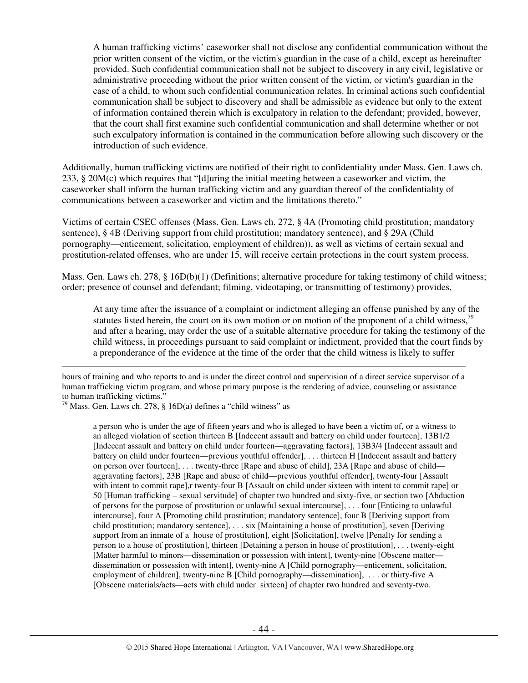A human trafficking victims' caseworker shall not disclose any confidential communication without the prior written consent of the victim, or the victim's guardian in the case of a child, except as hereinafter provided. Such confidential communication shall not be subject to discovery in any civil, legislative or administrative proceeding without the prior written consent of the victim, or victim's guardian in the case of a child, to whom such confidential communication relates. In criminal actions such confidential communication shall be subject to discovery and shall be admissible as evidence but only to the extent of information contained therein which is exculpatory in relation to the defendant; provided, however, that the court shall first examine such confidential communication and shall determine whether or not such exculpatory information is contained in the communication before allowing such discovery or the introduction of such evidence.

Additionally, human trafficking victims are notified of their right to confidentiality under Mass. Gen. Laws ch. 233, § 20M(c) which requires that "[d]uring the initial meeting between a caseworker and victim, the caseworker shall inform the human trafficking victim and any guardian thereof of the confidentiality of communications between a caseworker and victim and the limitations thereto."

Victims of certain CSEC offenses (Mass. Gen. Laws ch. 272, § 4A (Promoting child prostitution; mandatory sentence), § 4B (Deriving support from child prostitution; mandatory sentence), and § 29A (Child pornography—enticement, solicitation, employment of children)), as well as victims of certain sexual and prostitution-related offenses, who are under 15, will receive certain protections in the court system process.

Mass. Gen. Laws ch. 278, § 16D(b)(1) (Definitions; alternative procedure for taking testimony of child witness; order; presence of counsel and defendant; filming, videotaping, or transmitting of testimony) provides,

At any time after the issuance of a complaint or indictment alleging an offense punished by any of the statutes listed herein, the court on its own motion or on motion of the proponent of a child witness,<sup>79</sup> and after a hearing, may order the use of a suitable alternative procedure for taking the testimony of the child witness, in proceedings pursuant to said complaint or indictment, provided that the court finds by a preponderance of the evidence at the time of the order that the child witness is likely to suffer

 $\overline{a}$ 

a person who is under the age of fifteen years and who is alleged to have been a victim of, or a witness to an alleged violation of section thirteen B [Indecent assault and battery on child under fourteen], 13B1/2 [Indecent assault and battery on child under fourteen—aggravating factors], 13B3/4 [Indecent assault and battery on child under fourteen—previous youthful offender], . . . thirteen H [Indecent assault and battery on person over fourteen], . . . twenty-three [Rape and abuse of child], 23A [Rape and abuse of child aggravating factors], 23B [Rape and abuse of child—previous youthful offender], twenty-four [Assault with intent to commit rape], r twenty-four B [Assault on child under sixteen with intent to commit rape] or 50 [Human trafficking – sexual servitude] of chapter two hundred and sixty-five, or section two [Abduction of persons for the purpose of prostitution or unlawful sexual intercourse], . . . four [Enticing to unlawful intercourse], four A [Promoting child prostitution; mandatory sentence], four B [Deriving support from child prostitution; mandatory sentence], . . . six [Maintaining a house of prostitution], seven [Deriving support from an inmate of a house of prostitution], eight [Solicitation], twelve [Penalty for sending a person to a house of prostitution], thirteen [Detaining a person in house of prostitution], . . . twenty-eight [Matter harmful to minors—dissemination or possession with intent], twenty-nine [Obscene matter dissemination or possession with intent], twenty-nine A [Child pornography—enticement, solicitation, employment of children], twenty-nine B [Child pornography—dissemination], . . . or thirty-five A [Obscene materials/acts—acts with child under sixteen] of chapter two hundred and seventy-two.

hours of training and who reports to and is under the direct control and supervision of a direct service supervisor of a human trafficking victim program, and whose primary purpose is the rendering of advice, counseling or assistance to human trafficking victims."

 $79$  Mass. Gen. Laws ch. 278, § 16D(a) defines a "child witness" as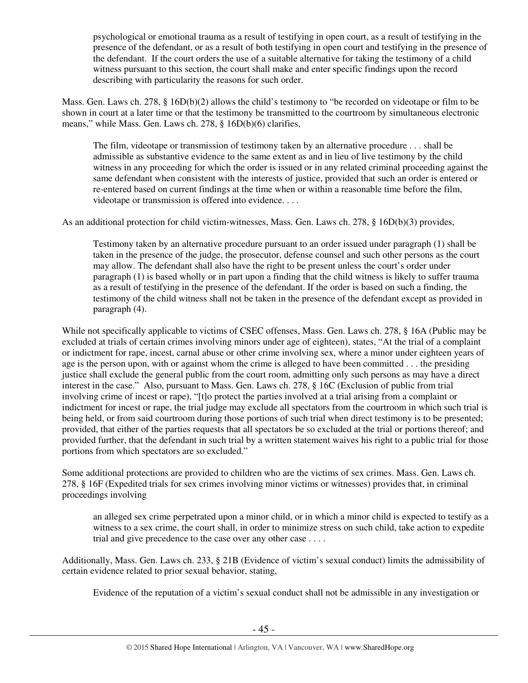psychological or emotional trauma as a result of testifying in open court, as a result of testifying in the presence of the defendant, or as a result of both testifying in open court and testifying in the presence of the defendant. If the court orders the use of a suitable alternative for taking the testimony of a child witness pursuant to this section, the court shall make and enter specific findings upon the record describing with particularity the reasons for such order.

Mass. Gen. Laws ch. 278, § 16D(b)(2) allows the child's testimony to "be recorded on videotape or film to be shown in court at a later time or that the testimony be transmitted to the courtroom by simultaneous electronic means," while Mass. Gen. Laws ch. 278, § 16D(b)(6) clarifies,

The film, videotape or transmission of testimony taken by an alternative procedure . . . shall be admissible as substantive evidence to the same extent as and in lieu of live testimony by the child witness in any proceeding for which the order is issued or in any related criminal proceeding against the same defendant when consistent with the interests of justice, provided that such an order is entered or re-entered based on current findings at the time when or within a reasonable time before the film, videotape or transmission is offered into evidence. . . .

As an additional protection for child victim-witnesses, Mass. Gen. Laws ch. 278, § 16D(b)(3) provides,

Testimony taken by an alternative procedure pursuant to an order issued under paragraph (1) shall be taken in the presence of the judge, the prosecutor, defense counsel and such other persons as the court may allow. The defendant shall also have the right to be present unless the court's order under paragraph (1) is based wholly or in part upon a finding that the child witness is likely to suffer trauma as a result of testifying in the presence of the defendant. If the order is based on such a finding, the testimony of the child witness shall not be taken in the presence of the defendant except as provided in paragraph (4).

While not specifically applicable to victims of CSEC offenses, Mass. Gen. Laws ch. 278, § 16A (Public may be excluded at trials of certain crimes involving minors under age of eighteen), states, "At the trial of a complaint or indictment for rape, incest, carnal abuse or other crime involving sex, where a minor under eighteen years of age is the person upon, with or against whom the crime is alleged to have been committed . . . the presiding justice shall exclude the general public from the court room, admitting only such persons as may have a direct interest in the case." Also, pursuant to Mass. Gen. Laws ch. 278, § 16C (Exclusion of public from trial involving crime of incest or rape), "[t]o protect the parties involved at a trial arising from a complaint or indictment for incest or rape, the trial judge may exclude all spectators from the courtroom in which such trial is being held, or from said courtroom during those portions of such trial when direct testimony is to be presented; provided, that either of the parties requests that all spectators be so excluded at the trial or portions thereof; and provided further, that the defendant in such trial by a written statement waives his right to a public trial for those portions from which spectators are so excluded."

Some additional protections are provided to children who are the victims of sex crimes. Mass. Gen. Laws ch. 278, § 16F (Expedited trials for sex crimes involving minor victims or witnesses) provides that, in criminal proceedings involving

an alleged sex crime perpetrated upon a minor child, or in which a minor child is expected to testify as a witness to a sex crime, the court shall, in order to minimize stress on such child, take action to expedite trial and give precedence to the case over any other case . . . .

Additionally, Mass. Gen. Laws ch. 233, § 21B (Evidence of victim's sexual conduct) limits the admissibility of certain evidence related to prior sexual behavior, stating,

Evidence of the reputation of a victim's sexual conduct shall not be admissible in any investigation or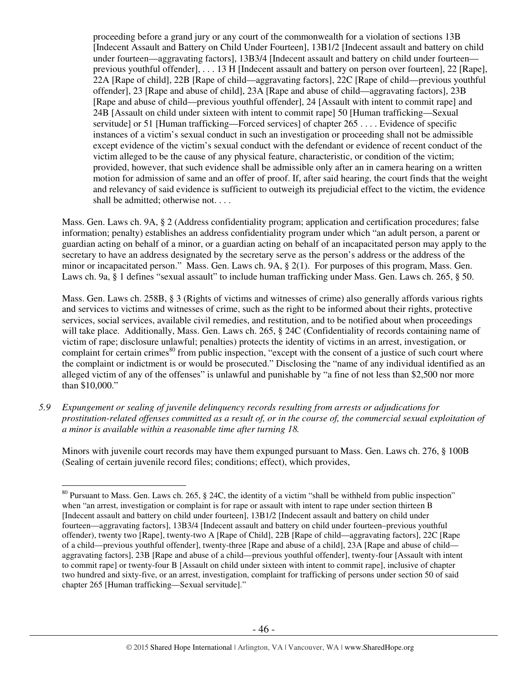proceeding before a grand jury or any court of the commonwealth for a violation of sections 13B [Indecent Assault and Battery on Child Under Fourteen], 13B1/2 [Indecent assault and battery on child under fourteen—aggravating factors], 13B3/4 [Indecent assault and battery on child under fourteen previous youthful offender], . . . 13 H [Indecent assault and battery on person over fourteen], 22 [Rape], 22A [Rape of child], 22B [Rape of child—aggravating factors], 22C [Rape of child—previous youthful offender], 23 [Rape and abuse of child], 23A [Rape and abuse of child—aggravating factors], 23B [Rape and abuse of child—previous youthful offender], 24 [Assault with intent to commit rape] and 24B [Assault on child under sixteen with intent to commit rape] 50 [Human trafficking—Sexual servitude] or 51 [Human trafficking—Forced services] of chapter 265 . . . . Evidence of specific instances of a victim's sexual conduct in such an investigation or proceeding shall not be admissible except evidence of the victim's sexual conduct with the defendant or evidence of recent conduct of the victim alleged to be the cause of any physical feature, characteristic, or condition of the victim; provided, however, that such evidence shall be admissible only after an in camera hearing on a written motion for admission of same and an offer of proof. If, after said hearing, the court finds that the weight and relevancy of said evidence is sufficient to outweigh its prejudicial effect to the victim, the evidence shall be admitted; otherwise not. . . .

Mass. Gen. Laws ch. 9A, § 2 (Address confidentiality program; application and certification procedures; false information; penalty) establishes an address confidentiality program under which "an adult person, a parent or guardian acting on behalf of a minor, or a guardian acting on behalf of an incapacitated person may apply to the secretary to have an address designated by the secretary serve as the person's address or the address of the minor or incapacitated person." Mass. Gen. Laws ch. 9A, § 2(1). For purposes of this program, Mass. Gen. Laws ch. 9a, § 1 defines "sexual assault" to include human trafficking under Mass. Gen. Laws ch. 265, § 50.

Mass. Gen. Laws ch. 258B, § 3 (Rights of victims and witnesses of crime) also generally affords various rights and services to victims and witnesses of crime, such as the right to be informed about their rights, protective services, social services, available civil remedies, and restitution, and to be notified about when proceedings will take place. Additionally, Mass. Gen. Laws ch. 265, § 24C (Confidentiality of records containing name of victim of rape; disclosure unlawful; penalties) protects the identity of victims in an arrest, investigation, or complaint for certain crimes $^{80}$  from public inspection, "except with the consent of a justice of such court where the complaint or indictment is or would be prosecuted." Disclosing the "name of any individual identified as an alleged victim of any of the offenses" is unlawful and punishable by "a fine of not less than \$2,500 nor more than \$10,000."

*5.9 Expungement or sealing of juvenile delinquency records resulting from arrests or adjudications for prostitution-related offenses committed as a result of, or in the course of, the commercial sexual exploitation of a minor is available within a reasonable time after turning 18.* 

Minors with juvenile court records may have them expunged pursuant to Mass. Gen. Laws ch. 276, § 100B (Sealing of certain juvenile record files; conditions; effect), which provides,

 $80$  Pursuant to Mass. Gen. Laws ch. 265, § 24C, the identity of a victim "shall be withheld from public inspection" when "an arrest, investigation or complaint is for rape or assault with intent to rape under section thirteen B [Indecent assault and battery on child under fourteen], 13B1/2 [Indecent assault and battery on child under fourteen—aggravating factors], 13B3/4 [Indecent assault and battery on child under fourteen–previous youthful offender), twenty two [Rape], twenty-two A [Rape of Child], 22B [Rape of child—aggravating factors], 22C [Rape of a child—previous youthful offender], twenty-three [Rape and abuse of a child], 23A [Rape and abuse of child aggravating factors], 23B [Rape and abuse of a child—previous youthful offender], twenty-four [Assault with intent to commit rape] or twenty-four B [Assault on child under sixteen with intent to commit rape], inclusive of chapter two hundred and sixty-five, or an arrest, investigation, complaint for trafficking of persons under section 50 of said chapter 265 [Human trafficking—Sexual servitude]."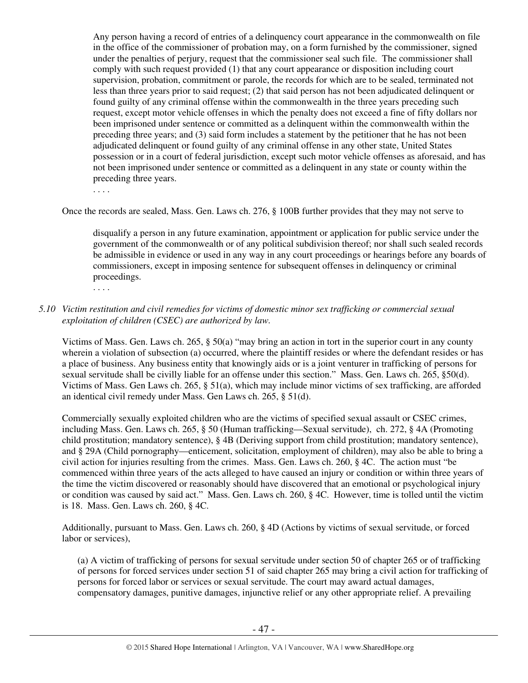Any person having a record of entries of a delinquency court appearance in the commonwealth on file in the office of the commissioner of probation may, on a form furnished by the commissioner, signed under the penalties of perjury, request that the commissioner seal such file. The commissioner shall comply with such request provided (1) that any court appearance or disposition including court supervision, probation, commitment or parole, the records for which are to be sealed, terminated not less than three years prior to said request; (2) that said person has not been adjudicated delinquent or found guilty of any criminal offense within the commonwealth in the three years preceding such request, except motor vehicle offenses in which the penalty does not exceed a fine of fifty dollars nor been imprisoned under sentence or committed as a delinquent within the commonwealth within the preceding three years; and (3) said form includes a statement by the petitioner that he has not been adjudicated delinquent or found guilty of any criminal offense in any other state, United States possession or in a court of federal jurisdiction, except such motor vehicle offenses as aforesaid, and has not been imprisoned under sentence or committed as a delinquent in any state or county within the preceding three years.

. . . .

Once the records are sealed, Mass. Gen. Laws ch. 276, § 100B further provides that they may not serve to

disqualify a person in any future examination, appointment or application for public service under the government of the commonwealth or of any political subdivision thereof; nor shall such sealed records be admissible in evidence or used in any way in any court proceedings or hearings before any boards of commissioners, except in imposing sentence for subsequent offenses in delinquency or criminal proceedings.

. . . .

## *5.10 Victim restitution and civil remedies for victims of domestic minor sex trafficking or commercial sexual exploitation of children (CSEC) are authorized by law.*

Victims of Mass. Gen. Laws ch. 265, § 50(a) "may bring an action in tort in the superior court in any county wherein a violation of subsection (a) occurred, where the plaintiff resides or where the defendant resides or has a place of business. Any business entity that knowingly aids or is a joint venturer in trafficking of persons for sexual servitude shall be civilly liable for an offense under this section." Mass. Gen. Laws ch. 265, §50(d). Victims of Mass. Gen Laws ch. 265, § 51(a), which may include minor victims of sex trafficking, are afforded an identical civil remedy under Mass. Gen Laws ch. 265, § 51(d).

Commercially sexually exploited children who are the victims of specified sexual assault or CSEC crimes, including Mass. Gen. Laws ch. 265, § 50 (Human trafficking—Sexual servitude), ch. 272, § 4A (Promoting child prostitution; mandatory sentence), § 4B (Deriving support from child prostitution; mandatory sentence), and § 29A (Child pornography—enticement, solicitation, employment of children), may also be able to bring a civil action for injuries resulting from the crimes. Mass. Gen. Laws ch. 260, § 4C. The action must "be commenced within three years of the acts alleged to have caused an injury or condition or within three years of the time the victim discovered or reasonably should have discovered that an emotional or psychological injury or condition was caused by said act." Mass. Gen. Laws ch. 260, § 4C. However, time is tolled until the victim is 18. Mass. Gen. Laws ch. 260, § 4C.

Additionally, pursuant to Mass. Gen. Laws ch. 260, § 4D (Actions by victims of sexual servitude, or forced labor or services),

(a) A victim of trafficking of persons for sexual servitude under section 50 of chapter 265 or of trafficking of persons for forced services under section 51 of said chapter 265 may bring a civil action for trafficking of persons for forced labor or services or sexual servitude. The court may award actual damages, compensatory damages, punitive damages, injunctive relief or any other appropriate relief. A prevailing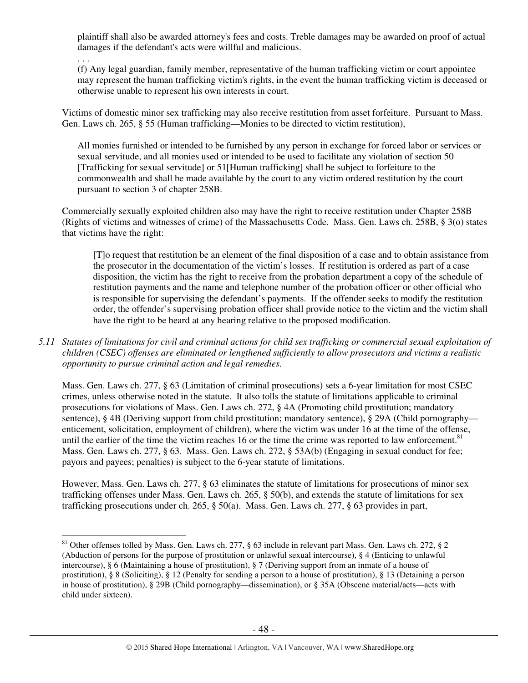plaintiff shall also be awarded attorney's fees and costs. Treble damages may be awarded on proof of actual damages if the defendant's acts were willful and malicious.

. . .

(f) Any legal guardian, family member, representative of the human trafficking victim or court appointee may represent the human trafficking victim's rights, in the event the human trafficking victim is deceased or otherwise unable to represent his own interests in court.

Victims of domestic minor sex trafficking may also receive restitution from asset forfeiture. Pursuant to Mass. Gen. Laws ch. 265, § 55 (Human trafficking—Monies to be directed to victim restitution),

All monies furnished or intended to be furnished by any person in exchange for forced labor or services or sexual servitude, and all monies used or intended to be used to facilitate any violation of section 50 [Trafficking for sexual servitude] or 51[Human trafficking] shall be subject to forfeiture to the commonwealth and shall be made available by the court to any victim ordered restitution by the court pursuant to section 3 of chapter 258B.

Commercially sexually exploited children also may have the right to receive restitution under Chapter 258B (Rights of victims and witnesses of crime) of the Massachusetts Code. Mass. Gen. Laws ch. 258B, § 3(o) states that victims have the right:

[T]o request that restitution be an element of the final disposition of a case and to obtain assistance from the prosecutor in the documentation of the victim's losses. If restitution is ordered as part of a case disposition, the victim has the right to receive from the probation department a copy of the schedule of restitution payments and the name and telephone number of the probation officer or other official who is responsible for supervising the defendant's payments. If the offender seeks to modify the restitution order, the offender's supervising probation officer shall provide notice to the victim and the victim shall have the right to be heard at any hearing relative to the proposed modification.

*5.11 Statutes of limitations for civil and criminal actions for child sex trafficking or commercial sexual exploitation of children (CSEC) offenses are eliminated or lengthened sufficiently to allow prosecutors and victims a realistic opportunity to pursue criminal action and legal remedies.* 

Mass. Gen. Laws ch. 277, § 63 (Limitation of criminal prosecutions) sets a 6-year limitation for most CSEC crimes, unless otherwise noted in the statute. It also tolls the statute of limitations applicable to criminal prosecutions for violations of Mass. Gen. Laws ch. 272, § 4A (Promoting child prostitution; mandatory sentence), § 4B (Deriving support from child prostitution; mandatory sentence), § 29A (Child pornography enticement, solicitation, employment of children), where the victim was under 16 at the time of the offense, until the earlier of the time the victim reaches 16 or the time the crime was reported to law enforcement.<sup>81</sup> Mass. Gen. Laws ch. 277, § 63. Mass. Gen. Laws ch. 272, § 53A(b) (Engaging in sexual conduct for fee; payors and payees; penalties) is subject to the 6-year statute of limitations.

However, Mass. Gen. Laws ch. 277, § 63 eliminates the statute of limitations for prosecutions of minor sex trafficking offenses under Mass. Gen. Laws ch. 265, § 50(b), and extends the statute of limitations for sex trafficking prosecutions under ch. 265, § 50(a). Mass. Gen. Laws ch. 277, § 63 provides in part,

 $\overline{a}$  $81$  Other offenses tolled by Mass. Gen. Laws ch. 277, § 63 include in relevant part Mass. Gen. Laws ch. 272, § 2 (Abduction of persons for the purpose of prostitution or unlawful sexual intercourse), § 4 (Enticing to unlawful intercourse), § 6 (Maintaining a house of prostitution), § 7 (Deriving support from an inmate of a house of prostitution), § 8 (Soliciting), § 12 (Penalty for sending a person to a house of prostitution), § 13 (Detaining a person in house of prostitution), § 29B (Child pornography—dissemination), or § 35A (Obscene material/acts—acts with child under sixteen).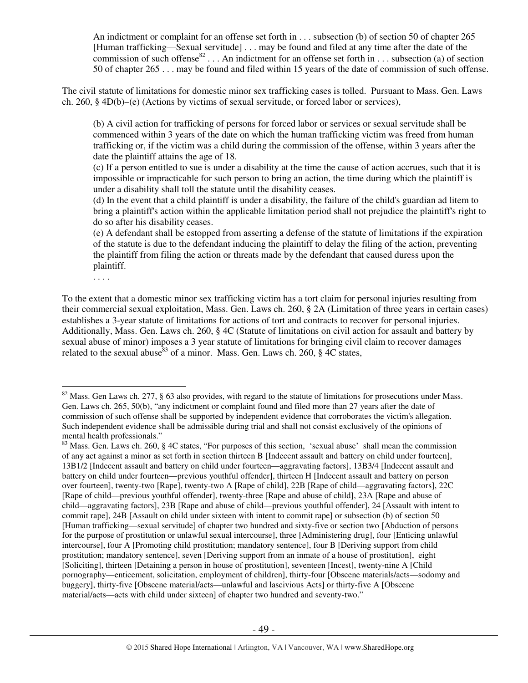An indictment or complaint for an offense set forth in . . . subsection (b) of section 50 of chapter 265 [Human trafficking—Sexual servitude] . . . may be found and filed at any time after the date of the commission of such offense<sup>82</sup>... An indictment for an offense set forth in ... subsection (a) of section 50 of chapter 265 . . . may be found and filed within 15 years of the date of commission of such offense.

The civil statute of limitations for domestic minor sex trafficking cases is tolled. Pursuant to Mass. Gen. Laws ch. 260, § 4D(b)–(e) (Actions by victims of sexual servitude, or forced labor or services),

(b) A civil action for trafficking of persons for forced labor or services or sexual servitude shall be commenced within 3 years of the date on which the human trafficking victim was freed from human trafficking or, if the victim was a child during the commission of the offense, within 3 years after the date the plaintiff attains the age of 18.

(c) If a person entitled to sue is under a disability at the time the cause of action accrues, such that it is impossible or impracticable for such person to bring an action, the time during which the plaintiff is under a disability shall toll the statute until the disability ceases.

(d) In the event that a child plaintiff is under a disability, the failure of the child's guardian ad litem to bring a plaintiff's action within the applicable limitation period shall not prejudice the plaintiff's right to do so after his disability ceases.

(e) A defendant shall be estopped from asserting a defense of the statute of limitations if the expiration of the statute is due to the defendant inducing the plaintiff to delay the filing of the action, preventing the plaintiff from filing the action or threats made by the defendant that caused duress upon the plaintiff.

. . . .

To the extent that a domestic minor sex trafficking victim has a tort claim for personal injuries resulting from their commercial sexual exploitation, Mass. Gen. Laws ch. 260, § 2A (Limitation of three years in certain cases) establishes a 3-year statute of limitations for actions of tort and contracts to recover for personal injuries. Additionally, Mass. Gen. Laws ch. 260, § 4C (Statute of limitations on civil action for assault and battery by sexual abuse of minor) imposes a 3 year statute of limitations for bringing civil claim to recover damages related to the sexual abuse  $83$  of a minor. Mass. Gen. Laws ch. 260,  $8\overline{4C}$  states,

 $\overline{a}$  $82$  Mass. Gen Laws ch. 277, § 63 also provides, with regard to the statute of limitations for prosecutions under Mass. Gen. Laws ch. 265, 50(b), "any indictment or complaint found and filed more than 27 years after the date of commission of such offense shall be supported by independent evidence that corroborates the victim's allegation. Such independent evidence shall be admissible during trial and shall not consist exclusively of the opinions of mental health professionals."

<sup>&</sup>lt;sup>83</sup> Mass. Gen. Laws ch. 260, § 4C states, "For purposes of this section, 'sexual abuse' shall mean the commission of any act against a minor as set forth in section thirteen B [Indecent assault and battery on child under fourteen], 13B1/2 [Indecent assault and battery on child under fourteen—aggravating factors], 13B3/4 [Indecent assault and battery on child under fourteen—previous youthful offender], thirteen H [Indecent assault and battery on person over fourteen], twenty-two [Rape], twenty-two A [Rape of child], 22B [Rape of child—aggravating factors], 22C [Rape of child—previous youthful offender], twenty-three [Rape and abuse of child], 23A [Rape and abuse of child—aggravating factors], 23B [Rape and abuse of child—previous youthful offender], 24 [Assault with intent to commit rape], 24B [Assault on child under sixteen with intent to commit rape] or subsection (b) of section 50 [Human trafficking—sexual servitude] of chapter two hundred and sixty-five or section two [Abduction of persons for the purpose of prostitution or unlawful sexual intercourse], three [Administering drug], four [Enticing unlawful intercourse], four A [Promoting child prostitution; mandatory sentence], four B [Deriving support from child prostitution; mandatory sentence], seven [Deriving support from an inmate of a house of prostitution], eight [Soliciting], thirteen [Detaining a person in house of prostitution], seventeen [Incest], twenty-nine A [Child pornography—enticement, solicitation, employment of children], thirty-four [Obscene materials/acts—sodomy and buggery], thirty-five [Obscene material/acts—unlawful and lascivious Acts] or thirty-five A [Obscene material/acts—acts with child under sixteen] of chapter two hundred and seventy-two."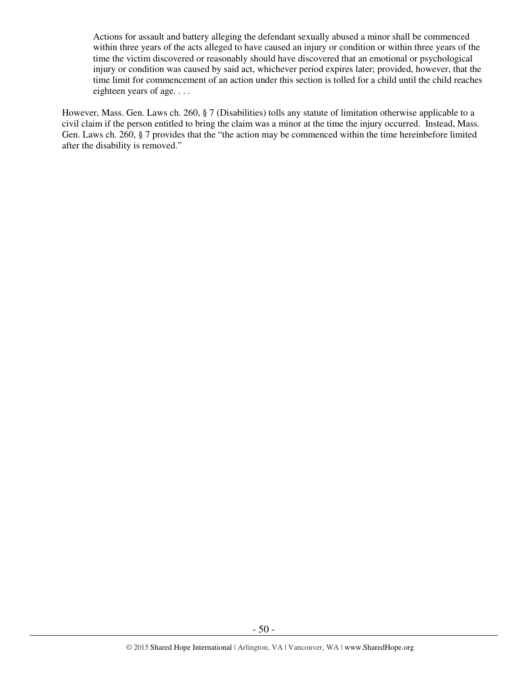Actions for assault and battery alleging the defendant sexually abused a minor shall be commenced within three years of the acts alleged to have caused an injury or condition or within three years of the time the victim discovered or reasonably should have discovered that an emotional or psychological injury or condition was caused by said act, whichever period expires later; provided, however, that the time limit for commencement of an action under this section is tolled for a child until the child reaches eighteen years of age. . . .

However, Mass. Gen. Laws ch. 260, § 7 (Disabilities) tolls any statute of limitation otherwise applicable to a civil claim if the person entitled to bring the claim was a minor at the time the injury occurred. Instead, Mass. Gen. Laws ch. 260, § 7 provides that the "the action may be commenced within the time hereinbefore limited after the disability is removed."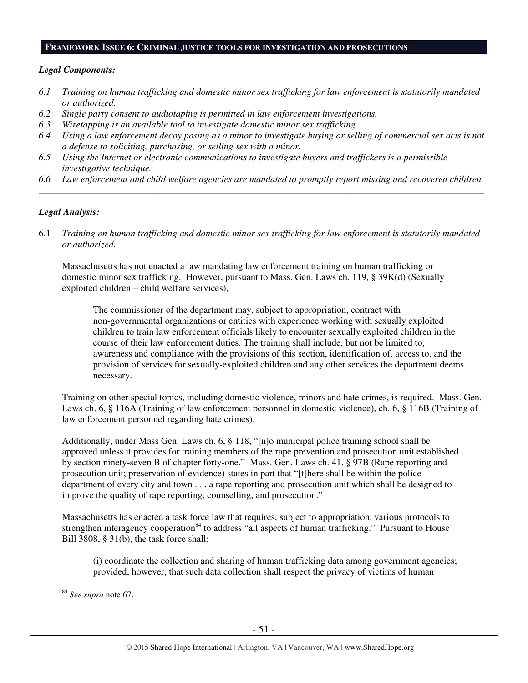#### **FRAMEWORK ISSUE 6: CRIMINAL JUSTICE TOOLS FOR INVESTIGATION AND PROSECUTIONS**

## *Legal Components:*

- *6.1 Training on human trafficking and domestic minor sex trafficking for law enforcement is statutorily mandated or authorized.*
- *6.2 Single party consent to audiotaping is permitted in law enforcement investigations.*
- *6.3 Wiretapping is an available tool to investigate domestic minor sex trafficking.*
- *6.4 Using a law enforcement decoy posing as a minor to investigate buying or selling of commercial sex acts is not a defense to soliciting, purchasing, or selling sex with a minor.*
- *6.5 Using the Internet or electronic communications to investigate buyers and traffickers is a permissible investigative technique.*
- *6.6 Law enforcement and child welfare agencies are mandated to promptly report missing and recovered children. \_\_\_\_\_\_\_\_\_\_\_\_\_\_\_\_\_\_\_\_\_\_\_\_\_\_\_\_\_\_\_\_\_\_\_\_\_\_\_\_\_\_\_\_\_\_\_\_\_\_\_\_\_\_\_\_\_\_\_\_\_\_\_\_\_\_\_\_\_\_\_\_\_\_\_\_\_\_\_\_\_\_\_\_\_\_\_\_\_\_\_\_\_\_*

## *Legal Analysis:*

6.1 *Training on human trafficking and domestic minor sex trafficking for law enforcement is statutorily mandated or authorized.*

Massachusetts has not enacted a law mandating law enforcement training on human trafficking or domestic minor sex trafficking. However, pursuant to Mass. Gen. Laws ch. 119, § 39K(d) (Sexually exploited children – child welfare services),

The commissioner of the department may, subject to appropriation, contract with non-governmental organizations or entities with experience working with sexually exploited children to train law enforcement officials likely to encounter sexually exploited children in the course of their law enforcement duties. The training shall include, but not be limited to, awareness and compliance with the provisions of this section, identification of, access to, and the provision of services for sexually-exploited children and any other services the department deems necessary.

Training on other special topics, including domestic violence, minors and hate crimes, is required. Mass. Gen. Laws ch. 6, § 116A (Training of law enforcement personnel in domestic violence), ch. 6, § 116B (Training of law enforcement personnel regarding hate crimes).

Additionally, under Mass Gen. Laws ch. 6, § 118, "[n]o municipal police training school shall be approved unless it provides for training members of the rape prevention and prosecution unit established by section ninety-seven B of chapter forty-one." Mass. Gen. Laws ch. 41, § 97B (Rape reporting and prosecution unit; preservation of evidence) states in part that "[t]here shall be within the police department of every city and town . . . a rape reporting and prosecution unit which shall be designed to improve the quality of rape reporting, counselling, and prosecution."

Massachusetts has enacted a task force law that requires, subject to appropriation, various protocols to strengthen interagency cooperation<sup>84</sup> to address "all aspects of human trafficking." Pursuant to House Bill 3808, § 31(b), the task force shall:

(i) coordinate the collection and sharing of human trafficking data among government agencies; provided, however, that such data collection shall respect the privacy of victims of human

<sup>84</sup> *See supra* note 67.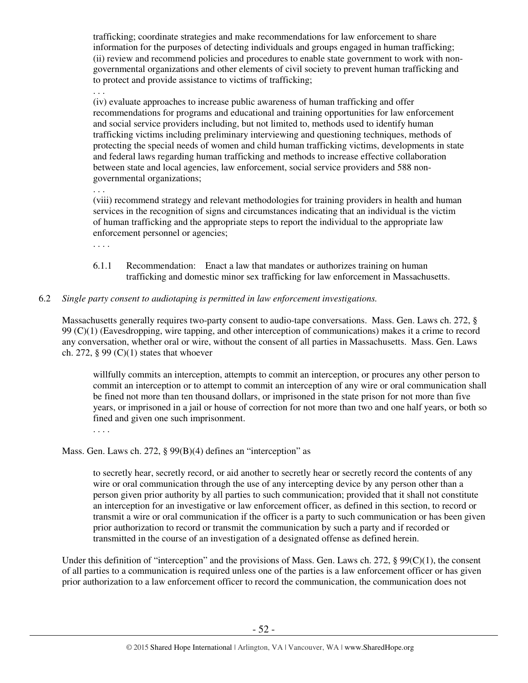trafficking; coordinate strategies and make recommendations for law enforcement to share information for the purposes of detecting individuals and groups engaged in human trafficking; (ii) review and recommend policies and procedures to enable state government to work with nongovernmental organizations and other elements of civil society to prevent human trafficking and to protect and provide assistance to victims of trafficking;

. . . (iv) evaluate approaches to increase public awareness of human trafficking and offer recommendations for programs and educational and training opportunities for law enforcement and social service providers including, but not limited to, methods used to identify human trafficking victims including preliminary interviewing and questioning techniques, methods of protecting the special needs of women and child human trafficking victims, developments in state and federal laws regarding human trafficking and methods to increase effective collaboration between state and local agencies, law enforcement, social service providers and 588 nongovernmental organizations;

. . .

(viii) recommend strategy and relevant methodologies for training providers in health and human services in the recognition of signs and circumstances indicating that an individual is the victim of human trafficking and the appropriate steps to report the individual to the appropriate law enforcement personnel or agencies;

. . . .

6.1.1 Recommendation: Enact a law that mandates or authorizes training on human trafficking and domestic minor sex trafficking for law enforcement in Massachusetts.

# 6.2 *Single party consent to audiotaping is permitted in law enforcement investigations.*

Massachusetts generally requires two-party consent to audio-tape conversations. Mass. Gen. Laws ch. 272, § 99 (C)(1) (Eavesdropping, wire tapping, and other interception of communications) makes it a crime to record any conversation, whether oral or wire, without the consent of all parties in Massachusetts. Mass. Gen. Laws ch. 272,  $\S 99 (C)(1)$  states that whoever

willfully commits an interception, attempts to commit an interception, or procures any other person to commit an interception or to attempt to commit an interception of any wire or oral communication shall be fined not more than ten thousand dollars, or imprisoned in the state prison for not more than five years, or imprisoned in a jail or house of correction for not more than two and one half years, or both so fined and given one such imprisonment.

. . . .

Mass. Gen. Laws ch. 272, § 99(B)(4) defines an "interception" as

to secretly hear, secretly record, or aid another to secretly hear or secretly record the contents of any wire or oral communication through the use of any intercepting device by any person other than a person given prior authority by all parties to such communication; provided that it shall not constitute an interception for an investigative or law enforcement officer, as defined in this section, to record or transmit a wire or oral communication if the officer is a party to such communication or has been given prior authorization to record or transmit the communication by such a party and if recorded or transmitted in the course of an investigation of a designated offense as defined herein.

Under this definition of "interception" and the provisions of Mass. Gen. Laws ch. 272,  $\S 99(C)(1)$ , the consent of all parties to a communication is required unless one of the parties is a law enforcement officer or has given prior authorization to a law enforcement officer to record the communication, the communication does not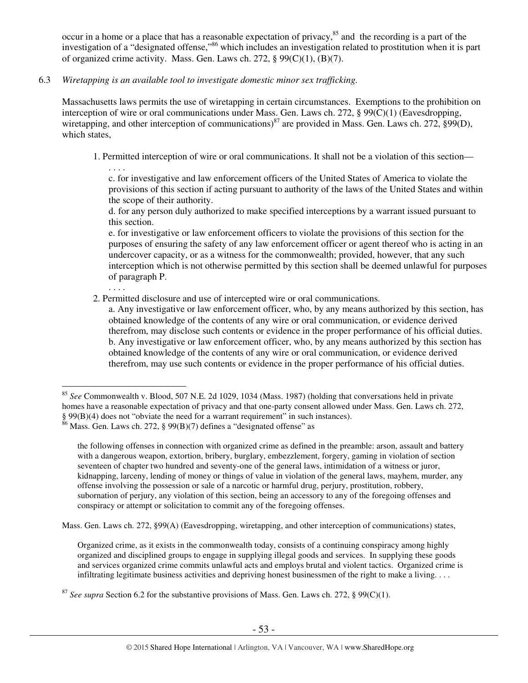occur in a home or a place that has a reasonable expectation of privacy, $85$  and the recording is a part of the investigation of a "designated offense,"<sup>86</sup> which includes an investigation related to prostitution when it is part of organized crime activity. Mass. Gen. Laws ch. 272,  $\S 99(C)(1)$ ,  $(B)(7)$ .

6.3 *Wiretapping is an available tool to investigate domestic minor sex trafficking.* 

Massachusetts laws permits the use of wiretapping in certain circumstances. Exemptions to the prohibition on interception of wire or oral communications under Mass. Gen. Laws ch. 272, § 99(C)(1) (Eavesdropping, wiretapping, and other interception of communications)<sup>87</sup> are provided in Mass. Gen. Laws ch. 272, §99(D), which states.

1. Permitted interception of wire or oral communications. It shall not be a violation of this section—

. . . . c. for investigative and law enforcement officers of the United States of America to violate the provisions of this section if acting pursuant to authority of the laws of the United States and within the scope of their authority.

d. for any person duly authorized to make specified interceptions by a warrant issued pursuant to this section.

e. for investigative or law enforcement officers to violate the provisions of this section for the purposes of ensuring the safety of any law enforcement officer or agent thereof who is acting in an undercover capacity, or as a witness for the commonwealth; provided, however, that any such interception which is not otherwise permitted by this section shall be deemed unlawful for purposes of paragraph P.

2. Permitted disclosure and use of intercepted wire or oral communications.

a. Any investigative or law enforcement officer, who, by any means authorized by this section, has obtained knowledge of the contents of any wire or oral communication, or evidence derived therefrom, may disclose such contents or evidence in the proper performance of his official duties. b. Any investigative or law enforcement officer, who, by any means authorized by this section has obtained knowledge of the contents of any wire or oral communication, or evidence derived therefrom, may use such contents or evidence in the proper performance of his official duties.

. . . .

the following offenses in connection with organized crime as defined in the preamble: arson, assault and battery with a dangerous weapon, extortion, bribery, burglary, embezzlement, forgery, gaming in violation of section seventeen of chapter two hundred and seventy-one of the general laws, intimidation of a witness or juror, kidnapping, larceny, lending of money or things of value in violation of the general laws, mayhem, murder, any offense involving the possession or sale of a narcotic or harmful drug, perjury, prostitution, robbery, subornation of perjury, any violation of this section, being an accessory to any of the foregoing offenses and conspiracy or attempt or solicitation to commit any of the foregoing offenses.

Mass. Gen. Laws ch. 272, §99(A) (Eavesdropping, wiretapping, and other interception of communications) states,

Organized crime, as it exists in the commonwealth today, consists of a continuing conspiracy among highly organized and disciplined groups to engage in supplying illegal goods and services. In supplying these goods and services organized crime commits unlawful acts and employs brutal and violent tactics. Organized crime is infiltrating legitimate business activities and depriving honest businessmen of the right to make a living. . . .

 $\overline{a}$ <sup>85</sup> *See* Commonwealth v. Blood, 507 N.E. 2d 1029, 1034 (Mass. 1987) (holding that conversations held in private homes have a reasonable expectation of privacy and that one-party consent allowed under Mass. Gen. Laws ch. 272, § 99(B)(4) does not "obviate the need for a warrant requirement" in such instances).

 $86$  Mass. Gen. Laws ch. 272, § 99(B)(7) defines a "designated offense" as

<sup>87</sup> *See supra* Section 6.2 for the substantive provisions of Mass. Gen. Laws ch. 272, § 99(C)(1).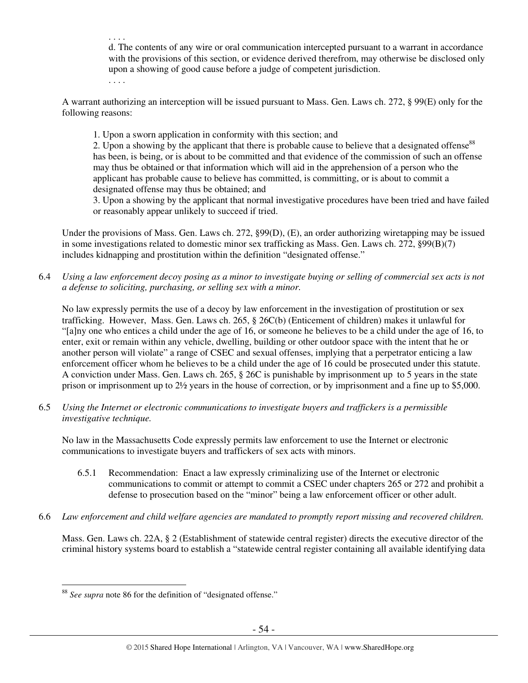d. The contents of any wire or oral communication intercepted pursuant to a warrant in accordance with the provisions of this section, or evidence derived therefrom, may otherwise be disclosed only upon a showing of good cause before a judge of competent jurisdiction.

. . . .

. . . .

A warrant authorizing an interception will be issued pursuant to Mass. Gen. Laws ch. 272, § 99(E) only for the following reasons:

1. Upon a sworn application in conformity with this section; and

2. Upon a showing by the applicant that there is probable cause to believe that a designated offense<sup>88</sup> has been, is being, or is about to be committed and that evidence of the commission of such an offense may thus be obtained or that information which will aid in the apprehension of a person who the applicant has probable cause to believe has committed, is committing, or is about to commit a designated offense may thus be obtained; and

3. Upon a showing by the applicant that normal investigative procedures have been tried and have failed or reasonably appear unlikely to succeed if tried.

Under the provisions of Mass. Gen. Laws ch. 272, §99(D), (E), an order authorizing wiretapping may be issued in some investigations related to domestic minor sex trafficking as Mass. Gen. Laws ch. 272, §99(B)(7) includes kidnapping and prostitution within the definition "designated offense."

6.4 *Using a law enforcement decoy posing as a minor to investigate buying or selling of commercial sex acts is not a defense to soliciting, purchasing, or selling sex with a minor.* 

No law expressly permits the use of a decoy by law enforcement in the investigation of prostitution or sex trafficking. However, Mass. Gen. Laws ch. 265, § 26C(b) (Enticement of children) makes it unlawful for "[a]ny one who entices a child under the age of 16, or someone he believes to be a child under the age of 16, to enter, exit or remain within any vehicle, dwelling, building or other outdoor space with the intent that he or another person will violate" a range of CSEC and sexual offenses, implying that a perpetrator enticing a law enforcement officer whom he believes to be a child under the age of 16 could be prosecuted under this statute. A conviction under Mass. Gen. Laws ch. 265, § 26C is punishable by imprisonment up to 5 years in the state prison or imprisonment up to 2½ years in the house of correction, or by imprisonment and a fine up to \$5,000.

6.5 *Using the Internet or electronic communications to investigate buyers and traffickers is a permissible investigative technique.* 

No law in the Massachusetts Code expressly permits law enforcement to use the Internet or electronic communications to investigate buyers and traffickers of sex acts with minors.

- 6.5.1 Recommendation: Enact a law expressly criminalizing use of the Internet or electronic communications to commit or attempt to commit a CSEC under chapters 265 or 272 and prohibit a defense to prosecution based on the "minor" being a law enforcement officer or other adult.
- 6.6 *Law enforcement and child welfare agencies are mandated to promptly report missing and recovered children.*

Mass. Gen. Laws ch. 22A, § 2 (Establishment of statewide central register) directs the executive director of the criminal history systems board to establish a "statewide central register containing all available identifying data

 $\overline{a}$ <sup>88</sup> *See supra* note 86 for the definition of "designated offense."